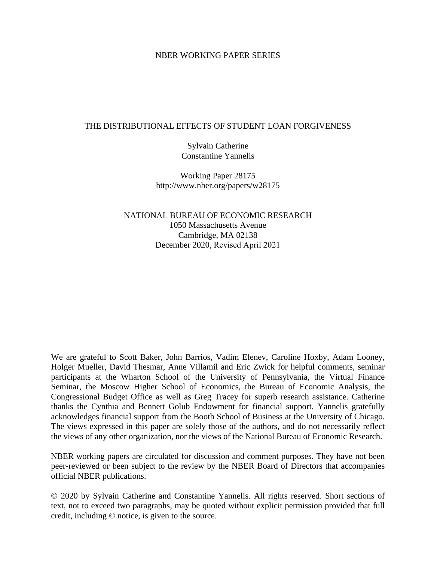#### NBER WORKING PAPER SERIES

#### THE DISTRIBUTIONAL EFFECTS OF STUDENT LOAN FORGIVENESS

Sylvain Catherine Constantine Yannelis

Working Paper 28175 http://www.nber.org/papers/w28175

NATIONAL BUREAU OF ECONOMIC RESEARCH 1050 Massachusetts Avenue Cambridge, MA 02138 December 2020, Revised April 2021

We are grateful to Scott Baker, John Barrios, Vadim Elenev, Caroline Hoxby, Adam Looney, Holger Mueller, David Thesmar, Anne Villamil and Eric Zwick for helpful comments, seminar participants at the Wharton School of the University of Pennsylvania, the Virtual Finance Seminar, the Moscow Higher School of Economics, the Bureau of Economic Analysis, the Congressional Budget Office as well as Greg Tracey for superb research assistance. Catherine thanks the Cynthia and Bennett Golub Endowment for financial support. Yannelis gratefully acknowledges financial support from the Booth School of Business at the University of Chicago. The views expressed in this paper are solely those of the authors, and do not necessarily reflect the views of any other organization, nor the views of the National Bureau of Economic Research.

NBER working papers are circulated for discussion and comment purposes. They have not been peer-reviewed or been subject to the review by the NBER Board of Directors that accompanies official NBER publications.

© 2020 by Sylvain Catherine and Constantine Yannelis. All rights reserved. Short sections of text, not to exceed two paragraphs, may be quoted without explicit permission provided that full credit, including © notice, is given to the source.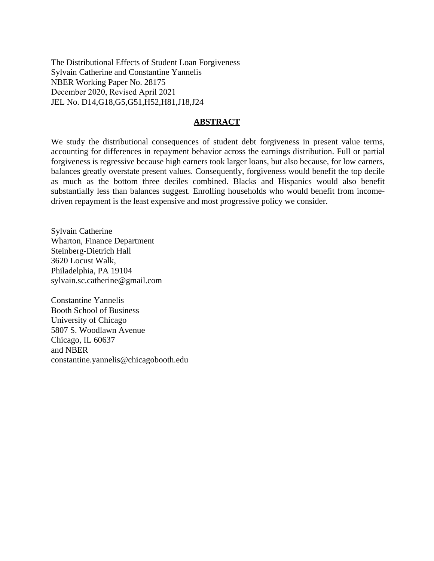The Distributional Effects of Student Loan Forgiveness Sylvain Catherine and Constantine Yannelis NBER Working Paper No. 28175 December 2020, Revised April 2021 JEL No. D14,G18,G5,G51,H52,H81,J18,J24

#### **ABSTRACT**

We study the distributional consequences of student debt forgiveness in present value terms, accounting for differences in repayment behavior across the earnings distribution. Full or partial forgiveness is regressive because high earners took larger loans, but also because, for low earners, balances greatly overstate present values. Consequently, forgiveness would benefit the top decile as much as the bottom three deciles combined. Blacks and Hispanics would also benefit substantially less than balances suggest. Enrolling households who would benefit from incomedriven repayment is the least expensive and most progressive policy we consider.

Sylvain Catherine Wharton, Finance Department Steinberg-Dietrich Hall 3620 Locust Walk, Philadelphia, PA 19104 sylvain.sc.catherine@gmail.com

Constantine Yannelis Booth School of Business University of Chicago 5807 S. Woodlawn Avenue Chicago, IL 60637 and NBER constantine.yannelis@chicagobooth.edu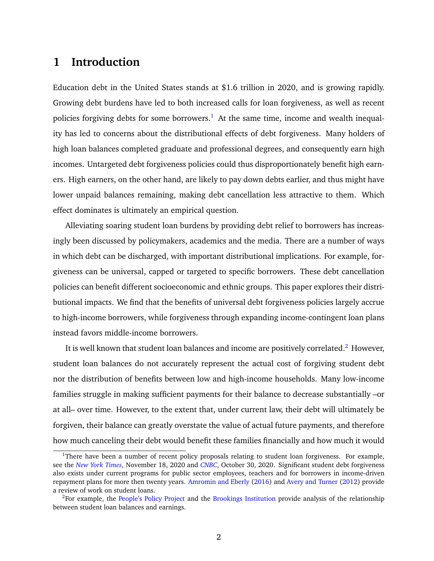# **1 Introduction**

Education debt in the United States stands at \$1.6 trillion in 2020, and is growing rapidly. Growing debt burdens have led to both increased calls for loan forgiveness, as well as recent policies forgiving debts for some borrowers.<sup>[1](#page-2-0)</sup> At the same time, income and wealth inequality has led to concerns about the distributional effects of debt forgiveness. Many holders of high loan balances completed graduate and professional degrees, and consequently earn high incomes. Untargeted debt forgiveness policies could thus disproportionately benefit high earners. High earners, on the other hand, are likely to pay down debts earlier, and thus might have lower unpaid balances remaining, making debt cancellation less attractive to them. Which effect dominates is ultimately an empirical question.

Alleviating soaring student loan burdens by providing debt relief to borrowers has increasingly been discussed by policymakers, academics and the media. There are a number of ways in which debt can be discharged, with important distributional implications. For example, forgiveness can be universal, capped or targeted to specific borrowers. These debt cancellation policies can benefit different socioeconomic and ethnic groups. This paper explores their distributional impacts. We find that the benefits of universal debt forgiveness policies largely accrue to high-income borrowers, while forgiveness through expanding income-contingent loan plans instead favors middle-income borrowers.

It is well known that student loan balances and income are positively correlated.<sup>[2](#page-2-1)</sup> However, student loan balances do not accurately represent the actual cost of forgiving student debt nor the distribution of benefits between low and high-income households. Many low-income families struggle in making sufficient payments for their balance to decrease substantially –or at all– over time. However, to the extent that, under current law, their debt will ultimately be forgiven, their balance can greatly overstate the value of actual future payments, and therefore how much canceling their debt would benefit these families financially and how much it would

<span id="page-2-0"></span><sup>&</sup>lt;sup>1</sup>There have been a number of recent policy proposals relating to student loan forgiveness. For example, see the *[New York Times](https://www.nytimes.com/2020/11/13/business/biden-student-loans.html)*, November 18, 2020 and *[CNBC](https://www.cnbc.com/2020/10/30/heres-what-a-trump-or-biden-plan-will-mean-to-student-loan-borrowers.html)*, October 30, 2020. Significant student debt forgiveness also exists under current programs for public sector employees, teachers and for borrowers in income-driven repayment plans for more then twenty years. [Amromin and Eberly](#page-23-0) [\(2016\)](#page-23-0) and [Avery and Turner](#page-23-1) [\(2012\)](#page-23-1) provide a review of work on student loans.

<span id="page-2-1"></span><sup>&</sup>lt;sup>2</sup>For example, the [People's Policy Project](https://www.peoplespolicyproject.org/2020/11/16/what-is-the-current-student-debt-situation/) and the [Brookings Institution](https://www.brookings.edu/blog/up-front/2019/04/30/a-better-way-to-provide-relief-to-student-loan-borrowers/) provide analysis of the relationship between student loan balances and earnings.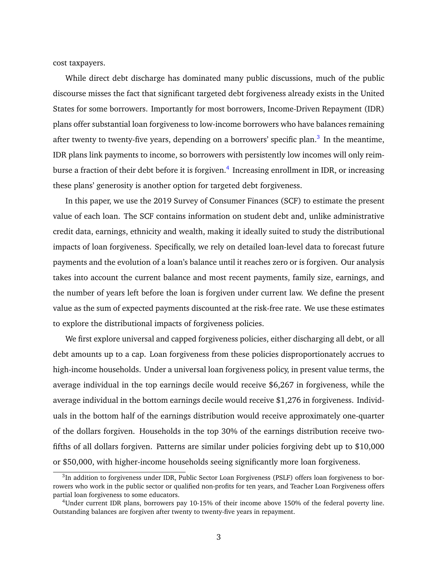cost taxpayers.

While direct debt discharge has dominated many public discussions, much of the public discourse misses the fact that significant targeted debt forgiveness already exists in the United States for some borrowers. Importantly for most borrowers, Income-Driven Repayment (IDR) plans offer substantial loan forgiveness to low-income borrowers who have balances remaining after twenty to twenty-five years, depending on a borrowers' specific plan.<sup>[3](#page-3-0)</sup> In the meantime, IDR plans link payments to income, so borrowers with persistently low incomes will only reim-burse a fraction of their debt before it is forgiven.<sup>[4](#page-3-1)</sup> Increasing enrollment in IDR, or increasing these plans' generosity is another option for targeted debt forgiveness.

In this paper, we use the 2019 Survey of Consumer Finances (SCF) to estimate the present value of each loan. The SCF contains information on student debt and, unlike administrative credit data, earnings, ethnicity and wealth, making it ideally suited to study the distributional impacts of loan forgiveness. Specifically, we rely on detailed loan-level data to forecast future payments and the evolution of a loan's balance until it reaches zero or is forgiven. Our analysis takes into account the current balance and most recent payments, family size, earnings, and the number of years left before the loan is forgiven under current law. We define the present value as the sum of expected payments discounted at the risk-free rate. We use these estimates to explore the distributional impacts of forgiveness policies.

We first explore universal and capped forgiveness policies, either discharging all debt, or all debt amounts up to a cap. Loan forgiveness from these policies disproportionately accrues to high-income households. Under a universal loan forgiveness policy, in present value terms, the average individual in the top earnings decile would receive \$6,267 in forgiveness, while the average individual in the bottom earnings decile would receive \$1,276 in forgiveness. Individuals in the bottom half of the earnings distribution would receive approximately one-quarter of the dollars forgiven. Households in the top 30% of the earnings distribution receive twofifths of all dollars forgiven. Patterns are similar under policies forgiving debt up to \$10,000 or \$50,000, with higher-income households seeing significantly more loan forgiveness.

<span id="page-3-0"></span> ${}^{3}$ In addition to forgiveness under IDR, Public Sector Loan Forgiveness (PSLF) offers loan forgiveness to borrowers who work in the public sector or qualified non-profits for ten years, and Teacher Loan Forgiveness offers partial loan forgiveness to some educators.

<span id="page-3-1"></span><sup>4</sup>Under current IDR plans, borrowers pay 10-15% of their income above 150% of the federal poverty line. Outstanding balances are forgiven after twenty to twenty-five years in repayment.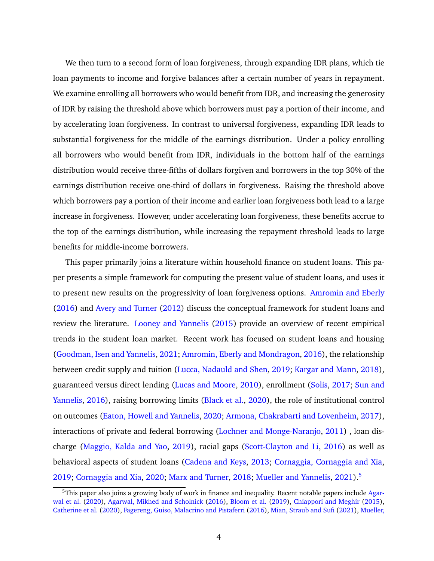We then turn to a second form of loan forgiveness, through expanding IDR plans, which tie loan payments to income and forgive balances after a certain number of years in repayment. We examine enrolling all borrowers who would benefit from IDR, and increasing the generosity of IDR by raising the threshold above which borrowers must pay a portion of their income, and by accelerating loan forgiveness. In contrast to universal forgiveness, expanding IDR leads to substantial forgiveness for the middle of the earnings distribution. Under a policy enrolling all borrowers who would benefit from IDR, individuals in the bottom half of the earnings distribution would receive three-fifths of dollars forgiven and borrowers in the top 30% of the earnings distribution receive one-third of dollars in forgiveness. Raising the threshold above which borrowers pay a portion of their income and earlier loan forgiveness both lead to a large increase in forgiveness. However, under accelerating loan forgiveness, these benefits accrue to the top of the earnings distribution, while increasing the repayment threshold leads to large benefits for middle-income borrowers.

This paper primarily joins a literature within household finance on student loans. This paper presents a simple framework for computing the present value of student loans, and uses it to present new results on the progressivity of loan forgiveness options. [Amromin and Eberly](#page-23-0) [\(2016\)](#page-23-0) and [Avery and Turner](#page-23-1) [\(2012\)](#page-23-1) discuss the conceptual framework for student loans and review the literature. [Looney and Yannelis](#page-25-0) [\(2015\)](#page-25-0) provide an overview of recent empirical trends in the student loan market. Recent work has focused on student loans and housing [\(Goodman, Isen and Yannelis,](#page-24-0) [2021;](#page-24-0) [Amromin, Eberly and Mondragon,](#page-23-2) [2016\)](#page-23-2), the relationship between credit supply and tuition [\(Lucca, Nadauld and Shen,](#page-25-1) [2019;](#page-25-1) [Kargar and Mann,](#page-25-2) [2018\)](#page-25-2), guaranteed versus direct lending [\(Lucas and Moore,](#page-25-3) [2010\)](#page-25-3), enrollment [\(Solis,](#page-26-0) [2017;](#page-26-0) [Sun and](#page-26-1) [Yannelis,](#page-26-1) [2016\)](#page-26-1), raising borrowing limits [\(Black et al.,](#page-23-3) [2020\)](#page-23-3), the role of institutional control on outcomes [\(Eaton, Howell and Yannelis,](#page-24-1) [2020;](#page-24-1) [Armona, Chakrabarti and Lovenheim,](#page-23-4) [2017\)](#page-23-4), interactions of private and federal borrowing [\(Lochner and Monge-Naranjo,](#page-25-4) [2011\)](#page-25-4) , loan discharge [\(Maggio, Kalda and Yao,](#page-25-5) [2019\)](#page-25-5), racial gaps [\(Scott-Clayton and Li,](#page-25-6) [2016\)](#page-25-6) as well as behavioral aspects of student loans [\(Cadena and Keys,](#page-24-2) [2013;](#page-24-2) [Cornaggia, Cornaggia and Xia,](#page-24-3) [2019;](#page-24-3) [Cornaggia and Xia,](#page-24-4) [2020;](#page-24-4) [Marx and Turner,](#page-25-7) [2018;](#page-25-7) [Mueller and Yannelis,](#page-25-8) [2021\)](#page-25-8).<sup>[5](#page-4-0)</sup>

<span id="page-4-0"></span> $5$ This paper also joins a growing body of work in finance and inequality. Recent notable papers include [Agar](#page-23-5)[wal et al.](#page-23-5) [\(2020\)](#page-23-5), [Agarwal, Mikhed and Scholnick](#page-23-6) [\(2016\)](#page-23-6), [Bloom et al.](#page-24-5) [\(2019\)](#page-24-5), [Chiappori and Meghir](#page-24-6) [\(2015\)](#page-24-6), [Catherine et al.](#page-24-7) [\(2020\)](#page-24-7), [Fagereng, Guiso, Malacrino and Pistaferri](#page-24-8) [\(2016\)](#page-24-8), [Mian, Straub and Sufi](#page-25-9) [\(2021\)](#page-25-9), [Mueller,](#page-25-10)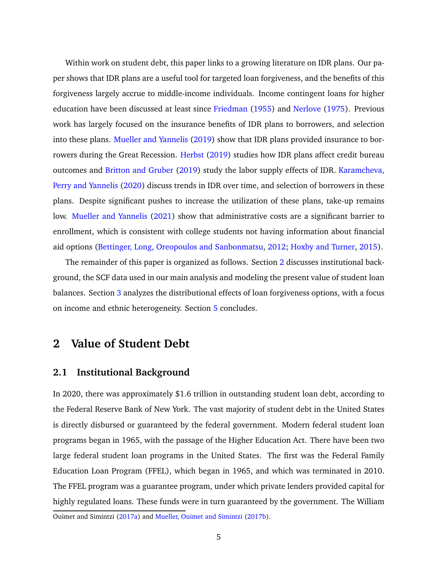[Within work on student debt, this paper links to a growing literature on IDR plans. Our pa](#page-25-10)[per shows that IDR plans are a useful tool for targeted loan forgiveness, and the benefits of this](#page-25-10) [forgiveness largely accrue to middle-income individuals. Income contingent loans for higher](#page-25-10) [education have been discussed at least since](#page-25-10) [Friedman](#page-24-9) [\(1955\)](#page-24-9) and [Nerlove](#page-25-11) [\(1975\)](#page-25-11). Previous [work has largely focused on the insurance benefits of IDR plans to borrowers, and selection](#page-25-10) into these plans. [Mueller and Yannelis](#page-25-12) [\(2019\) show that IDR plans provided insurance to bor-](#page-25-10)rowers during the Great Recession. [Herbst](#page-24-10) [\(2019\) studies how IDR plans affect credit bureau](#page-25-10) outcomes and [Britton and Gruber](#page-24-11) [\(2019\) study the labor supply effects of IDR.](#page-25-10) [Karamcheva,](#page-24-12) [Perry and Yannelis](#page-24-12) [\(2020\) discuss trends in IDR over time, and selection of borrowers in these](#page-25-10) [plans. Despite significant pushes to increase the utilization of these plans, take-up remains](#page-25-10) low. [Mueller and Yannelis](#page-25-8) [\(2021\) show that administrative costs are a significant barrier to](#page-25-10) [enrollment, which is consistent with college students not having information about financial](#page-25-10) [aid options \(Bettinger, Long, Oreopoulos and Sanbonmatsu,](#page-25-10) [2012;](#page-23-7) [Hoxby and Turner,](#page-24-13) [2015\)](#page-24-13).

[The remainder of this paper is organized as follows. Section](#page-25-10) [2](#page-5-0) discusses institutional back[ground, the SCF data used in our main analysis and modeling the present value of student loan](#page-25-10) balances. Section [3](#page-12-0) [analyzes the distributional effects of loan forgiveness options, with a focus](#page-25-10) [on income and ethnic heterogeneity. Section](#page-25-10) [5](#page-22-0) concludes.

# <span id="page-5-0"></span>**[2 Value of Student Debt](#page-25-10)**

#### **[2.1 Institutional Background](#page-25-10)**

[In 2020, there was approximately \\$1.6 trillion in outstanding student loan debt, according to](#page-25-10) [the Federal Reserve Bank of New York. The vast majority of student debt in the United States](#page-25-10) [is directly disbursed or guaranteed by the federal government. Modern federal student loan](#page-25-10) [programs began in 1965, with the passage of the Higher Education Act. There have been two](#page-25-10) [large federal student loan programs in the United States. The first was the Federal Family](#page-25-10) [Education Loan Program \(FFEL\), which began in 1965, and which was terminated in 2010.](#page-25-10) [The FFEL program was a guarantee program, under which private lenders provided capital for](#page-25-10) [highly regulated loans. These funds were in turn guaranteed by the government. The William](#page-25-10)

[Ouimet and Simintzi](#page-25-10) [\(2017a\)](#page-25-10) and [Mueller, Ouimet and Simintzi](#page-25-13) [\(2017b\)](#page-25-13).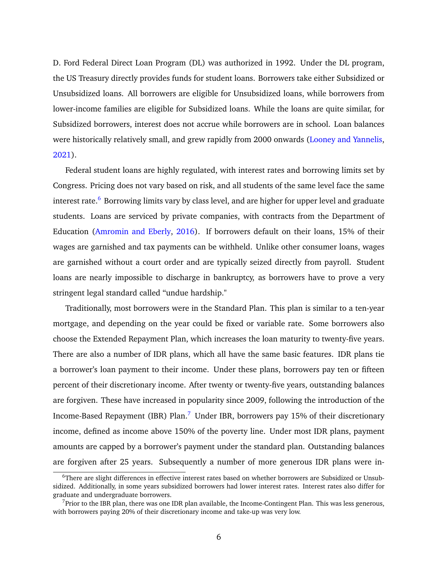D. Ford Federal Direct Loan Program (DL) was authorized in 1992. Under the DL program, the US Treasury directly provides funds for student loans. Borrowers take either Subsidized or Unsubsidized loans. All borrowers are eligible for Unsubsidized loans, while borrowers from lower-income families are eligible for Subsidized loans. While the loans are quite similar, for Subsidized borrowers, interest does not accrue while borrowers are in school. Loan balances were historically relatively small, and grew rapidly from 2000 onwards [\(Looney and Yannelis,](#page-25-14) [2021\)](#page-25-14).

Federal student loans are highly regulated, with interest rates and borrowing limits set by Congress. Pricing does not vary based on risk, and all students of the same level face the same interest rate.<sup>[6](#page-6-0)</sup> Borrowing limits vary by class level, and are higher for upper level and graduate students. Loans are serviced by private companies, with contracts from the Department of Education [\(Amromin and Eberly,](#page-23-0) [2016\)](#page-23-0). If borrowers default on their loans, 15% of their wages are garnished and tax payments can be withheld. Unlike other consumer loans, wages are garnished without a court order and are typically seized directly from payroll. Student loans are nearly impossible to discharge in bankruptcy, as borrowers have to prove a very stringent legal standard called "undue hardship."

Traditionally, most borrowers were in the Standard Plan. This plan is similar to a ten-year mortgage, and depending on the year could be fixed or variable rate. Some borrowers also choose the Extended Repayment Plan, which increases the loan maturity to twenty-five years. There are also a number of IDR plans, which all have the same basic features. IDR plans tie a borrower's loan payment to their income. Under these plans, borrowers pay ten or fifteen percent of their discretionary income. After twenty or twenty-five years, outstanding balances are forgiven. These have increased in popularity since 2009, following the introduction of the Income-Based Repayment (IBR) Plan.<sup>[7](#page-6-1)</sup> Under IBR, borrowers pay 15% of their discretionary income, defined as income above 150% of the poverty line. Under most IDR plans, payment amounts are capped by a borrower's payment under the standard plan. Outstanding balances are forgiven after 25 years. Subsequently a number of more generous IDR plans were in-

<span id="page-6-0"></span><sup>6</sup>There are slight differences in effective interest rates based on whether borrowers are Subsidized or Unsubsidized. Additionally, in some years subsidized borrowers had lower interest rates. Interest rates also differ for graduate and undergraduate borrowers.

<span id="page-6-1"></span> $<sup>7</sup>$ Prior to the IBR plan, there was one IDR plan available, the Income-Contingent Plan. This was less generous,</sup> with borrowers paying 20% of their discretionary income and take-up was very low.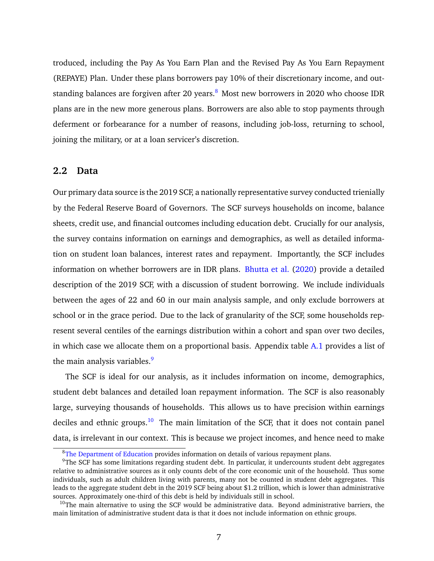troduced, including the Pay As You Earn Plan and the Revised Pay As You Earn Repayment (REPAYE) Plan. Under these plans borrowers pay 10% of their discretionary income, and outstanding balances are forgiven after 20 years. $8\,$  $8\,$  Most new borrowers in 2020 who choose IDR plans are in the new more generous plans. Borrowers are also able to stop payments through deferment or forbearance for a number of reasons, including job-loss, returning to school, joining the military, or at a loan servicer's discretion.

#### **2.2 Data**

Our primary data source is the 2019 SCF, a nationally representative survey conducted trienially by the Federal Reserve Board of Governors. The SCF surveys households on income, balance sheets, credit use, and financial outcomes including education debt. Crucially for our analysis, the survey contains information on earnings and demographics, as well as detailed information on student loan balances, interest rates and repayment. Importantly, the SCF includes information on whether borrowers are in IDR plans. [Bhutta et al.](#page-23-8) [\(2020\)](#page-23-8) provide a detailed description of the 2019 SCF, with a discussion of student borrowing. We include individuals between the ages of 22 and 60 in our main analysis sample, and only exclude borrowers at school or in the grace period. Due to the lack of granularity of the SCF, some households represent several centiles of the earnings distribution within a cohort and span over two deciles, in which case we allocate them on a proportional basis. Appendix table [A.1](#page-39-0) provides a list of the main analysis variables.<sup>[9](#page-7-1)</sup>

The SCF is ideal for our analysis, as it includes information on income, demographics, student debt balances and detailed loan repayment information. The SCF is also reasonably large, surveying thousands of households. This allows us to have precision within earnings deciles and ethnic groups.<sup>[10](#page-7-2)</sup> The main limitation of the SCF, that it does not contain panel data, is irrelevant in our context. This is because we project incomes, and hence need to make

<span id="page-7-1"></span><span id="page-7-0"></span><sup>8</sup>[The Department of Education](https://studentaid.gov/manage-loans/repayment/plans) provides information on details of various repayment plans.

 $9$ The SCF has some limitations regarding student debt. In particular, it undercounts student debt aggregates relative to administrative sources as it only counts debt of the core economic unit of the household. Thus some individuals, such as adult children living with parents, many not be counted in student debt aggregates. This leads to the aggregate student debt in the 2019 SCF being about \$1.2 trillion, which is lower than administrative sources. Approximately one-third of this debt is held by individuals still in school.

<span id="page-7-2"></span> $10$ The main alternative to using the SCF would be administrative data. Beyond administrative barriers, the main limitation of administrative student data is that it does not include information on ethnic groups.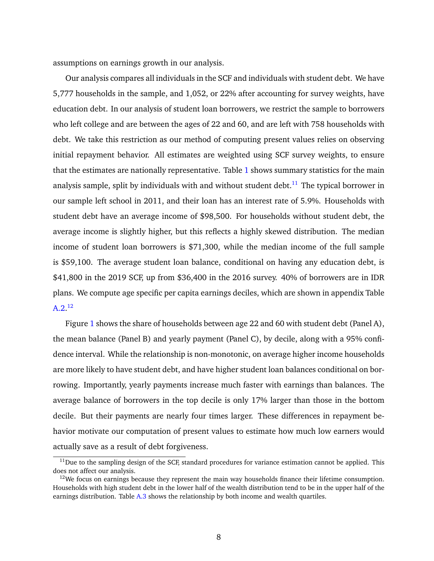assumptions on earnings growth in our analysis.

Our analysis compares all individuals in the SCF and individuals with student debt. We have 5,777 households in the sample, and 1,052, or 22% after accounting for survey weights, have education debt. In our analysis of student loan borrowers, we restrict the sample to borrowers who left college and are between the ages of 22 and 60, and are left with 758 households with debt. We take this restriction as our method of computing present values relies on observing initial repayment behavior. All estimates are weighted using SCF survey weights, to ensure that the estimates are nationally representative. Table [1](#page-35-0) shows summary statistics for the main analysis sample, split by individuals with and without student debt.<sup>[11](#page-8-0)</sup> The typical borrower in our sample left school in 2011, and their loan has an interest rate of 5.9%. Households with student debt have an average income of \$98,500. For households without student debt, the average income is slightly higher, but this reflects a highly skewed distribution. The median income of student loan borrowers is \$71,300, while the median income of the full sample is \$59,100. The average student loan balance, conditional on having any education debt, is \$41,800 in the 2019 SCF, up from \$36,400 in the 2016 survey. 40% of borrowers are in IDR plans. We compute age specific per capita earnings deciles, which are shown in appendix Table  $A.2.^{12}$  $A.2.^{12}$  $A.2.^{12}$  $A.2.^{12}$ 

Figure [1](#page-27-0) shows the share of households between age 22 and 60 with student debt (Panel A), the mean balance (Panel B) and yearly payment (Panel C), by decile, along with a 95% confidence interval. While the relationship is non-monotonic, on average higher income households are more likely to have student debt, and have higher student loan balances conditional on borrowing. Importantly, yearly payments increase much faster with earnings than balances. The average balance of borrowers in the top decile is only 17% larger than those in the bottom decile. But their payments are nearly four times larger. These differences in repayment behavior motivate our computation of present values to estimate how much low earners would actually save as a result of debt forgiveness.

<span id="page-8-0"></span> $11$ Due to the sampling design of the SCF, standard procedures for variance estimation cannot be applied. This does not affect our analysis.

<span id="page-8-1"></span> $12$ We focus on earnings because they represent the main way households finance their lifetime consumption. Households with high student debt in the lower half of the wealth distribution tend to be in the upper half of the earnings distribution. Table [A.3](#page-41-0) shows the relationship by both income and wealth quartiles.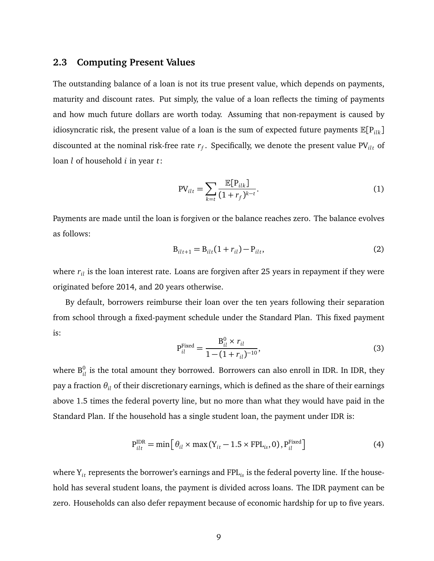#### <span id="page-9-2"></span>**2.3 Computing Present Values**

The outstanding balance of a loan is not its true present value, which depends on payments, maturity and discount rates. Put simply, the value of a loan reflects the timing of payments and how much future dollars are worth today. Assuming that non-repayment is caused by idiosyncratic risk, the present value of a loan is the sum of expected future payments  $\mathbb{E}[P_{ik}]$ discounted at the nominal risk-free rate  $r_f$ . Specifically, we denote the present value PV $_{ilt}$  of loan *l* of household *i* in year *t*:

<span id="page-9-0"></span>
$$
PV_{ilt} = \sum_{k=t} \frac{\mathbb{E}[P_{ilk}]}{(1+r_f)^{k-t}}.
$$
 (1)

Payments are made until the loan is forgiven or the balance reaches zero. The balance evolves as follows:

<span id="page-9-1"></span>
$$
B_{ilt+1} = B_{ilt}(1 + r_{il}) - P_{ilt},
$$
\n(2)

where  $r_{il}$  is the loan interest rate. Loans are forgiven after 25 years in repayment if they were originated before 2014, and 20 years otherwise.

By default, borrowers reimburse their loan over the ten years following their separation from school through a fixed-payment schedule under the Standard Plan. This fixed payment is:

$$
P_{il}^{\text{Fixed}} = \frac{B_{il}^0 \times r_{il}}{1 - (1 + r_{il})^{-10}},
$$
\n(3)

where  $\mathrm{B}_{il}^0$  is the total amount they borrowed. Borrowers can also enroll in IDR. In IDR, they pay a fraction *θil* of their discretionary earnings, which is defined as the share of their earnings above 1.5 times the federal poverty line, but no more than what they would have paid in the Standard Plan. If the household has a single student loan, the payment under IDR is:

$$
P_{ilt}^{IDR} = \min\left[\theta_{il} \times \max(Y_{it} - 1.5 \times FPL_{is}, 0), P_{il}^{Fixed}\right]
$$
(4)

where Y<sub>it</sub> represents the borrower's earnings and FPL<sub>is</sub> is the federal poverty line. If the household has several student loans, the payment is divided across loans. The IDR payment can be zero. Households can also defer repayment because of economic hardship for up to five years.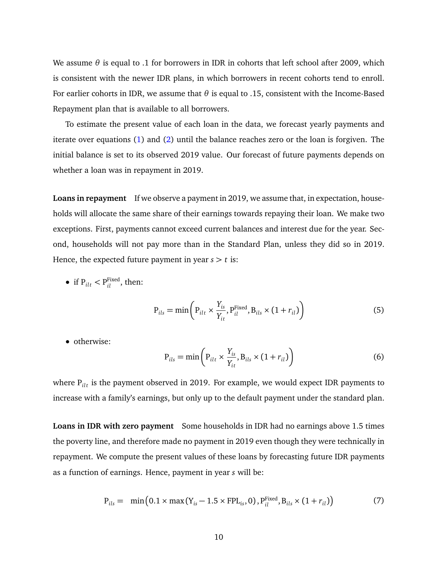We assume  $\theta$  is equal to .1 for borrowers in IDR in cohorts that left school after 2009, which is consistent with the newer IDR plans, in which borrowers in recent cohorts tend to enroll. For earlier cohorts in IDR, we assume that *θ* is equal to .15, consistent with the Income-Based Repayment plan that is available to all borrowers.

To estimate the present value of each loan in the data, we forecast yearly payments and iterate over equations [\(1\)](#page-9-0) and [\(2\)](#page-9-1) until the balance reaches zero or the loan is forgiven. The initial balance is set to its observed 2019 value. Our forecast of future payments depends on whether a loan was in repayment in 2019.

**Loans in repayment** If we observe a payment in 2019, we assume that, in expectation, households will allocate the same share of their earnings towards repaying their loan. We make two exceptions. First, payments cannot exceed current balances and interest due for the year. Second, households will not pay more than in the Standard Plan, unless they did so in 2019. Hence, the expected future payment in year  $s > t$  is:

• if  $P_{ilt} < P_{il}^{\text{Fixed}}$ , then:

$$
P_{ils} = min\left(P_{ilt} \times \frac{Y_{is}}{Y_{it}}, P_{il}^{Fixed}, B_{ils} \times (1 + r_{il})\right)
$$
(5)

• otherwise:

$$
P_{ils} = \min\left(P_{ilt} \times \frac{Y_{is}}{Y_{it}}, B_{ils} \times (1 + r_{il})\right)
$$
 (6)

where P<sub>ilt</sub> is the payment observed in 2019. For example, we would expect IDR payments to increase with a family's earnings, but only up to the default payment under the standard plan.

**Loans in IDR with zero payment** Some households in IDR had no earnings above 1.5 times the poverty line, and therefore made no payment in 2019 even though they were technically in repayment. We compute the present values of these loans by forecasting future IDR payments as a function of earnings. Hence, payment in year *s* will be:

$$
P_{ils} = \min(0.1 \times \max(Y_{is} - 1.5 \times FPL_{is}, 0), P_{il}^{Fixed}, B_{ils} \times (1 + r_{il}))
$$
(7)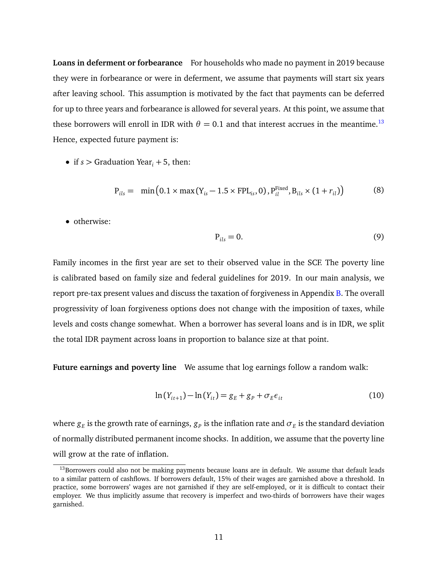**Loans in deferment or forbearance** For households who made no payment in 2019 because they were in forbearance or were in deferment, we assume that payments will start six years after leaving school. This assumption is motivated by the fact that payments can be deferred for up to three years and forbearance is allowed for several years. At this point, we assume that these borrowers will enroll in IDR with  $\theta = 0.1$  and that interest accrues in the meantime.<sup>[13](#page-11-0)</sup> Hence, expected future payment is:

• if  $s >$  Graduation Year<sub>i</sub> + 5, then:

$$
P_{ils} = \min(0.1 \times \max(Y_{is} - 1.5 \times FPL_{is}, 0), P_{il}^{Fixed}, B_{ils} \times (1 + r_{il}))
$$
(8)

• otherwise:

$$
P_{ils} = 0. \t\t(9)
$$

Family incomes in the first year are set to their observed value in the SCF. The poverty line is calibrated based on family size and federal guidelines for 2019. In our main analysis, we report pre-tax present values and discuss the taxation of forgiveness in Appendix [B.](#page-42-0) The overall progressivity of loan forgiveness options does not change with the imposition of taxes, while levels and costs change somewhat. When a borrower has several loans and is in IDR, we split the total IDR payment across loans in proportion to balance size at that point.

**Future earnings and poverty line** We assume that log earnings follow a random walk:

$$
\ln(Y_{it+1}) - \ln(Y_{it}) = g_E + g_P + \sigma_E \epsilon_{it}
$$
\n(10)

where  $g_E$  is the growth rate of earnings,  $g_P$  is the inflation rate and  $\sigma_E$  is the standard deviation of normally distributed permanent income shocks. In addition, we assume that the poverty line will grow at the rate of inflation.

<span id="page-11-0"></span> $13$ Borrowers could also not be making payments because loans are in default. We assume that default leads to a similar pattern of cashflows. If borrowers default, 15% of their wages are garnished above a threshold. In practice, some borrowers' wages are not garnished if they are self-employed, or it is difficult to contact their employer. We thus implicitly assume that recovery is imperfect and two-thirds of borrowers have their wages garnished.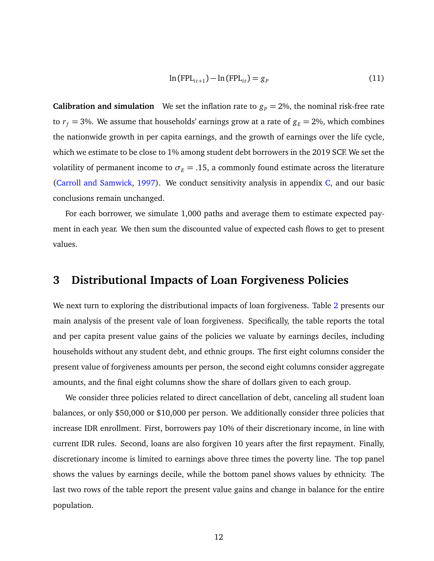$$
\ln(\text{FPL}_{it+1}) - \ln(\text{FPL}_{it}) = g_p \tag{11}
$$

**Calibration and simulation** We set the inflation rate to  $g<sub>P</sub> = 2\%$ , the nominal risk-free rate to  $r_f = 3$ %. We assume that households' earnings grow at a rate of  $g_E = 2$ %, which combines the nationwide growth in per capita earnings, and the growth of earnings over the life cycle, which we estimate to be close to 1% among student debt borrowers in the 2019 SCF. We set the volatility of permanent income to  $\sigma_E = .15$ , a commonly found estimate across the literature [\(Carroll and Samwick,](#page-24-14) [1997\)](#page-24-14). We conduct sensitivity analysis in appendix [C,](#page-46-0) and our basic conclusions remain unchanged.

For each borrower, we simulate 1,000 paths and average them to estimate expected payment in each year. We then sum the discounted value of expected cash flows to get to present values.

## <span id="page-12-0"></span>**3 Distributional Impacts of Loan Forgiveness Policies**

We next turn to exploring the distributional impacts of loan forgiveness. Table [2](#page-36-0) presents our main analysis of the present vale of loan forgiveness. Specifically, the table reports the total and per capita present value gains of the policies we valuate by earnings deciles, including households without any student debt, and ethnic groups. The first eight columns consider the present value of forgiveness amounts per person, the second eight columns consider aggregate amounts, and the final eight columns show the share of dollars given to each group.

We consider three policies related to direct cancellation of debt, canceling all student loan balances, or only \$50,000 or \$10,000 per person. We additionally consider three policies that increase IDR enrollment. First, borrowers pay 10% of their discretionary income, in line with current IDR rules. Second, loans are also forgiven 10 years after the first repayment. Finally, discretionary income is limited to earnings above three times the poverty line. The top panel shows the values by earnings decile, while the bottom panel shows values by ethnicity. The last two rows of the table report the present value gains and change in balance for the entire population.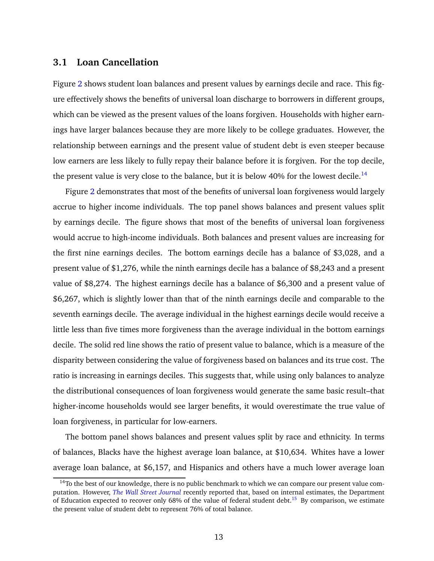#### **3.1 Loan Cancellation**

Figure [2](#page-28-0) shows student loan balances and present values by earnings decile and race. This figure effectively shows the benefits of universal loan discharge to borrowers in different groups, which can be viewed as the present values of the loans forgiven. Households with higher earnings have larger balances because they are more likely to be college graduates. However, the relationship between earnings and the present value of student debt is even steeper because low earners are less likely to fully repay their balance before it is forgiven. For the top decile, the present value is very close to the balance, but it is below 40% for the lowest decile.<sup>[14](#page-13-0)</sup>

Figure [2](#page-28-0) demonstrates that most of the benefits of universal loan forgiveness would largely accrue to higher income individuals. The top panel shows balances and present values split by earnings decile. The figure shows that most of the benefits of universal loan forgiveness would accrue to high-income individuals. Both balances and present values are increasing for the first nine earnings deciles. The bottom earnings decile has a balance of \$3,028, and a present value of \$1,276, while the ninth earnings decile has a balance of \$8,243 and a present value of \$8,274. The highest earnings decile has a balance of \$6,300 and a present value of \$6,267, which is slightly lower than that of the ninth earnings decile and comparable to the seventh earnings decile. The average individual in the highest earnings decile would receive a little less than five times more forgiveness than the average individual in the bottom earnings decile. The solid red line shows the ratio of present value to balance, which is a measure of the disparity between considering the value of forgiveness based on balances and its true cost. The ratio is increasing in earnings deciles. This suggests that, while using only balances to analyze the distributional consequences of loan forgiveness would generate the same basic result–that higher-income households would see larger benefits, it would overestimate the true value of loan forgiveness, in particular for low-earners.

The bottom panel shows balances and present values split by race and ethnicity. In terms of balances, Blacks have the highest average loan balance, at \$10,634. Whites have a lower average loan balance, at \$6,157, and Hispanics and others have a much lower average loan

<span id="page-13-0"></span><sup>&</sup>lt;sup>14</sup>To the best of our knowledge, there is no public benchmark to which we can compare our present value computation. However, *[The Wall Street Journal](https://www.wsj.com/articles/student-loan-losses-seen-costing-u-s-more-than-400-billion-11605963600)* recently reported that, based on internal estimates, the Department of Education expected to recover only 68% of the value of federal student debt.<sup>[15](#page--1-0)</sup> By comparison, we estimate the present value of student debt to represent 76% of total balance.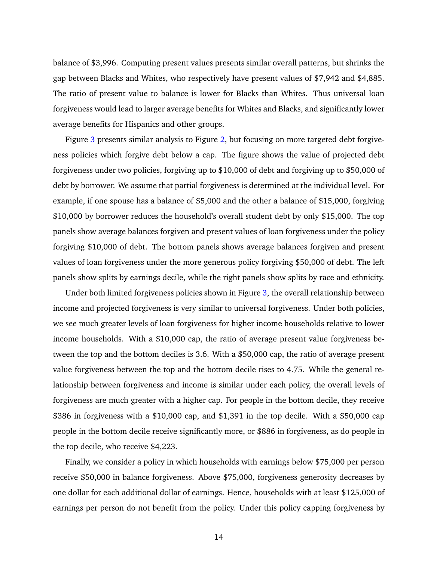balance of \$3,996. Computing present values presents similar overall patterns, but shrinks the gap between Blacks and Whites, who respectively have present values of \$7,942 and \$4,885. The ratio of present value to balance is lower for Blacks than Whites. Thus universal loan forgiveness would lead to larger average benefits for Whites and Blacks, and significantly lower average benefits for Hispanics and other groups.

Figure [3](#page-29-0) presents similar analysis to Figure [2,](#page-28-0) but focusing on more targeted debt forgiveness policies which forgive debt below a cap. The figure shows the value of projected debt forgiveness under two policies, forgiving up to \$10,000 of debt and forgiving up to \$50,000 of debt by borrower. We assume that partial forgiveness is determined at the individual level. For example, if one spouse has a balance of \$5,000 and the other a balance of \$15,000, forgiving \$10,000 by borrower reduces the household's overall student debt by only \$15,000. The top panels show average balances forgiven and present values of loan forgiveness under the policy forgiving \$10,000 of debt. The bottom panels shows average balances forgiven and present values of loan forgiveness under the more generous policy forgiving \$50,000 of debt. The left panels show splits by earnings decile, while the right panels show splits by race and ethnicity.

Under both limited forgiveness policies shown in Figure [3,](#page-29-0) the overall relationship between income and projected forgiveness is very similar to universal forgiveness. Under both policies, we see much greater levels of loan forgiveness for higher income households relative to lower income households. With a \$10,000 cap, the ratio of average present value forgiveness between the top and the bottom deciles is 3.6. With a \$50,000 cap, the ratio of average present value forgiveness between the top and the bottom decile rises to 4.75. While the general relationship between forgiveness and income is similar under each policy, the overall levels of forgiveness are much greater with a higher cap. For people in the bottom decile, they receive \$386 in forgiveness with a \$10,000 cap, and \$1,391 in the top decile. With a \$50,000 cap people in the bottom decile receive significantly more, or \$886 in forgiveness, as do people in the top decile, who receive \$4,223.

Finally, we consider a policy in which households with earnings below \$75,000 per person receive \$50,000 in balance forgiveness. Above \$75,000, forgiveness generosity decreases by one dollar for each additional dollar of earnings. Hence, households with at least \$125,000 of earnings per person do not benefit from the policy. Under this policy capping forgiveness by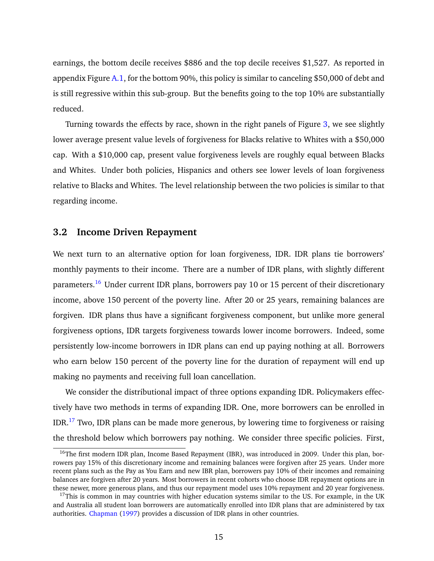earnings, the bottom decile receives \$886 and the top decile receives \$1,527. As reported in appendix Figure [A.1,](#page-37-0) for the bottom 90%, this policy is similar to canceling \$50,000 of debt and is still regressive within this sub-group. But the benefits going to the top 10% are substantially reduced.

Turning towards the effects by race, shown in the right panels of Figure [3,](#page-29-0) we see slightly lower average present value levels of forgiveness for Blacks relative to Whites with a \$50,000 cap. With a \$10,000 cap, present value forgiveness levels are roughly equal between Blacks and Whites. Under both policies, Hispanics and others see lower levels of loan forgiveness relative to Blacks and Whites. The level relationship between the two policies is similar to that regarding income.

#### **3.2 Income Driven Repayment**

We next turn to an alternative option for loan forgiveness, IDR. IDR plans tie borrowers' monthly payments to their income. There are a number of IDR plans, with slightly different parameters.<sup>[16](#page-15-0)</sup> Under current IDR plans, borrowers pay 10 or 15 percent of their discretionary income, above 150 percent of the poverty line. After 20 or 25 years, remaining balances are forgiven. IDR plans thus have a significant forgiveness component, but unlike more general forgiveness options, IDR targets forgiveness towards lower income borrowers. Indeed, some persistently low-income borrowers in IDR plans can end up paying nothing at all. Borrowers who earn below 150 percent of the poverty line for the duration of repayment will end up making no payments and receiving full loan cancellation.

We consider the distributional impact of three options expanding IDR. Policymakers effectively have two methods in terms of expanding IDR. One, more borrowers can be enrolled in IDR.<sup>[17](#page-15-1)</sup> Two, IDR plans can be made more generous, by lowering time to forgiveness or raising the threshold below which borrowers pay nothing. We consider three specific policies. First,

<span id="page-15-0"></span> $16$ The first modern IDR plan, Income Based Repayment (IBR), was introduced in 2009. Under this plan, borrowers pay 15% of this discretionary income and remaining balances were forgiven after 25 years. Under more recent plans such as the Pay as You Earn and new IBR plan, borrowers pay 10% of their incomes and remaining balances are forgiven after 20 years. Most borrowers in recent cohorts who choose IDR repayment options are in these newer, more generous plans, and thus our repayment model uses 10% repayment and 20 year forgiveness.

<span id="page-15-1"></span> $17$ This is common in may countries with higher education systems similar to the US. For example, in the UK and Australia all student loan borrowers are automatically enrolled into IDR plans that are administered by tax authorities. [Chapman](#page-24-15) [\(1997\)](#page-24-15) provides a discussion of IDR plans in other countries.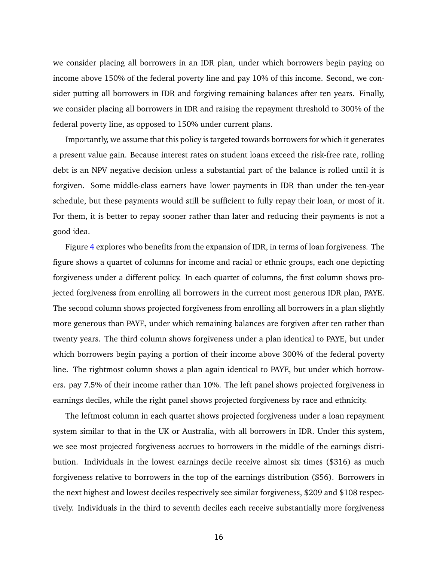we consider placing all borrowers in an IDR plan, under which borrowers begin paying on income above 150% of the federal poverty line and pay 10% of this income. Second, we consider putting all borrowers in IDR and forgiving remaining balances after ten years. Finally, we consider placing all borrowers in IDR and raising the repayment threshold to 300% of the federal poverty line, as opposed to 150% under current plans.

Importantly, we assume that this policy is targeted towards borrowers for which it generates a present value gain. Because interest rates on student loans exceed the risk-free rate, rolling debt is an NPV negative decision unless a substantial part of the balance is rolled until it is forgiven. Some middle-class earners have lower payments in IDR than under the ten-year schedule, but these payments would still be sufficient to fully repay their loan, or most of it. For them, it is better to repay sooner rather than later and reducing their payments is not a good idea.

Figure [4](#page-30-0) explores who benefits from the expansion of IDR, in terms of loan forgiveness. The figure shows a quartet of columns for income and racial or ethnic groups, each one depicting forgiveness under a different policy. In each quartet of columns, the first column shows projected forgiveness from enrolling all borrowers in the current most generous IDR plan, PAYE. The second column shows projected forgiveness from enrolling all borrowers in a plan slightly more generous than PAYE, under which remaining balances are forgiven after ten rather than twenty years. The third column shows forgiveness under a plan identical to PAYE, but under which borrowers begin paying a portion of their income above 300% of the federal poverty line. The rightmost column shows a plan again identical to PAYE, but under which borrowers. pay 7.5% of their income rather than 10%. The left panel shows projected forgiveness in earnings deciles, while the right panel shows projected forgiveness by race and ethnicity.

The leftmost column in each quartet shows projected forgiveness under a loan repayment system similar to that in the UK or Australia, with all borrowers in IDR. Under this system, we see most projected forgiveness accrues to borrowers in the middle of the earnings distribution. Individuals in the lowest earnings decile receive almost six times (\$316) as much forgiveness relative to borrowers in the top of the earnings distribution (\$56). Borrowers in the next highest and lowest deciles respectively see similar forgiveness, \$209 and \$108 respectively. Individuals in the third to seventh deciles each receive substantially more forgiveness

16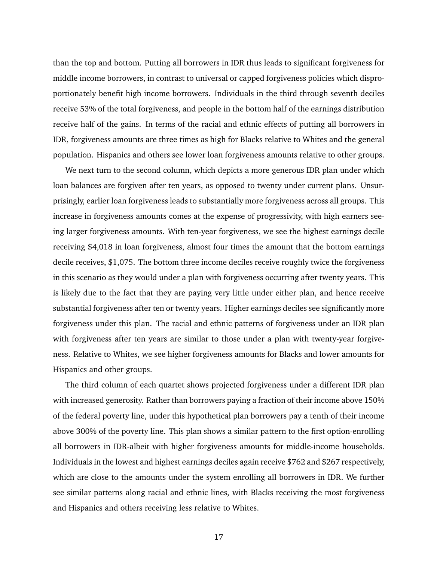than the top and bottom. Putting all borrowers in IDR thus leads to significant forgiveness for middle income borrowers, in contrast to universal or capped forgiveness policies which disproportionately benefit high income borrowers. Individuals in the third through seventh deciles receive 53% of the total forgiveness, and people in the bottom half of the earnings distribution receive half of the gains. In terms of the racial and ethnic effects of putting all borrowers in IDR, forgiveness amounts are three times as high for Blacks relative to Whites and the general population. Hispanics and others see lower loan forgiveness amounts relative to other groups.

We next turn to the second column, which depicts a more generous IDR plan under which loan balances are forgiven after ten years, as opposed to twenty under current plans. Unsurprisingly, earlier loan forgiveness leads to substantially more forgiveness across all groups. This increase in forgiveness amounts comes at the expense of progressivity, with high earners seeing larger forgiveness amounts. With ten-year forgiveness, we see the highest earnings decile receiving \$4,018 in loan forgiveness, almost four times the amount that the bottom earnings decile receives, \$1,075. The bottom three income deciles receive roughly twice the forgiveness in this scenario as they would under a plan with forgiveness occurring after twenty years. This is likely due to the fact that they are paying very little under either plan, and hence receive substantial forgiveness after ten or twenty years. Higher earnings deciles see significantly more forgiveness under this plan. The racial and ethnic patterns of forgiveness under an IDR plan with forgiveness after ten years are similar to those under a plan with twenty-year forgiveness. Relative to Whites, we see higher forgiveness amounts for Blacks and lower amounts for Hispanics and other groups.

The third column of each quartet shows projected forgiveness under a different IDR plan with increased generosity. Rather than borrowers paying a fraction of their income above 150% of the federal poverty line, under this hypothetical plan borrowers pay a tenth of their income above 300% of the poverty line. This plan shows a similar pattern to the first option-enrolling all borrowers in IDR-albeit with higher forgiveness amounts for middle-income households. Individuals in the lowest and highest earnings deciles again receive \$762 and \$267 respectively, which are close to the amounts under the system enrolling all borrowers in IDR. We further see similar patterns along racial and ethnic lines, with Blacks receiving the most forgiveness and Hispanics and others receiving less relative to Whites.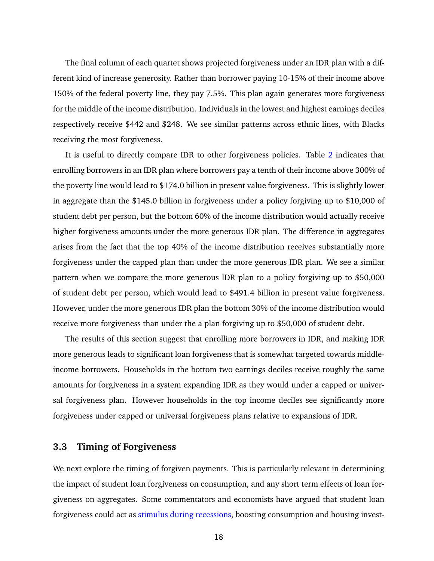The final column of each quartet shows projected forgiveness under an IDR plan with a different kind of increase generosity. Rather than borrower paying 10-15% of their income above 150% of the federal poverty line, they pay 7.5%. This plan again generates more forgiveness for the middle of the income distribution. Individuals in the lowest and highest earnings deciles respectively receive \$442 and \$248. We see similar patterns across ethnic lines, with Blacks receiving the most forgiveness.

It is useful to directly compare IDR to other forgiveness policies. Table [2](#page-36-0) indicates that enrolling borrowers in an IDR plan where borrowers pay a tenth of their income above 300% of the poverty line would lead to \$174.0 billion in present value forgiveness. This is slightly lower in aggregate than the \$145.0 billion in forgiveness under a policy forgiving up to \$10,000 of student debt per person, but the bottom 60% of the income distribution would actually receive higher forgiveness amounts under the more generous IDR plan. The difference in aggregates arises from the fact that the top 40% of the income distribution receives substantially more forgiveness under the capped plan than under the more generous IDR plan. We see a similar pattern when we compare the more generous IDR plan to a policy forgiving up to \$50,000 of student debt per person, which would lead to \$491.4 billion in present value forgiveness. However, under the more generous IDR plan the bottom 30% of the income distribution would receive more forgiveness than under the a plan forgiving up to \$50,000 of student debt.

The results of this section suggest that enrolling more borrowers in IDR, and making IDR more generous leads to significant loan forgiveness that is somewhat targeted towards middleincome borrowers. Households in the bottom two earnings deciles receive roughly the same amounts for forgiveness in a system expanding IDR as they would under a capped or universal forgiveness plan. However households in the top income deciles see significantly more forgiveness under capped or universal forgiveness plans relative to expansions of IDR.

## **3.3 Timing of Forgiveness**

We next explore the timing of forgiven payments. This is particularly relevant in determining the impact of student loan forgiveness on consumption, and any short term effects of loan forgiveness on aggregates. Some commentators and economists have argued that student loan forgiveness could act as [stimulus during recessions,](https://www.npr.org/2019/11/25/782070151/forgiving-student-debt-would-boost-economy) boosting consumption and housing invest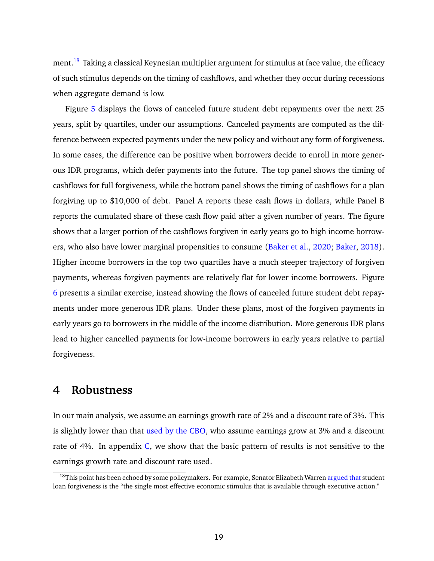ment.<sup>[18](#page-19-0)</sup> Taking a classical Keynesian multiplier argument for stimulus at face value, the efficacy of such stimulus depends on the timing of cashflows, and whether they occur during recessions when aggregate demand is low.

Figure [5](#page-31-0) displays the flows of canceled future student debt repayments over the next 25 years, split by quartiles, under our assumptions. Canceled payments are computed as the difference between expected payments under the new policy and without any form of forgiveness. In some cases, the difference can be positive when borrowers decide to enroll in more generous IDR programs, which defer payments into the future. The top panel shows the timing of cashflows for full forgiveness, while the bottom panel shows the timing of cashflows for a plan forgiving up to \$10,000 of debt. Panel A reports these cash flows in dollars, while Panel B reports the cumulated share of these cash flow paid after a given number of years. The figure shows that a larger portion of the cashflows forgiven in early years go to high income borrowers, who also have lower marginal propensities to consume [\(Baker et al.,](#page-23-9) [2020;](#page-23-9) [Baker,](#page-23-10) [2018\)](#page-23-10). Higher income borrowers in the top two quartiles have a much steeper trajectory of forgiven payments, whereas forgiven payments are relatively flat for lower income borrowers. Figure [6](#page-32-0) presents a similar exercise, instead showing the flows of canceled future student debt repayments under more generous IDR plans. Under these plans, most of the forgiven payments in early years go to borrowers in the middle of the income distribution. More generous IDR plans lead to higher cancelled payments for low-income borrowers in early years relative to partial forgiveness.

## **4 Robustness**

In our main analysis, we assume an earnings growth rate of 2% and a discount rate of 3%. This is slightly lower than that [used by the CBO,](https://www.cbo.gov/system/files/2020-02/55968-CBO-IDRP.pdf) who assume earnings grow at 3% and a discount rate of 4%. In appendix  $C$ , we show that the basic pattern of results is not sensitive to the earnings growth rate and discount rate used.

<span id="page-19-0"></span><sup>&</sup>lt;sup>18</sup>This point has been echoed by some policymakers. For example, Senator Elizabeth Warren [argued that](https://www.cnbc.com/2021/02/10/10000-50000-the-possibilities-for-student-loan-forgiveness-.html) student loan forgiveness is the "the single most effective economic stimulus that is available through executive action."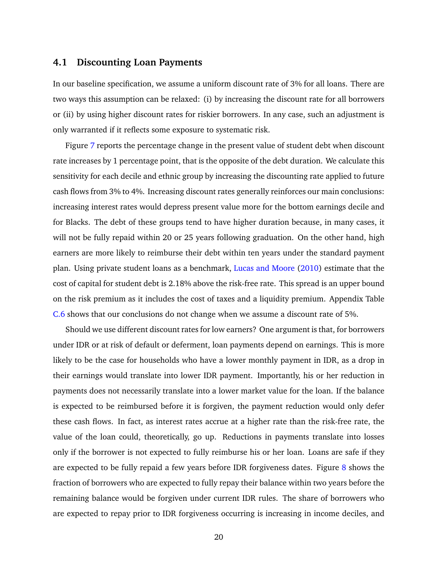#### **4.1 Discounting Loan Payments**

In our baseline specification, we assume a uniform discount rate of 3% for all loans. There are two ways this assumption can be relaxed: (i) by increasing the discount rate for all borrowers or (ii) by using higher discount rates for riskier borrowers. In any case, such an adjustment is only warranted if it reflects some exposure to systematic risk.

Figure [7](#page-33-0) reports the percentage change in the present value of student debt when discount rate increases by 1 percentage point, that is the opposite of the debt duration. We calculate this sensitivity for each decile and ethnic group by increasing the discounting rate applied to future cash flows from 3% to 4%. Increasing discount rates generally reinforces our main conclusions: increasing interest rates would depress present value more for the bottom earnings decile and for Blacks. The debt of these groups tend to have higher duration because, in many cases, it will not be fully repaid within 20 or 25 years following graduation. On the other hand, high earners are more likely to reimburse their debt within ten years under the standard payment plan. Using private student loans as a benchmark, [Lucas and Moore](#page-25-3) [\(2010\)](#page-25-3) estimate that the cost of capital for student debt is 2.18% above the risk-free rate. This spread is an upper bound on the risk premium as it includes the cost of taxes and a liquidity premium. Appendix Table [C.6](#page-52-0) shows that our conclusions do not change when we assume a discount rate of 5%.

Should we use different discount rates for low earners? One argument is that, for borrowers under IDR or at risk of default or deferment, loan payments depend on earnings. This is more likely to be the case for households who have a lower monthly payment in IDR, as a drop in their earnings would translate into lower IDR payment. Importantly, his or her reduction in payments does not necessarily translate into a lower market value for the loan. If the balance is expected to be reimbursed before it is forgiven, the payment reduction would only defer these cash flows. In fact, as interest rates accrue at a higher rate than the risk-free rate, the value of the loan could, theoretically, go up. Reductions in payments translate into losses only if the borrower is not expected to fully reimburse his or her loan. Loans are safe if they are expected to be fully repaid a few years before IDR forgiveness dates. Figure [8](#page-34-0) shows the fraction of borrowers who are expected to fully repay their balance within two years before the remaining balance would be forgiven under current IDR rules. The share of borrowers who are expected to repay prior to IDR forgiveness occurring is increasing in income deciles, and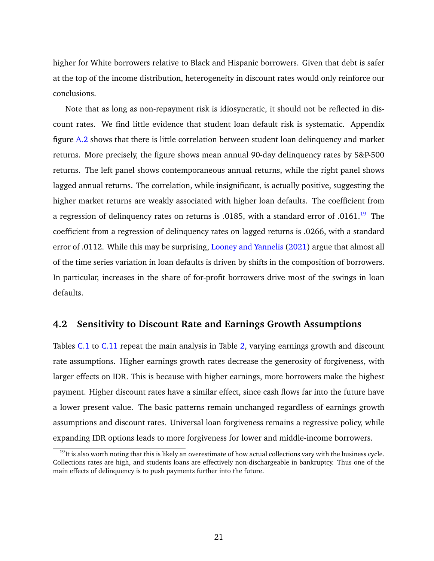higher for White borrowers relative to Black and Hispanic borrowers. Given that debt is safer at the top of the income distribution, heterogeneity in discount rates would only reinforce our conclusions.

Note that as long as non-repayment risk is idiosyncratic, it should not be reflected in discount rates. We find little evidence that student loan default risk is systematic. Appendix figure [A.2](#page-38-0) shows that there is little correlation between student loan delinquency and market returns. More precisely, the figure shows mean annual 90-day delinquency rates by S&P-500 returns. The left panel shows contemporaneous annual returns, while the right panel shows lagged annual returns. The correlation, while insignificant, is actually positive, suggesting the higher market returns are weakly associated with higher loan defaults. The coefficient from a regression of delinquency rates on returns is .0185, with a standard error of .0161.<sup>[19](#page-21-0)</sup> The coefficient from a regression of delinquency rates on lagged returns is .0266, with a standard error of .0112. While this may be surprising, [Looney and Yannelis](#page-25-14) [\(2021\)](#page-25-14) argue that almost all of the time series variation in loan defaults is driven by shifts in the composition of borrowers. In particular, increases in the share of for-profit borrowers drive most of the swings in loan defaults.

## **4.2 Sensitivity to Discount Rate and Earnings Growth Assumptions**

Tables [C.1](#page-47-0) to [C.11](#page-57-0) repeat the main analysis in Table [2,](#page-36-0) varying earnings growth and discount rate assumptions. Higher earnings growth rates decrease the generosity of forgiveness, with larger effects on IDR. This is because with higher earnings, more borrowers make the highest payment. Higher discount rates have a similar effect, since cash flows far into the future have a lower present value. The basic patterns remain unchanged regardless of earnings growth assumptions and discount rates. Universal loan forgiveness remains a regressive policy, while expanding IDR options leads to more forgiveness for lower and middle-income borrowers.

<span id="page-21-0"></span> $19$ It is also worth noting that this is likely an overestimate of how actual collections vary with the business cycle. Collections rates are high, and students loans are effectively non-dischargeable in bankruptcy. Thus one of the main effects of delinquency is to push payments further into the future.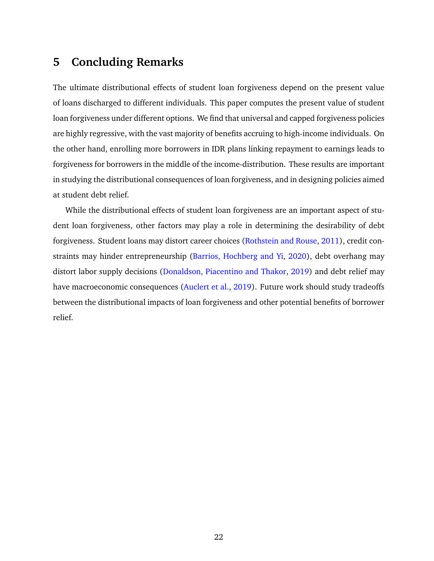# <span id="page-22-0"></span>**5 Concluding Remarks**

The ultimate distributional effects of student loan forgiveness depend on the present value of loans discharged to different individuals. This paper computes the present value of student loan forgiveness under different options. We find that universal and capped forgiveness policies are highly regressive, with the vast majority of benefits accruing to high-income individuals. On the other hand, enrolling more borrowers in IDR plans linking repayment to earnings leads to forgiveness for borrowers in the middle of the income-distribution. These results are important in studying the distributional consequences of loan forgiveness, and in designing policies aimed at student debt relief.

While the distributional effects of student loan forgiveness are an important aspect of student loan forgiveness, other factors may play a role in determining the desirability of debt forgiveness. Student loans may distort career choices [\(Rothstein and Rouse,](#page-25-15) [2011\)](#page-25-15), credit constraints may hinder entrepreneurship [\(Barrios, Hochberg and Yi,](#page-23-11) [2020\)](#page-23-11), debt overhang may distort labor supply decisions [\(Donaldson, Piacentino and Thakor,](#page-24-16) [2019\)](#page-24-16) and debt relief may have macroeconomic consequences [\(Auclert et al.,](#page-23-12) [2019\)](#page-23-12). Future work should study tradeoffs between the distributional impacts of loan forgiveness and other potential benefits of borrower relief.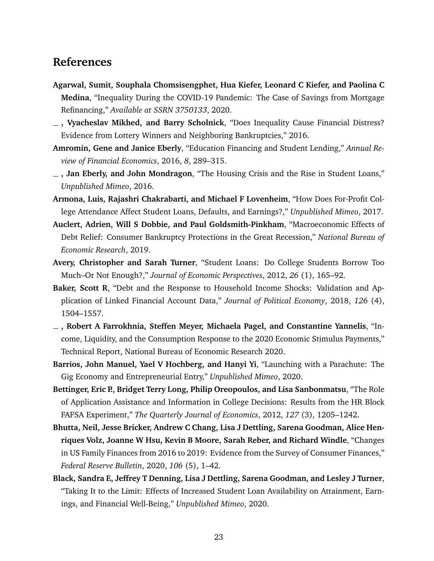# **References**

- <span id="page-23-5"></span>**Agarwal, Sumit, Souphala Chomsisengphet, Hua Kiefer, Leonard C Kiefer, and Paolina C Medina**, "Inequality During the COVID-19 Pandemic: The Case of Savings from Mortgage Refinancing," *Available at SSRN 3750133*, 2020.
- <span id="page-23-6"></span>**, Vyacheslav Mikhed, and Barry Scholnick**, "Does Inequality Cause Financial Distress? Evidence from Lottery Winners and Neighboring Bankruptcies," 2016.
- <span id="page-23-0"></span>**Amromin, Gene and Janice Eberly**, "Education Financing and Student Lending," *Annual Review of Financial Economics*, 2016, *8*, 289–315.
- <span id="page-23-2"></span>**, Jan Eberly, and John Mondragon**, "The Housing Crisis and the Rise in Student Loans," *Unpublished Mimeo*, 2016.
- <span id="page-23-4"></span>**Armona, Luis, Rajashri Chakrabarti, and Michael F Lovenheim**, "How Does For-Profit College Attendance Affect Student Loans, Defaults, and Earnings?," *Unpublished Mimeo*, 2017.
- <span id="page-23-12"></span>**Auclert, Adrien, Will S Dobbie, and Paul Goldsmith-Pinkham**, "Macroeconomic Effects of Debt Relief: Consumer Bankruptcy Protections in the Great Recession," *National Bureau of Economic Research*, 2019.
- <span id="page-23-1"></span>**Avery, Christopher and Sarah Turner**, "Student Loans: Do College Students Borrow Too Much–Or Not Enough?," *Journal of Economic Perspectives*, 2012, *26* (1), 165–92.
- <span id="page-23-10"></span>**Baker, Scott R**, "Debt and the Response to Household Income Shocks: Validation and Application of Linked Financial Account Data," *Journal of Political Economy*, 2018, *126* (4), 1504–1557.
- <span id="page-23-9"></span>**, Robert A Farrokhnia, Steffen Meyer, Michaela Pagel, and Constantine Yannelis**, "Income, Liquidity, and the Consumption Response to the 2020 Economic Stimulus Payments," Technical Report, National Bureau of Economic Research 2020.
- <span id="page-23-11"></span>**Barrios, John Manuel, Yael V Hochberg, and Hanyi Yi**, "Launching with a Parachute: The Gig Economy and Entrepreneurial Entry," *Unpublished Mimeo*, 2020.
- <span id="page-23-7"></span>**Bettinger, Eric P., Bridget Terry Long, Philip Oreopoulos, and Lisa Sanbonmatsu**, "The Role of Application Assistance and Information in College Decisions: Results from the HR Block FAFSA Experiment," *The Quarterly Journal of Economics*, 2012, *127* (3), 1205–1242.
- <span id="page-23-8"></span>**Bhutta, Neil, Jesse Bricker, Andrew C Chang, Lisa J Dettling, Sarena Goodman, Alice Henriques Volz, Joanne W Hsu, Kevin B Moore, Sarah Reber, and Richard Windle**, "Changes in US Family Finances from 2016 to 2019: Evidence from the Survey of Consumer Finances," *Federal Reserve Bulletin*, 2020, *106* (5), 1–42.
- <span id="page-23-3"></span>**Black, Sandra E, Jeffrey T Denning, Lisa J Dettling, Sarena Goodman, and Lesley J Turner**, "Taking It to the Limit: Effects of Increased Student Loan Availability on Attainment, Earnings, and Financial Well-Being," *Unpublished Mimeo*, 2020.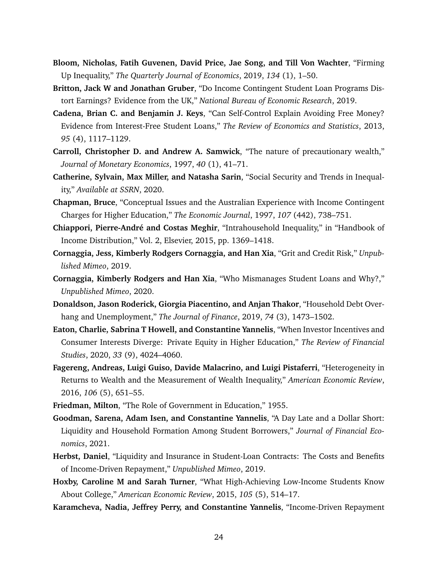- <span id="page-24-5"></span>**Bloom, Nicholas, Fatih Guvenen, David Price, Jae Song, and Till Von Wachter**, "Firming Up Inequality," *The Quarterly Journal of Economics*, 2019, *134* (1), 1–50.
- <span id="page-24-11"></span>**Britton, Jack W and Jonathan Gruber**, "Do Income Contingent Student Loan Programs Distort Earnings? Evidence from the UK," *National Bureau of Economic Research*, 2019.
- <span id="page-24-2"></span>**Cadena, Brian C. and Benjamin J. Keys**, "Can Self-Control Explain Avoiding Free Money? Evidence from Interest-Free Student Loans," *The Review of Economics and Statistics*, 2013, *95* (4), 1117–1129.
- <span id="page-24-14"></span>**Carroll, Christopher D. and Andrew A. Samwick**, "The nature of precautionary wealth," *Journal of Monetary Economics*, 1997, *40* (1), 41–71.
- <span id="page-24-7"></span>**Catherine, Sylvain, Max Miller, and Natasha Sarin**, "Social Security and Trends in Inequality," *Available at SSRN*, 2020.
- <span id="page-24-15"></span>**Chapman, Bruce**, "Conceptual Issues and the Australian Experience with Income Contingent Charges for Higher Education," *The Economic Journal*, 1997, *107* (442), 738–751.
- <span id="page-24-6"></span>**Chiappori, Pierre-André and Costas Meghir**, "Intrahousehold Inequality," in "Handbook of Income Distribution," Vol. 2, Elsevier, 2015, pp. 1369–1418.
- <span id="page-24-3"></span>**Cornaggia, Jess, Kimberly Rodgers Cornaggia, and Han Xia**, "Grit and Credit Risk," *Unpublished Mimeo*, 2019.
- <span id="page-24-4"></span>**Cornaggia, Kimberly Rodgers and Han Xia**, "Who Mismanages Student Loans and Why?," *Unpublished Mimeo*, 2020.
- <span id="page-24-16"></span>**Donaldson, Jason Roderick, Giorgia Piacentino, and Anjan Thakor**, "Household Debt Overhang and Unemployment," *The Journal of Finance*, 2019, *74* (3), 1473–1502.
- <span id="page-24-1"></span>**Eaton, Charlie, Sabrina T Howell, and Constantine Yannelis**, "When Investor Incentives and Consumer Interests Diverge: Private Equity in Higher Education," *The Review of Financial Studies*, 2020, *33* (9), 4024–4060.
- <span id="page-24-8"></span>**Fagereng, Andreas, Luigi Guiso, Davide Malacrino, and Luigi Pistaferri**, "Heterogeneity in Returns to Wealth and the Measurement of Wealth Inequality," *American Economic Review*, 2016, *106* (5), 651–55.
- <span id="page-24-9"></span><span id="page-24-0"></span>**Friedman, Milton**, "The Role of Government in Education," 1955.
- **Goodman, Sarena, Adam Isen, and Constantine Yannelis**, "A Day Late and a Dollar Short: Liquidity and Household Formation Among Student Borrowers," *Journal of Financial Economics*, 2021.
- <span id="page-24-10"></span>**Herbst, Daniel**, "Liquidity and Insurance in Student-Loan Contracts: The Costs and Benefits of Income-Driven Repayment," *Unpublished Mimeo*, 2019.
- <span id="page-24-13"></span>**Hoxby, Caroline M and Sarah Turner**, "What High-Achieving Low-Income Students Know About College," *American Economic Review*, 2015, *105* (5), 514–17.
- <span id="page-24-12"></span>**Karamcheva, Nadia, Jeffrey Perry, and Constantine Yannelis**, "Income-Driven Repayment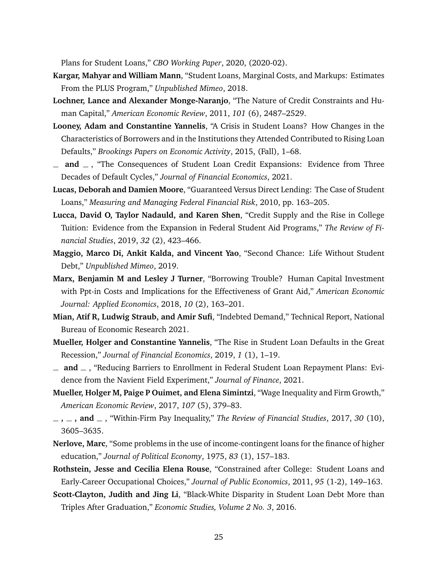Plans for Student Loans," *CBO Working Paper*, 2020, (2020-02).

- <span id="page-25-2"></span>**Kargar, Mahyar and William Mann**, "Student Loans, Marginal Costs, and Markups: Estimates From the PLUS Program," *Unpublished Mimeo*, 2018.
- <span id="page-25-4"></span>**Lochner, Lance and Alexander Monge-Naranjo**, "The Nature of Credit Constraints and Human Capital," *American Economic Review*, 2011, *101* (6), 2487–2529.
- <span id="page-25-0"></span>**Looney, Adam and Constantine Yannelis**, "A Crisis in Student Loans? How Changes in the Characteristics of Borrowers and in the Institutions they Attended Contributed to Rising Loan Defaults," *Brookings Papers on Economic Activity*, 2015, (Fall), 1–68.
- <span id="page-25-14"></span> $\Box$  **and**  $\Box$ , "The Consequences of Student Loan Credit Expansions: Evidence from Three Decades of Default Cycles," *Journal of Financial Economics*, 2021.
- <span id="page-25-3"></span>**Lucas, Deborah and Damien Moore**, "Guaranteed Versus Direct Lending: The Case of Student Loans," *Measuring and Managing Federal Financial Risk*, 2010, pp. 163–205.
- <span id="page-25-1"></span>**Lucca, David O, Taylor Nadauld, and Karen Shen**, "Credit Supply and the Rise in College Tuition: Evidence from the Expansion in Federal Student Aid Programs," *The Review of Financial Studies*, 2019, *32* (2), 423–466.
- <span id="page-25-5"></span>**Maggio, Marco Di, Ankit Kalda, and Vincent Yao**, "Second Chance: Life Without Student Debt," *Unpublished Mimeo*, 2019.
- <span id="page-25-7"></span>**Marx, Benjamin M and Lesley J Turner**, "Borrowing Trouble? Human Capital Investment with Ppt-in Costs and Implications for the Effectiveness of Grant Aid," *American Economic Journal: Applied Economics*, 2018, *10* (2), 163–201.
- <span id="page-25-9"></span>**Mian, Atif R, Ludwig Straub, and Amir Sufi**, "Indebted Demand," Technical Report, National Bureau of Economic Research 2021.
- <span id="page-25-12"></span>**Mueller, Holger and Constantine Yannelis**, "The Rise in Student Loan Defaults in the Great Recession," *Journal of Financial Economics*, 2019, *1* (1), 1–19.
- <span id="page-25-8"></span> $\Box$  and  $\Box$ , "Reducing Barriers to Enrollment in Federal Student Loan Repayment Plans: Evidence from the Navient Field Experiment," *Journal of Finance*, 2021.
- <span id="page-25-10"></span>**Mueller, Holger M, Paige P Ouimet, and Elena Simintzi**, "Wage Inequality and Firm Growth," *American Economic Review*, 2017, *107* (5), 379–83.
- <span id="page-25-13"></span>**, , and** , "Within-Firm Pay Inequality," *The Review of Financial Studies*, 2017, *30* (10), 3605–3635.
- <span id="page-25-11"></span>**Nerlove, Marc**, "Some problems in the use of income-contingent loans for the finance of higher education," *Journal of Political Economy*, 1975, *83* (1), 157–183.
- <span id="page-25-15"></span>**Rothstein, Jesse and Cecilia Elena Rouse**, "Constrained after College: Student Loans and Early-Career Occupational Choices," *Journal of Public Economics*, 2011, *95* (1-2), 149–163.
- <span id="page-25-6"></span>**Scott-Clayton, Judith and Jing Li**, "Black-White Disparity in Student Loan Debt More than Triples After Graduation," *Economic Studies, Volume 2 No. 3*, 2016.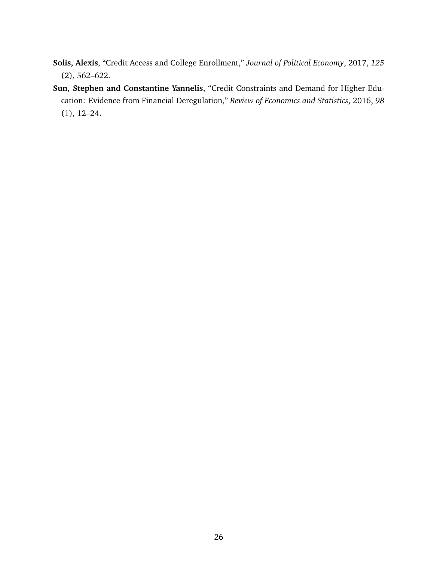- <span id="page-26-0"></span>**Solis, Alexis**, "Credit Access and College Enrollment," *Journal of Political Economy*, 2017, *125* (2), 562–622.
- <span id="page-26-1"></span>**Sun, Stephen and Constantine Yannelis**, "Credit Constraints and Demand for Higher Education: Evidence from Financial Deregulation," *Review of Economics and Statistics*, 2016, *98* (1), 12–24.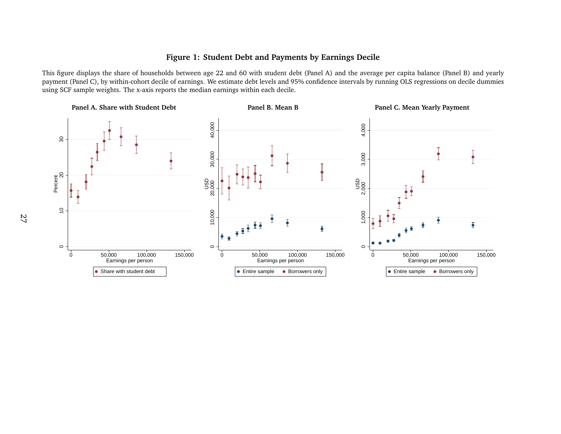#### <span id="page-27-0"></span>**Figure 1: Student Debt and Payments by Earnings Decile**

This figure displays the share of households between age 22 and 60 with student debt (Panel A) and the average per capita balance (Panel B) and yearly paymen<sup>t</sup> (Panel C), by within-cohort decile of earnings. We estimate debt levels and 95% confidence intervals by running OLS regressions on decile dummiesusing SCF sample weights. The x-axis reports the median earnings within each decile.

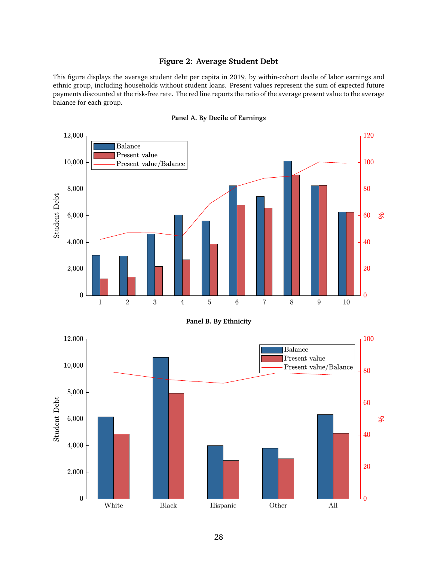#### **Figure 2: Average Student Debt**

<span id="page-28-0"></span>This figure displays the average student debt per capita in 2019, by within-cohort decile of labor earnings and ethnic group, including households without student loans. Present values represent the sum of expected future payments discounted at the risk-free rate. The red line reports the ratio of the average present value to the average balance for each group.



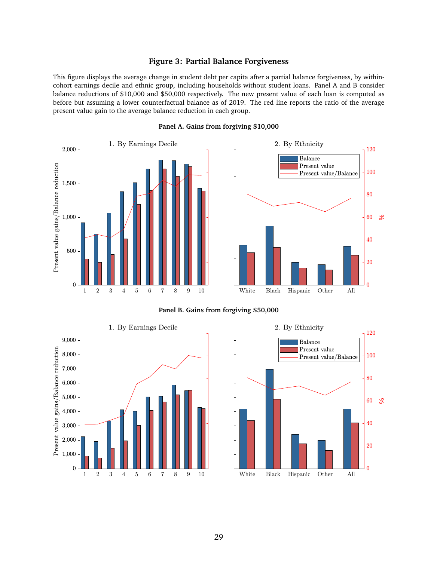#### **Figure 3: Partial Balance Forgiveness**

<span id="page-29-0"></span>This figure displays the average change in student debt per capita after a partial balance forgiveness, by withincohort earnings decile and ethnic group, including households without student loans. Panel A and B consider balance reductions of \$10,000 and \$50,000 respectively. The new present value of each loan is computed as before but assuming a lower counterfactual balance as of 2019. The red line reports the ratio of the average present value gain to the average balance reduction in each group.



#### **Panel A. Gains from forgiving \$10,000**



120

**Panel B. Gains from forgiving \$50,000**



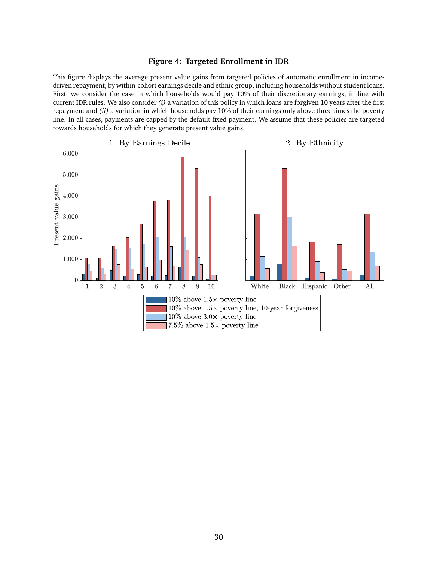#### **Figure 4: Targeted Enrollment in IDR**

<span id="page-30-0"></span>This figure displays the average present value gains from targeted policies of automatic enrollment in incomedriven repayment, by within-cohort earnings decile and ethnic group, including households without student loans. First, we consider the case in which households would pay 10% of their discretionary earnings, in line with current IDR rules. We also consider *(i)* a variation of this policy in which loans are forgiven 10 years after the first repayment and *(ii)* a variation in which households pay 10% of their earnings only above three times the poverty line. In all cases, payments are capped by the default fixed payment. We assume that these policies are targeted towards households for which they generate present value gains.

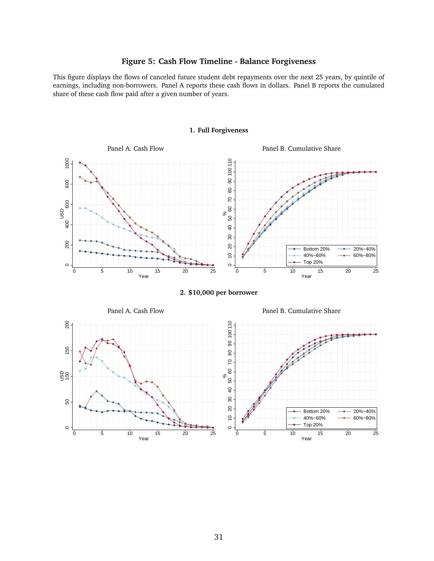#### **Figure 5: Cash Flow Timeline - Balance Forgiveness**

<span id="page-31-0"></span>This figure displays the flows of canceled future student debt repayments over the next 25 years, by quintile of earnings, including non-borrowers. Panel A reports these cash flows in dollars. Panel B reports the cumulated share of these cash flow paid after a given number of years.



#### **1. Full Forgiveness**

**2. \$10,000 per borrower**



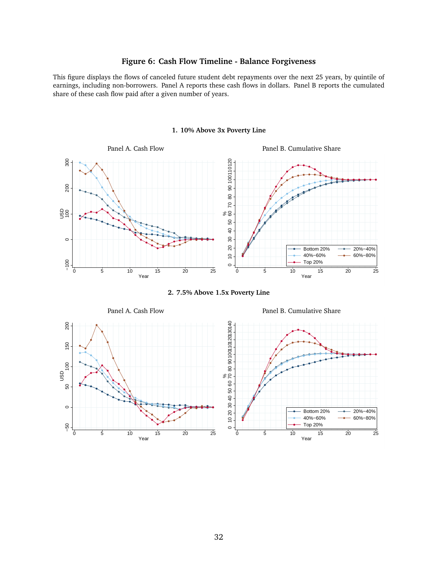#### **Figure 6: Cash Flow Timeline - Balance Forgiveness**

<span id="page-32-0"></span>This figure displays the flows of canceled future student debt repayments over the next 25 years, by quintile of earnings, including non-borrowers. Panel A reports these cash flows in dollars. Panel B reports the cumulated share of these cash flow paid after a given number of years.



#### **1. 10% Above 3x Poverty Line**

**2. 7.5% Above 1.5x Poverty Line**



Panel A. Cash Flow Panel B. Cumulative Share

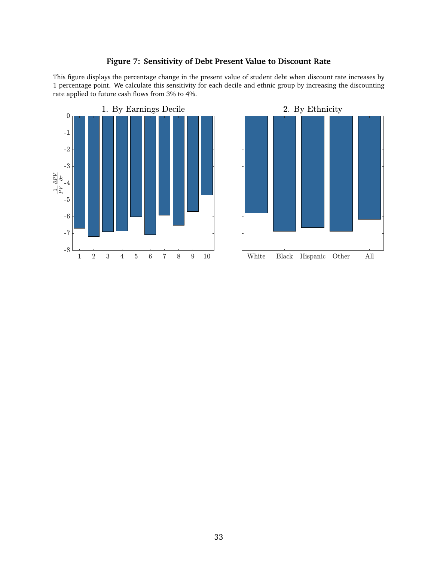

rate applied to future cash flows from 3% to 4%.

#### **Figure 7: Sensitivity of Debt Present Value to Discount Rate**

<span id="page-33-0"></span>This figure displays the percentage change in the present value of student debt when discount rate increases by 1 percentage point. We calculate this sensitivity for each decile and ethnic group by increasing the discounting

> 2. By Ethnicity White  ${\rm Black}$ Other All Hispanic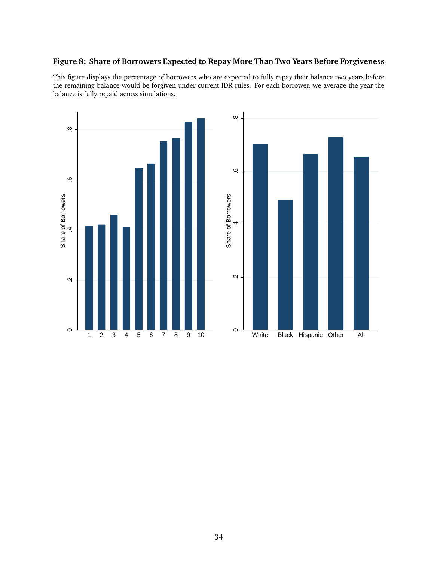#### <span id="page-34-0"></span>**Figure 8: Share of Borrowers Expected to Repay More Than Two Years Before Forgiveness**

This figure displays the percentage of borrowers who are expected to fully repay their balance two years before the remaining balance would be forgiven under current IDR rules. For each borrower, we average the year the balance is fully repaid across simulations.

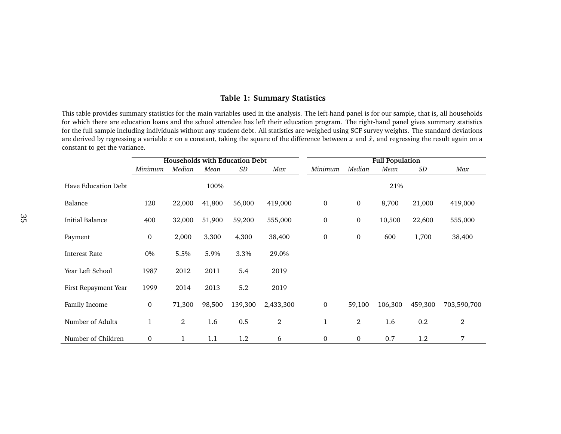#### **Table 1: Summary Statistics**

This table provides summary statistics for the main variables used in the analysis. The left-hand panel is for our sample, that is, all households for which there are education loans and the school attendee has left their education program. The right-hand panel gives summary statistics for the full sample including individuals without any student debt. All statistics are weighed using SCF survey weights. The standard deviationsare derived by regressing a variable  $x$  on a constant, taking the square of the difference between  $x$  and  $\hat{x}$ , and regressing the result again on a constant to ge<sup>t</sup> the variance.

<span id="page-35-0"></span>

|                        |                  |                |        | <b>Households with Education Debt</b> |           |                  |                  | <b>Full Population</b> |         |             |
|------------------------|------------------|----------------|--------|---------------------------------------|-----------|------------------|------------------|------------------------|---------|-------------|
|                        | Minimum          | Median         | Mean   | SD                                    | Max       | Minimum          | Median           | Mean                   | $\,SD$  | Max         |
| Have Education Debt    |                  |                | 100%   |                                       |           |                  |                  | 21%                    |         |             |
| Balance                | 120              | 22,000         | 41,800 | 56,000                                | 419,000   | $\boldsymbol{0}$ | $\mathbf 0$      | 8,700                  | 21,000  | 419,000     |
| <b>Initial Balance</b> | 400              | 32,000         | 51,900 | 59,200                                | 555,000   | $\boldsymbol{0}$ | $\boldsymbol{0}$ | 10,500                 | 22,600  | 555,000     |
| Payment                | $\boldsymbol{0}$ | 2,000          | 3,300  | 4,300                                 | 38,400    | $\boldsymbol{0}$ | $\boldsymbol{0}$ | 600                    | 1,700   | 38,400      |
| <b>Interest Rate</b>   | 0%               | 5.5%           | 5.9%   | 3.3%                                  | 29.0%     |                  |                  |                        |         |             |
| Year Left School       | 1987             | 2012           | 2011   | 5.4                                   | 2019      |                  |                  |                        |         |             |
| First Repayment Year   | 1999             | 2014           | 2013   | 5.2                                   | 2019      |                  |                  |                        |         |             |
| Family Income          | $\mathbf{0}$     | 71,300         | 98,500 | 139,300                               | 2,433,300 | $\boldsymbol{0}$ | 59,100           | 106,300                | 459,300 | 703,590,700 |
| Number of Adults       | $\mathbf 1$      | $\overline{2}$ | 1.6    | 0.5                                   | 2         | $\mathbf{1}$     | $\overline{2}$   | 1.6                    | 0.2     | 2           |
| Number of Children     | $\mathbf{0}$     | $\mathbf{1}$   | 1.1    | 1.2                                   | 6         | $\mathbf 0$      | $\boldsymbol{0}$ | 0.7                    | 1.2     | 7           |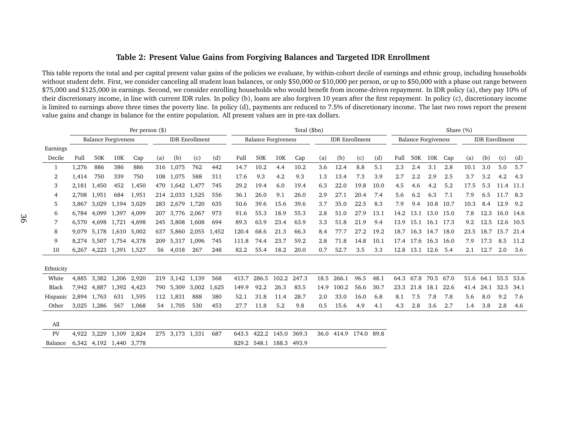#### <span id="page-36-1"></span>Table 2: Present Value Gains from Forgiving Balances and Targeted IDR Enrollment

<span id="page-36-0"></span>

|           |             |             |                            | Per person $(\$)$ |     |                 |                       |       |       |       |                            | Total (\$bn) |      |                       |      |      |      |                            |           | Share (%) |      |           |                       |      |
|-----------|-------------|-------------|----------------------------|-------------------|-----|-----------------|-----------------------|-------|-------|-------|----------------------------|--------------|------|-----------------------|------|------|------|----------------------------|-----------|-----------|------|-----------|-----------------------|------|
|           |             |             | <b>Balance Forgiveness</b> |                   |     |                 | <b>IDR</b> Enrollment |       |       |       | <b>Balance Forgiveness</b> |              |      | <b>IDR</b> Enrollment |      |      |      | <b>Balance Forgiveness</b> |           |           |      |           | <b>IDR</b> Enrollment |      |
| Earnings  |             |             |                            |                   |     |                 |                       |       |       |       |                            |              |      |                       |      |      |      |                            |           |           |      |           |                       |      |
| Decile    | Full        | 50K         | 10K                        | Cap               | (a) | (b)             | (c)                   | (d)   | Full  | 50K   | 10K                        | Cap          | (a)  | (b)                   | (c)  | (d)  | Full | 50K                        | 10K       | Cap       | (a)  | (b)       | (c)                   | (d)  |
| 1         | 1,276       | 886         | 386                        | 886               | 316 | 1,075           | 762                   | 442   | 14.7  | 10.2  | 4.4                        | 10.2         | 3.6  | 12.4                  | 8.8  | 5.1  | 2.3  | 2.4                        | 3.1       | 2.8       | 10.1 | 3.0       | 5.0                   | 5.7  |
| 2         | 1,414       | 750         | 339                        | 750               | 108 | 1,075           | 588                   | 311   | 17.6  | 9.3   | 4.2                        | 9.3          | 1.3  | 13.4                  | 7.3  | 3.9  | 2.7  | 2.2                        | 2.9       | 2.5       | 3.7  | 3.2       | 4.2                   | 4.3  |
| 3         | 2,181       | 1,450       | 452                        | 1,450             | 470 | 1,642           | 1,477                 | 745   | 29.2  | 19.4  | 6.0                        | 19.4         | 6.3  | 22.0                  | 19.8 | 10.0 | 4.5  | 4.6                        | 4.2       | 5.2       | 17.5 | 5.3       | 11.4                  | 11.1 |
| 4         | 2,708       | 1,951       | 684                        | 1,951             | 214 | 2,033           | 1,525                 | 556   | 36.1  | 26.0  | 9.1                        | 26.0         | 2.9  | 27.1                  | 20.4 | 7.4  | 5.6  | 6.2                        | 6.3       | 7.1       | 7.9  | 6.5       | 11.7                  | 8.3  |
| 5         | 3,867       | 3.029       | 1,194                      | 3,029             | 283 | 2.679           | 1,720                 | 635   | 50.6  | 39.6  | 15.6                       | 39.6         | 3.7  | 35.0                  | 22.5 | 8.3  | 7.9  | 9.4                        | 10.8      | 10.7      | 10.3 | 8.4       | 12.9                  | 9.2  |
| 6         | 6.784       | 4,099       | 1,397                      | 4,099             | 207 | 3,776           | 2,067                 | 973   | 91.6  | 55.3  | 18.9                       | 55.3         | 2.8  | 51.0                  | 27.9 | 13.1 | 14.2 | 13.1                       | 13.0 15.0 |           | 7.8  | 12.3      | 16.0 14.6             |      |
| 7         |             |             | 6,570 4,698 1,721 4,698    |                   | 245 | 3,808           | 1,608                 | 694   | 89.3  | 63.9  | 23.4                       | 63.9         | 3.3  | 51.8                  | 21.9 | 9.4  | 13.9 | 15.1                       | 16.1 17.3 |           | 9.2  | 12.5      | 12.6 10.5             |      |
| 8         | 9.079       |             | 5,178 1,610 5,002          |                   | 637 | 5.860           | 2,055                 | 1,452 | 120.4 | 68.6  | 21.3                       | 66.3         | 8.4  | 77.7                  | 27.2 | 19.2 | 18.7 | 16.3                       | 14.7 18.0 |           | 23.5 | 18.7      | 15.7                  | 21.4 |
| 9         |             |             | 8,274 5,507 1,754 4,378    |                   | 209 | 5,317           | 1,096                 | 745   | 111.8 | 74.4  | 23.7                       | 59.2         | 2.8  | 71.8                  | 14.8 | 10.1 |      | 17.4 17.6 16.3 16.0        |           |           | 7.9  | 17.3      | 8.5                   | 11.2 |
| 10        |             |             | 6,267 4,223 1,391 1,527    |                   | 56  | 4,018           | 267                   | 248   | 82.2  | 55.4  | 18.2                       | 20.0         | 0.7  | 52.7                  | 3.5  | 3.3  | 12.8 | 13.1 12.6                  |           | -5.4      | 2.1  | 12.7      | 2.0                   | 3.6  |
|           |             |             |                            |                   |     |                 |                       |       |       |       |                            |              |      |                       |      |      |      |                            |           |           |      |           |                       |      |
| Ethnicity |             |             |                            |                   |     |                 |                       |       |       |       |                            |              |      |                       |      |      |      |                            |           |           |      |           |                       |      |
| White     | 4,885       |             | 3,382 1,206 2,920          |                   | 219 | 3,142 1,139     |                       | 568   | 413.7 | 286.5 | 102.2                      | 247.3        | 18.5 | 266.1                 | 96.5 | 48.1 | 64.3 | 67.8                       | 70.5 67.0 |           |      | 51.6 64.1 | 55.5                  | 53.6 |
| Black     |             |             | 7,942 4,887 1,392 4,423    |                   |     | 790 5,309       | 3,002                 | 1,625 | 149.9 | 92.2  | 26.3                       | 83.5         | 14.9 | 100.2                 | 56.6 | 30.7 | 23.3 | 21.8                       | 18.1      | 22.6      | 41.4 | 24.1      | 32.5                  | 34.1 |
| Hispanic  | 2,894 1,763 |             | 631                        | 1,595             |     | 112 1,831       | 888                   | 380   | 52.1  | 31.8  | 11.4                       | 28.7         | 2.0  | 33.0                  | 16.0 | 6.8  | 8.1  | 7.5                        | 7.8       | 7.8       | 5.6  | 8.0       | 9.2                   | 7.6  |
| Other     | 3,025       | 1,286       | 567                        | 1,068             |     | 54 1,705        | 530                   | 453   | 27.7  | 11.8  | 5.2                        | 9.8          | 0.5  | 15.6                  | 4.9  | 4.1  | 4.3  | 2.8                        | 3.6       | 2.7       | 1.4  | 3.8       | 2.8                   | 4.6  |
| All       |             |             |                            |                   |     |                 |                       |       |       |       |                            |              |      |                       |      |      |      |                            |           |           |      |           |                       |      |
| PV        | 4.922       | 3,229 1,109 |                            | 2,824             |     | 275 3,173 1,331 |                       | 687   | 643.5 |       | 422.2 145.0                | 369.3        | 36.0 | 414.9 174.0 89.8      |      |      |      |                            |           |           |      |           |                       |      |
| Balance   |             |             | 6,342 4,192 1,440 3,778    |                   |     |                 |                       |       | 829.2 | 548.1 | 188.3                      | 493.9        |      |                       |      |      |      |                            |           |           |      |           |                       |      |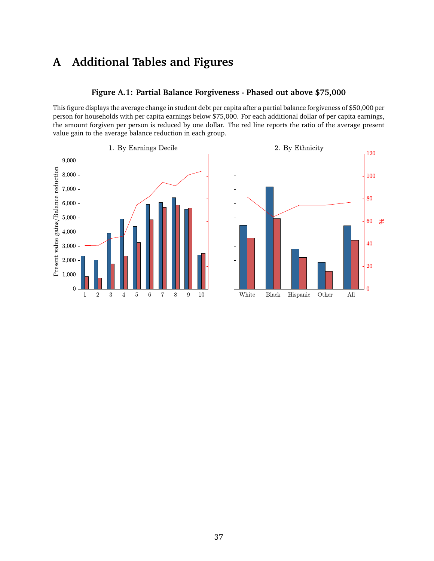# **A Additional Tables and Figures**

#### **Figure A.1: Partial Balance Forgiveness - Phased out above \$75,000**

<span id="page-37-0"></span>This figure displays the average change in student debt per capita after a partial balance forgiveness of \$50,000 per person for households with per capita earnings below \$75,000. For each additional dollar of per capita earnings, the amount forgiven per person is reduced by one dollar. The red line reports the ratio of the average present value gain to the average balance reduction in each group.



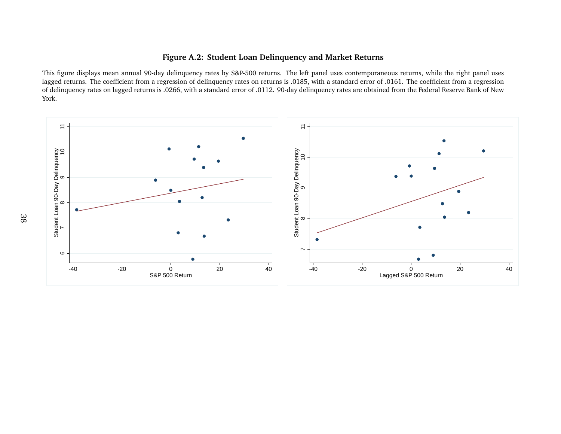#### **Figure A.2: Student Loan Delinquency and Market Returns**

This figure displays mean annual 90-day delinquency rates by S&P-500 returns. The left panel uses contemporaneous returns, while the right panel uses lagged returns. The coefficient from <sup>a</sup> regression of delinquency rates on returns is .0185, with <sup>a</sup> standard error of .0161. The coefficient from <sup>a</sup> regression of delinquency rates on lagged returns is .0266, with <sup>a</sup> standard error of .0112. 90-day delinquency rates are obtained from the Federal Reserve Bank of NewYork.

<span id="page-38-0"></span>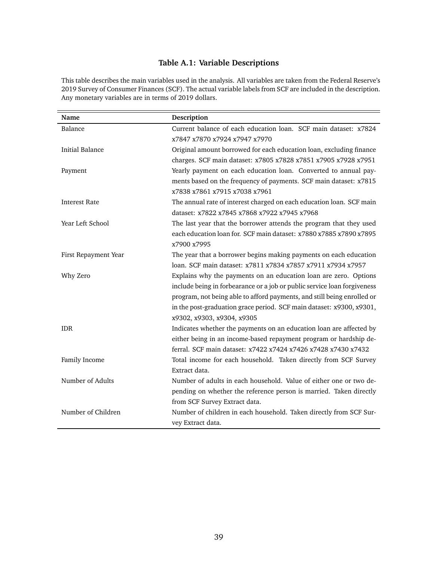#### **Table A.1: Variable Descriptions**

<span id="page-39-0"></span>This table describes the main variables used in the analysis. All variables are taken from the Federal Reserve's 2019 Survey of Consumer Finances (SCF). The actual variable labels from SCF are included in the description. Any monetary variables are in terms of 2019 dollars.

| Name                   | Description                                                              |
|------------------------|--------------------------------------------------------------------------|
| Balance                | Current balance of each education loan. SCF main dataset: x7824          |
|                        | x7847 x7870 x7924 x7947 x7970                                            |
| <b>Initial Balance</b> | Original amount borrowed for each education loan, excluding finance      |
|                        | charges. SCF main dataset: x7805 x7828 x7851 x7905 x7928 x7951           |
| Payment                | Yearly payment on each education loan. Converted to annual pay-          |
|                        | ments based on the frequency of payments. SCF main dataset: x7815        |
|                        | x7838 x7861 x7915 x7038 x7961                                            |
| <b>Interest Rate</b>   | The annual rate of interest charged on each education loan. SCF main     |
|                        | dataset: x7822 x7845 x7868 x7922 x7945 x7968                             |
| Year Left School       | The last year that the borrower attends the program that they used       |
|                        | each education loan for. SCF main dataset: x7880 x7885 x7890 x7895       |
|                        | x7900 x7995                                                              |
| First Repayment Year   | The year that a borrower begins making payments on each education        |
|                        | loan. SCF main dataset: x7811 x7834 x7857 x7911 x7934 x7957              |
| Why Zero               | Explains why the payments on an education loan are zero. Options         |
|                        | include being in forbearance or a job or public service loan forgiveness |
|                        | program, not being able to afford payments, and still being enrolled or  |
|                        | in the post-graduation grace period. SCF main dataset: x9300, x9301,     |
|                        | x9302, x9303, x9304, x9305                                               |
| <b>IDR</b>             | Indicates whether the payments on an education loan are affected by      |
|                        | either being in an income-based repayment program or hardship de-        |
|                        | ferral. SCF main dataset: x7422 x7424 x7426 x7428 x7430 x7432            |
| Family Income          | Total income for each household. Taken directly from SCF Survey          |
|                        | Extract data.                                                            |
| Number of Adults       | Number of adults in each household. Value of either one or two de-       |
|                        | pending on whether the reference person is married. Taken directly       |
|                        | from SCF Survey Extract data.                                            |
| Number of Children     | Number of children in each household. Taken directly from SCF Sur-       |
|                        | vey Extract data.                                                        |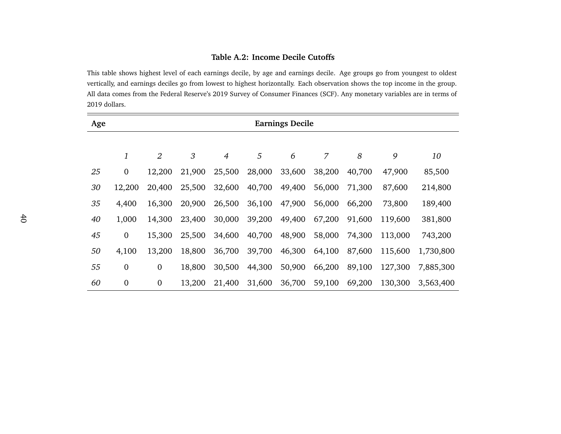#### **Table A.2: Income Decile Cutoffs**

This table shows highest level of each earnings decile, by age and earnings decile. Age groups go from younges<sup>t</sup> to oldestvertically, and earnings deciles go from lowest to highest horizontally. Each observation shows the top income in the group.All data comes from the Federal Reserve's 2019 Survey of Consumer Finances (SCF). Any monetary variables are in terms of2019 dollars.

<span id="page-40-0"></span>

| Age |                  |                |        |                |        | <b>Earnings Decile</b> |                |        |         |           |
|-----|------------------|----------------|--------|----------------|--------|------------------------|----------------|--------|---------|-----------|
|     |                  |                |        |                |        |                        |                |        |         |           |
|     | 1                | $\overline{2}$ | 3      | $\overline{4}$ | 5      | 6                      | $\overline{7}$ | 8      | 9       | 10        |
| 25  | $\mathbf{0}$     | 12,200         | 21,900 | 25,500         | 28,000 | 33,600                 | 38,200         | 40,700 | 47,900  | 85,500    |
| 30  | 12,200           | 20,400         | 25,500 | 32,600         | 40,700 | 49,400                 | 56,000         | 71,300 | 87,600  | 214,800   |
| 35  | 4,400            | 16,300         | 20,900 | 26,500         | 36,100 | 47,900                 | 56,000         | 66,200 | 73,800  | 189,400   |
| 40  | 1,000            | 14,300         | 23,400 | 30,000         | 39,200 | 49,400                 | 67,200         | 91,600 | 119,600 | 381,800   |
| 45  | $\boldsymbol{0}$ | 15,300         | 25,500 | 34,600         | 40,700 | 48,900                 | 58,000         | 74,300 | 113,000 | 743,200   |
| 50  | 4,100            | 13,200         | 18,800 | 36,700         | 39,700 | 46,300                 | 64,100         | 87,600 | 115,600 | 1,730,800 |
| 55  | $\boldsymbol{0}$ | $\mathbf{0}$   | 18,800 | 30,500         | 44,300 | 50,900                 | 66,200         | 89,100 | 127,300 | 7,885,300 |
| 60  | $\boldsymbol{0}$ | $\mathbf{0}$   | 13,200 | 21,400         | 31,600 | 36,700                 | 59,100         | 69,200 | 130,300 | 3,563,400 |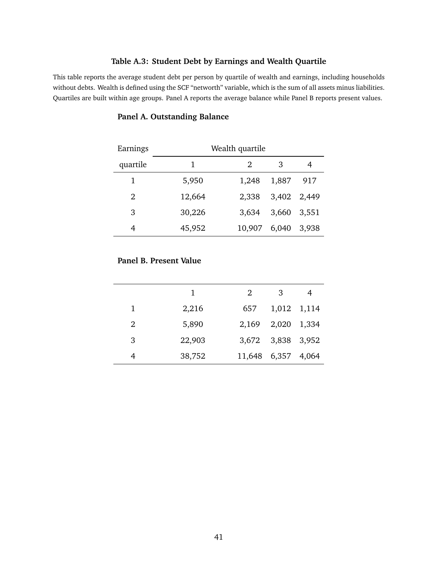#### **Table A.3: Student Debt by Earnings and Wealth Quartile**

<span id="page-41-0"></span>This table reports the average student debt per person by quartile of wealth and earnings, including households without debts. Wealth is defined using the SCF "networth" variable, which is the sum of all assets minus liabilities. Quartiles are built within age groups. Panel A reports the average balance while Panel B reports present values.

| Earnings |        | Wealth quartile |             |       |
|----------|--------|-----------------|-------------|-------|
| quartile |        | 2               | 3           |       |
| 1        | 5,950  | 1,248           | 1,887       | 917   |
| 2        | 12,664 | 2,338           | 3,402       | 2,449 |
| 3        | 30,226 | 3,634           | 3,660 3,551 |       |
| 4        | 45,952 | 10,907          | 6,040       | 3,938 |

### **Panel A. Outstanding Balance**

#### **Panel B. Present Value**

|   | 1      | 2                  | 3                 |  |
|---|--------|--------------------|-------------------|--|
| 1 | 2,216  | 657                | 1,012 1,114       |  |
| 2 | 5,890  | 2,169              | 2,020 1,334       |  |
| 3 | 22,903 |                    | 3,672 3,838 3,952 |  |
|   | 38,752 | 11,648 6,357 4,064 |                   |  |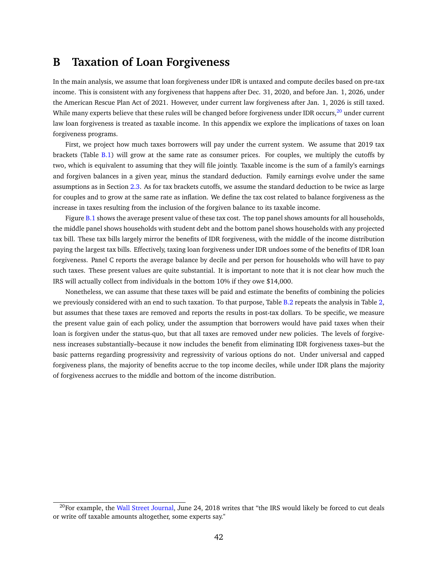## <span id="page-42-0"></span>**B Taxation of Loan Forgiveness**

In the main analysis, we assume that loan forgiveness under IDR is untaxed and compute deciles based on pre-tax income. This is consistent with any forgiveness that happens after Dec. 31, 2020, and before Jan. 1, 2026, under the American Rescue Plan Act of 2021. However, under current law forgiveness after Jan. 1, 2026 is still taxed. While many experts believe that these rules will be changed before forgiveness under IDR occurs, $20$  under current law loan forgiveness is treated as taxable income. In this appendix we explore the implications of taxes on loan forgiveness programs.

First, we project how much taxes borrowers will pay under the current system. We assume that 2019 tax brackets (Table [B.1\)](#page-43-0) will grow at the same rate as consumer prices. For couples, we multiply the cutoffs by two, which is equivalent to assuming that they will file jointly. Taxable income is the sum of a family's earnings and forgiven balances in a given year, minus the standard deduction. Family earnings evolve under the same assumptions as in Section [2.3.](#page-9-2) As for tax brackets cutoffs, we assume the standard deduction to be twice as large for couples and to grow at the same rate as inflation. We define the tax cost related to balance forgiveness as the increase in taxes resulting from the inclusion of the forgiven balance to its taxable income.

Figure [B.1](#page-44-0) shows the average present value of these tax cost. The top panel shows amounts for all households, the middle panel shows households with student debt and the bottom panel shows households with any projected tax bill. These tax bills largely mirror the benefits of IDR forgiveness, with the middle of the income distribution paying the largest tax bills. Effectively, taxing loan forgiveness under IDR undoes some of the benefits of IDR loan forgiveness. Panel C reports the average balance by decile and per person for households who will have to pay such taxes. These present values are quite substantial. It is important to note that it is not clear how much the IRS will actually collect from individuals in the bottom 10% if they owe \$14,000.

Nonetheless, we can assume that these taxes will be paid and estimate the benefits of combining the policies we previously considered with an end to such taxation. To that purpose, Table [B.2](#page-45-0) repeats the analysis in Table [2,](#page-36-0) but assumes that these taxes are removed and reports the results in post-tax dollars. To be specific, we measure the present value gain of each policy, under the assumption that borrowers would have paid taxes when their loan is forgiven under the status-quo, but that all taxes are removed under new policies. The levels of forgiveness increases substantially–because it now includes the benefit from eliminating IDR forgiveness taxes–but the basic patterns regarding progressivity and regressivity of various options do not. Under universal and capped forgiveness plans, the majority of benefits accrue to the top income deciles, while under IDR plans the majority of forgiveness accrues to the middle and bottom of the income distribution.

<span id="page-42-1"></span> $^{20}$ For example, the [Wall Street Journal,](https://www.wsj.com/articles/student-debt-forgiveness-is-a-wonderful-boon-until-the-irs-comes-calling-1529852411) June 24, 2018 writes that "the IRS would likely be forced to cut deals or write off taxable amounts altogether, some experts say."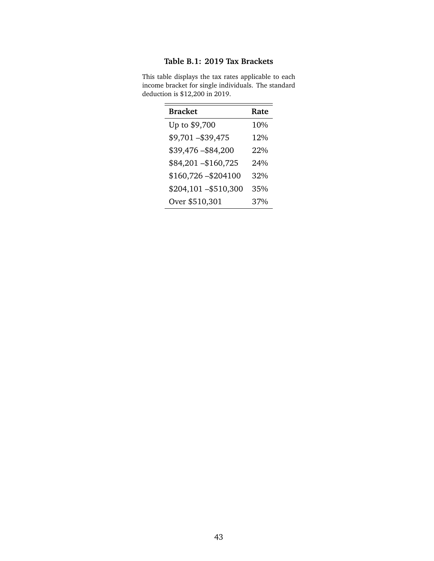### **Table B.1: 2019 Tax Brackets**

| <b>Bracket</b>       | Rate   |
|----------------------|--------|
| Up to \$9,700        | 10%    |
| \$9,701-\$39,475     | 12%    |
| \$39,476-\$84,200    | $22\%$ |
| \$84,201-\$160,725   | 24%    |
| $$160,726 - $204100$ | 32%    |
| \$204,101-\$510,300  | 35%    |
| Over \$510,301       | 37%    |

<span id="page-43-0"></span>This table displays the tax rates applicable to each income bracket for single individuals. The standard deduction is \$12,200 in 2019.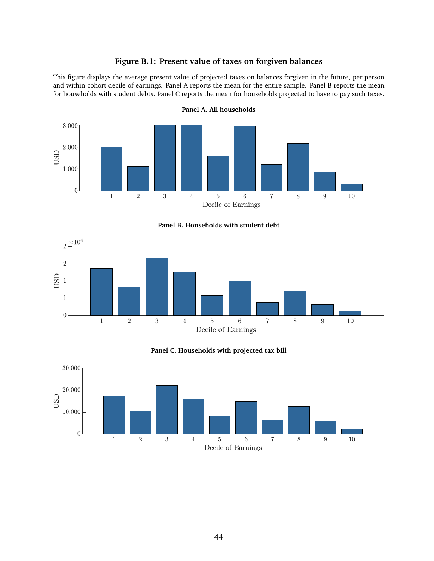#### **Figure B.1: Present value of taxes on forgiven balances**

<span id="page-44-0"></span>This figure displays the average present value of projected taxes on balances forgiven in the future, per person and within-cohort decile of earnings. Panel A reports the mean for the entire sample. Panel B reports the mean for households with student debts. Panel C reports the mean for households projected to have to pay such taxes.



**Panel A. All households**

**Panel B. Households with student debt**





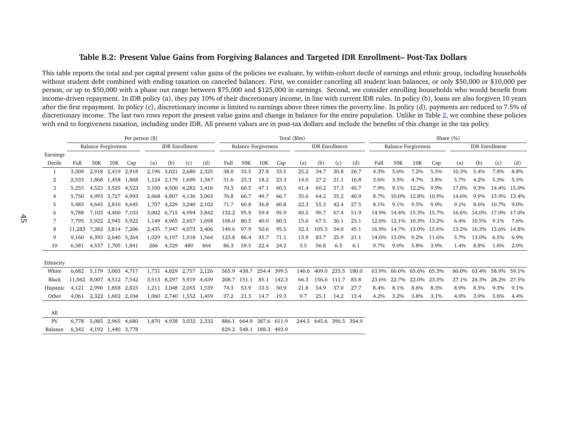#### Table B.2: Present Value Gains from Forgiving Balances and Targeted IDR Enrollment– Post-Tax Dollars

This table reports the total and per capital presen<sup>t</sup> value gains of the policies we evaluate, by within-cohort decile of earnings and ethnic group, including householdswithout student debt combined with ending taxation on canceled balances. First, we consider canceling all student loan balances, or only \$50,000 or \$10,000 per person, or up to \$50,000 with <sup>a</sup> phase out range between \$75,000 and \$125,000 in earnings. Second, we consider enrolling households who would benefit from income-driven repayment. In IDR policy (a), they pay 10% of their discretionary income, in line with current IDR rules. In policy (b), loans are also forgiven 10 years after the first repayment. In policy (c), discretionary income is limited to earnings above three times the poverty line. In policy (d), payments are reduced to 7.5% of discretionary income. The last two rows repor<sup>t</sup> the presen<sup>t</sup> value gains and change in balance for the entire population. Unlike in Table [2,](#page-36-1) we combine these policies with end to forgiveness taxation, including under IDR. All presen<sup>t</sup> values are in post-tax dollars and include the benefits of this change in the tax policy.

<span id="page-45-0"></span>

|           |        | Per person $(\$)$          |                   |       |       |             |                         |       | Total (\$bn) |       |                            |             |       |                       |                   | Share (%) |       |             |                            |       |       |       |                       |       |
|-----------|--------|----------------------------|-------------------|-------|-------|-------------|-------------------------|-------|--------------|-------|----------------------------|-------------|-------|-----------------------|-------------------|-----------|-------|-------------|----------------------------|-------|-------|-------|-----------------------|-------|
|           |        | <b>Balance Forgiveness</b> |                   |       |       |             | <b>IDR</b> Enrollment   |       |              |       | <b>Balance Forgiveness</b> |             |       | <b>IDR</b> Enrollment |                   |           |       |             | <b>Balance Forgiveness</b> |       |       |       | <b>IDR</b> Enrollment |       |
| Earnings  |        |                            |                   |       |       |             |                         |       |              |       |                            |             |       |                       |                   |           |       |             |                            |       |       |       |                       |       |
| Decile    | Full   | 50K                        | 10K               | Cap   | (a)   | (b)         | (c)                     | (d)   | Full         | 50K   | 10K                        | Cap         | (a)   | (b)                   | (c)               | (d)       | Full  | 50K         | 10K                        | Cap   | (a)   | (b)   | (c)                   | (d)   |
|           | 3,309  |                            | 2,918 2,419       | 2,918 | 2,196 | 3,021       | 2,680                   | 2,325 | 38.0         | 33.5  | 27.8                       | 33.5        | 25.2  | 34.7                  | 30.8              | 26.7      | 4.3%  | 5.0%        | 7.2%                       | 5.5%  | 10.3% | 5.4%  | 7.8%                  | 8.8%  |
| 2         | 2.533  | 1,868                      | 1,458 1,868       |       | 1,124 | 2,179       | 1,690 1,347             |       | 31.6         | 23.3  | 18.2                       | 23.3        | 14.0  | 27.2                  | 21.1              | 16.8      | 3.6%  | 3.5%        | 4.7%                       | 3.8%  | 5.7%  | 4.2%  | 5.3%                  | 5.5%  |
| 3         | 5,255  | 4,523                      | 3,525 4,523       |       |       |             | 3,100 4,500 4,282 3,416 |       | 70.3         | 60.5  | 47.1                       | 60.5        | 41.4  | 60.2                  | 57.3              | 45.7      | 7.9%  | 9.1%        | 12.2%                      | 9.9%  | 17.0% | 9.3%  | 14.4%                 | 15.0% |
| 4         | 5,750  | 4,993                      | 3,727             | 4,993 | 2,668 | 4,807       | 4,136 3,063             |       | 76.8         | 66.7  | 49.7                       | 66.7        | 35.6  | 64.2                  | 55.2              | 40.9      | 8.7%  | 10.0%       | 12.8%                      | 10.9% | 14.6% | 9.9%  | 13.9%                 | 13.4% |
| 5         | 5.483  | 4.645                      | 2,810 4,645       |       | 1.707 | 4,229       | 3,240 2,102             |       | 71.7         | 60.8  | 36.8                       | 60.8        | 22.3  | 55.3                  | 42.4              | 27.5      | 8.1%  | 9.1%        | 9.5%                       | 9.9%  | 9.1%  | 8.6%  | 10.7%                 | 9.0%  |
| 6         | 9.788  | 7,103                      | 4,400             | 7,103 |       | 3,002 6,715 | 4,994                   | 3,842 | 132.2        | 95.9  | 59.4                       | 95.9        | 40.5  | 90.7                  | 67.4              | 51.9      | 14.9% | 14.4%       | 15.3% 15.7%                |       | 16.6% | 14.0% | 17.0%                 | 17.0% |
|           | 7.795  |                            | 5,922 2,945 5,922 |       | 1,149 | 4,965       | 2,657 1,698             |       | 106.0        | 80.5  | 40.0                       | 80.5        | 15.6  | 67.5                  | 36.1              | 23.1      | 12.0% | 12.1%       | 10.3% 13.2%                |       | 6.4%  | 10.5% | 9.1%                  | 7.6%  |
| 8         | 11,283 |                            | 7,382 3,814 7,206 |       | 2,435 | 7.947       | 4,073                   | 3,406 | 149.6        | 97.9  | 50.6                       | 95.5        | 32.3  | 105.3                 | 54.0              | 45.1      |       | 16.9% 14.7% | 13.0% 15.6%                |       | 13.2% |       | 16.3% 13.6%           | 14.8% |
| 9         | 9.160  | 6,393                      | 2,640 5,264       |       | 1,029 | 6,197       | 1,918 1,564             |       | 123.8        | 86.4  | 35.7                       | 71.1        | 13.9  | 83.7                  | 25.9              | 21.1      |       | 14.0% 13.0% | 9.2%                       | 11.6% | 5.7%  | 13.0% | 6.5%                  | 6.9%  |
| 10        | 6.581  | 4,537                      | 1,705 1,841       |       | 266   | 4,329       | 480                     | 464   | 86.3         | 59.5  | 22.4                       | 24.2        | 3.5   | 56.8                  | 6.3               | 6.1       | 9.7%  | 9.0%        | 5.8%                       | 3.9%  | 1.4%  | 8.8%  | 1.6%                  | 2.0%  |
| Ethnicity |        |                            |                   |       |       |             |                         |       |              |       |                            |             |       |                       |                   |           |       |             |                            |       |       |       |                       |       |
| White     | 6,682  | 5,179                      | 3,003             | 4,717 | 1,731 | 4,829       | 2,757                   | 2,126 | 565.9        | 438.7 | 254.4                      | 399.5       | 146.6 | 409.0                 | 233.5             | 180.0     | 63.9% | 66.0%       | 65.6% 65.3%                |       | 60.0% |       | 63.4% 58.9%           | 59.1% |
| Black     | 11,062 | 8.007                      | 4,512 7,542       |       |       | 3,513 8,297 | 5,919 4,439             |       | 208.7        | 151.1 | 85.1                       | 142.3       | 66.3  | 156.6                 | 111.7             | 83.8      | 23.6% | 22.7%       | 22.0% 23.3%                |       | 27.1% | 24.3% | 28.2%                 | 27.5% |
| Hispanic  | 4,121  |                            | 2,990 1,858       | 2,823 | 1,211 | 3,048       | 2,055 1,539             |       | 74.3         | 53.9  | 33.5                       | 50.9        | 21.8  | 54.9                  | 37.0              | 27.7      | 8.4%  | 8.1%        | 8.6%                       | 8.3%  | 8.9%  | 8.5%  | 9.3%                  | 9.1%  |
| Other     | 4.061  | 2,322                      | 1,602             | 2,104 | 1,060 |             | 2,740 1,552 1,459       |       | 37.2         | 21.3  | 14.7                       | 19.3        | 9.7   | 25.1                  | 14.2              | 13.4      | 4.2%  | 3.2%        | 3.8%                       | 3.1%  | 4.0%  | 3.9%  | 3.6%                  | 4.4%  |
| All       |        |                            |                   |       |       |             |                         |       |              |       |                            |             |       |                       |                   |           |       |             |                            |       |       |       |                       |       |
| PV        | 6,778  |                            | 5,085 2,965 4,680 |       |       |             | 1,870 4,938 3,032 2,332 |       | 886.1        | 664.9 |                            | 387.6 611.9 | 244.5 |                       | 645.6 396.5 304.9 |           |       |             |                            |       |       |       |                       |       |
| Balance   | 6.342  |                            | 4,192 1,440 3,778 |       |       |             |                         |       | 829.2        | 548.1 | 188.3 493.9                |             |       |                       |                   |           |       |             |                            |       |       |       |                       |       |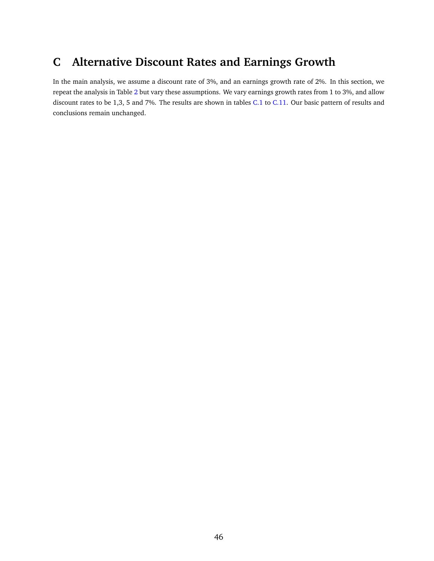# <span id="page-46-0"></span>**C Alternative Discount Rates and Earnings Growth**

In the main analysis, we assume a discount rate of 3%, and an earnings growth rate of 2%. In this section, we repeat the analysis in Table [2](#page-36-0) but vary these assumptions. We vary earnings growth rates from 1 to 3%, and allow discount rates to be 1,3, 5 and 7%. The results are shown in tables [C.1](#page-47-0) to [C.11.](#page-57-0) Our basic pattern of results and conclusions remain unchanged.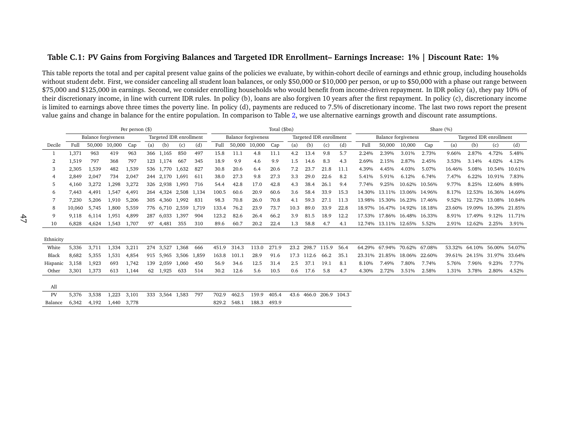#### <span id="page-47-0"></span>Table C.1: PV Gains from Forgiving Balances and Targeted IDR Enrollment- Earnings Increase: 1% | Discount Rate: 1%

|           | Per person $(\$)$ |                            |        |       |     |                         |       |       |       |        |                            | Total (\$bn) |      |       |                         |      |        |                             |               |        | Share (%) |                         |               |        |
|-----------|-------------------|----------------------------|--------|-------|-----|-------------------------|-------|-------|-------|--------|----------------------------|--------------|------|-------|-------------------------|------|--------|-----------------------------|---------------|--------|-----------|-------------------------|---------------|--------|
|           |                   | <b>Balance forgiveness</b> |        |       |     | Targeted IDR enrollment |       |       |       |        | <b>Balance forgiveness</b> |              |      |       | Targeted IDR enrollment |      |        | <b>Balance forgiveness</b>  |               |        |           | Targeted IDR enrollment |               |        |
| Decile    | Full              | 50,000                     | 10,000 | Cap   | (a) | (b)                     | (c)   | (d)   | Full  | 50,000 | 10,000                     | Cap          | (a)  | (b)   | (c)                     | (d)  | Full   | 50,000                      | 10,000        | Cap    | (a)       | (b)                     | (c)           | (d)    |
|           | 1,371             | 963                        | 419    | 963   |     | 366 1,165               | 850   | 497   | 15.8  | 11.1   | 4.8                        | 11.1         | 4.2  | 13.4  | 9.8                     | 5.7  | 2.24%  | 2.39%                       | 3.01%         | 2.73%  | 9.66%     | 2.87%                   | 4.72%         | 5.48%  |
| 2         | 1,519             | 797                        | 368    | 797   |     | 123 1.174               | 667   | 345   | 18.9  | 9.9    | 4.6                        | 9.9          | 1.5  | 14.6  | 8.3                     | 4.3  | 2.69%  | 2.15%                       | 2.87%         | 2.45%  | 3.53%     | 3.14%                   | 4.02%         | 4.12%  |
| 3         | 2,305             | 1,539                      | 482    | 1,539 |     | 536 1.770               | 1.632 | 827   | 30.8  | 20.6   | 6.4                        | 20.6         | 7.2  | 23.7  | 21.8                    | 11.1 | 4.39%  | 4.45%                       | 4.03%         | 5.07%  | 16.46%    | 5.08%                   | 10.54%        | 10.61% |
|           | 2,849             | 2,047                      | 734    | 2,047 |     | 244 2,170               | 1.691 | 611   | 38.0  | 27.3   | 9.8                        | 27.3         | 3.3  | 29.0  | 22.6                    | 8.2  | 5.41%  | 5.91%                       | 6.12%         | 6.74%  | 7.47%     | 6.22%                   | 10.91%        | 7.83%  |
| 5         | 4,160             | 3,272                      | 1,298  | 3,272 |     | 326 2,938               | 1,993 | 716   | 54.4  | 42.8   | 17.0                       | 42.8         | 4.3  | 38.4  | 26.1                    | 9.4  | 7.74%  | 9.25%                       | 10.62%        | 10.56% | 9.77%     | 8.25%                   | 12.60%        | 8.98%  |
| 6         | 7,443             | 4,491                      | 1,547  | 4,491 |     | 264 4,324               | 2,508 | 1,134 | 100.5 | 60.6   | 20.9                       | 60.6         | 3.6  | 58.4  | 33.9                    | 15.3 |        | 14.30% 13.11%               | 13.06% 14.96% |        | 8.17%     | 12.53%                  | 16.36% 14.69% |        |
|           | 7,230             | 5,206                      | 1.910  | 5,206 |     | 305 4,360               | 1.992 | 831   | 98.3  | 70.8   | 26.0                       | 70.8         | 4.1  | 59.3  | 27.1                    | 11.3 |        | 13.98% 15.30% 16.23% 17.46% |               |        | 9.52%     | 12.72%                  | 13.08% 10.84% |        |
| 8         | 10,060            | 5.745                      | 1,800  | 5,559 |     | 776 6,710 2,559         |       | 1,719 | 133.4 | 76.2   | 23.9                       | 73.7         | 10.3 | 89.0  | 33.9                    | 22.8 |        | 18.97% 16.47% 14.92% 18.18% |               |        | 23.60%    | 19.09% 16.39% 21.85%    |               |        |
| 9         | 9.118             | 6.114                      | 1.951  | 4,899 | 287 | 6.033                   | 1,397 | 904   | 123.2 | 82.6   | 26.4                       | 66.2         | 3.9  | 81.5  | 18.9                    | 12.2 | 17.53% | 17.86%                      | 16.48% 16.33% |        | 8.91%     | 17.49%                  | 9.12%         | 11.71% |
| 10        | 6.828             | 4,624                      | 1,543  | 1,707 | 97  | 4,481                   | 355   | 310   | 89.6  | 60.7   | 20.2                       | 22.4         | 1.3  | 58.8  | 4.7                     | 4.1  |        | 12.74% 13.11% 12.65%        |               | 5.52%  | 2.91%     | 12.62%                  | 2.25%         | 3.91%  |
|           |                   |                            |        |       |     |                         |       |       |       |        |                            |              |      |       |                         |      |        |                             |               |        |           |                         |               |        |
| Ethnicity |                   |                            |        |       |     |                         |       |       |       |        |                            |              |      |       |                         |      |        |                             |               |        |           |                         |               |        |
| White     | 5,336             | 3,711                      | 1,334  | 3,211 |     | 274 3,527               | 1,368 | 666   | 451.9 | 314.3  | 113.0                      | 271.9        | 23.2 | 298.7 | 115.9                   | 56.4 | 64.29% | 67.94%                      | 70.62% 67.08% |        | 53.32%    | 64.10%                  | 56.00% 54.07% |        |
| Black     | 8,682             | 5,355                      | 1,531  | 4,854 |     | 915 5,965 3,506         |       | 1,859 | 163.8 | 101.1  | 28.9                       | 91.6         | 17.3 | 112.6 | 66.2                    | 35.1 | 23.31% | 21.85%                      | 18.06%        | 22.60% | 39.61%    | 24.15%                  | 31.97%        | 33.64% |
| Hispanic  | 3,158             | 1,923                      | 693    | 1,742 |     | 139 2,059               | 1,060 | 450   | 56.9  | 34.6   | 12.5                       | 31.4         | 2.5  | 37.1  | 19.1                    | 8.1  | 8.10%  | 7.49%                       | 7.80%         | 7.74%  | 5.76%     | 7.96%                   | 9.23%         | 7.77%  |
| Other     | 3,301             | 1,373                      | 613    | 1,144 | 62  | 1,925                   | 633   | 514   | 30.2  | 12.6   | 5.6                        | 10.5         | 0.6  | 17.6  | 5.8                     | 4.7  | 4.30%  | 2.72%                       | 3.51%         | 2.58%  | 1.31%     | 3.78%                   | 2.80%         | 4.52%  |
|           |                   |                            |        |       |     |                         |       |       |       |        |                            |              |      |       |                         |      |        |                             |               |        |           |                         |               |        |
| All       |                   |                            |        |       |     |                         |       |       |       |        |                            |              |      |       |                         |      |        |                             |               |        |           |                         |               |        |
| PV        | 5.376             | 3,538                      | 1,223  | 3,101 |     | 333 3,564 1,583         |       | 797   | 702.9 | 462.5  | 159.9                      | 405.4        |      |       | 43.6 466.0 206.9 104.3  |      |        |                             |               |        |           |                         |               |        |
| Balance   | 6.342             | 4,192                      | 1.440  | 3.778 |     |                         |       |       | 829.2 | 548.1  | 188.3                      | 493.9        |      |       |                         |      |        |                             |               |        |           |                         |               |        |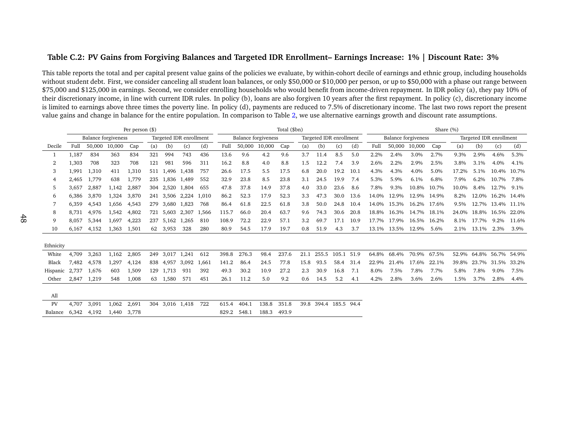#### Table C.2: PV Gains from Forgiving Balances and Targeted IDR Enrollment- Earnings Increase: 1% | Discount Rate: 3%

|           |       |                            |        | Per person (\$) |     |                 |                         |       |       |        |                            | Total (\$bn) |      |                         |       |      |       |                     |             | Share (%) |       |                         |                   |       |
|-----------|-------|----------------------------|--------|-----------------|-----|-----------------|-------------------------|-------|-------|--------|----------------------------|--------------|------|-------------------------|-------|------|-------|---------------------|-------------|-----------|-------|-------------------------|-------------------|-------|
|           |       | <b>Balance forgiveness</b> |        |                 |     |                 | Targeted IDR enrollment |       |       |        | <b>Balance forgiveness</b> |              |      | Targeted IDR enrollment |       |      |       | Balance forgiveness |             |           |       | Targeted IDR enrollment |                   |       |
| Decile    | Full  | 50,000                     | 10,000 | Cap             | (a) | (b)             | (c)                     | (d)   | Full  | 50,000 | 10,000                     | Cap          | (a)  | (b)                     | (c)   | (d)  | Full  | 50,000              | 10,000      | Cap       | (a)   | (b)                     | (c)               | (d)   |
|           | 1,187 | 834                        | 363    | 834             | 321 | 994             | 743                     | 436   | 13.6  | 9.6    | 4.2                        | 9.6          | 3.7  | 11.4                    | 8.5   | 5.0  | 2.2%  | 2.4%                | 3.0%        | 2.7%      | 9.3%  | 2.9%                    | 4.6%              | 5.3%  |
| 2         | 1,303 | 708                        | 323    | 708             | 121 | 981             | 596                     | 311   | 16.2  | 8.8    | 4.0                        | 8.8          | 1.5  | 12.2                    | 7.4   | 3.9  | 2.6%  | 2.2%                | 2.9%        | 2.5%      | 3.8%  | 3.1%                    | 4.0%              | 4.1%  |
| 3         | 1.991 | 1,310                      | 411    | 1,310           |     | 511 1,496       | 1,438                   | 757   | 26.6  | 17.5   | 5.5                        | 17.5         | 6.8  | 20.0                    | 19.2  | 10.1 | 4.3%  | 4.3%                | 4.0%        | 5.0%      | 17.2% | 5.1%                    | 10.4%             | 10.7% |
| 4         | 2,465 | 1,779                      | 638    | 1,779           | 235 | 1,836 1,489     |                         | 552   | 32.9  | 23.8   | 8.5                        | 23.8         | 3.1  | 24.5                    | 19.9  | 7.4  | 5.3%  | 5.9%                | 6.1%        | 6.8%      | 7.9%  | 6.2%                    | 10.7%             | 7.8%  |
| 5         | 3.657 | 2,887                      | 1,142  | 2,887           | 304 | 2,520 1,804     |                         | 655   | 47.8  | 37.8   | 14.9                       | 37.8         | 4.0  | 33.0                    | 23.6  | 8.6  | 7.8%  | 9.3%                | 10.8%       | 10.7%     | 10.0% | 8.4%                    | 12.7%             | 9.1%  |
| 6         | 6.386 | 3,870                      | 1,324  | 3,870           | 241 | 3,506 2,224     |                         | 1.010 | 86.2  | 52.3   | 17.9                       | 52.3         | 3.3  | 47.3                    | 30.0  | 13.6 | 14.0% | 12.9%               | 12.9%       | 14.9%     | 8.2%  | 12.0%                   | 16.2% 14.4%       |       |
|           | 6.359 | 4,543                      | 1,656  | 4,543           | 279 | 3,680           | 1.823                   | 768   | 86.4  | 61.8   | 22.5                       | 61.8         | 3.8  | 50.0                    | 24.8  | 10.4 | 14.0% | 15.3%               | 16.2% 17.6% |           | 9.5%  |                         | 12.7% 13.4% 11.1% |       |
| 8         | 8,731 | 4,976                      | 1,542  | 4,802           | 721 | 5,603           | 2,307                   | 1,566 | 115.7 | 66.0   | 20.4                       | 63.7         | 9.6  | 74.3                    | 30.6  | 20.8 | 18.8% | 16.3%               | 14.7% 18.1% |           | 24.0% |                         | 18.8% 16.5%       | 22.0% |
| 9         | 8.057 | 5.344                      | 1,697  | 4,223           | 237 | 5,162           | 1,265                   | 810   | 108.9 | 72.2   | 22.9                       | 57.1         | 3.2  | 69.7                    | 17.1  | 10.9 | 17.7% | 17.9%               | 16.5% 16.2% |           | 8.1%  | 17.7%                   | 9.2%              | 11.6% |
| 10        | 6.167 | 4.152                      | 1.363  | 1,501           | 62  | 3,953           | 328                     | 280   | 80.9  | 54.5   | 17.9                       | 19.7         | 0.8  | 51.9                    | 4.3   | 3.7  | 13.1% | 13.5%               | 12.9%       | 5.6%      | 2.1%  | 13.1%                   | 2.3%              | 3.9%  |
| Ethnicity |       |                            |        |                 |     |                 |                         |       |       |        |                            |              |      |                         |       |      |       |                     |             |           |       |                         |                   |       |
| White     | 4,709 | 3,263                      | 1,162  | 2,805           | 249 | 3,017 1,241     |                         | 612   | 398.8 | 276.3  | 98.4                       | 237.6        | 21.1 | 255.5                   | 105.1 | 51.9 | 64.8% | 68.4%               | 70.9%       | 67.5%     | 52.9% | 64.8% 56.7%             |                   | 54.9% |
| Black     | 7,482 | 4,578                      | 1,297  | 4,124           | 838 | 4.957           | 3,092                   | 1,661 | 141.2 | 86.4   | 24.5                       | 77.8         | 15.8 | 93.5                    | 58.4  | 31.4 | 22.9% | 21.4%               | 17.6%       | 22.1%     | 39.8% | 23.7%                   | 31.5%             | 33.2% |
| Hispanic  | 2,737 | 1,676                      | 603    | 1,509           | 129 | 1.713           | 931                     | 392   | 49.3  | 30.2   | 10.9                       | 27.2         | 2.3  | 30.9                    | 16.8  | 7.1  | 8.0%  | 7.5%                | 7.8%        | 7.7%      | 5.8%  | 7.8%                    | 9.0%              | 7.5%  |
| Other     | 2.847 | 1,219                      | 548    | 1,008           | 63  | 1,580           | 571                     | 451   | 26.1  | 11.2   | 5.0                        | 9.2          | 0.6  | 14.5                    | 5.2   | 4.1  | 4.2%  | 2.8%                | 3.6%        | 2.6%      | 1.5%  | 3.7%                    | 2.8%              | 4.4%  |
| All       |       |                            |        |                 |     |                 |                         |       |       |        |                            |              |      |                         |       |      |       |                     |             |           |       |                         |                   |       |
| PV        | 4,707 | 3,091                      | 1,062  | 2,691           |     | 304 3,016 1,418 |                         | 722   | 615.4 | 404.1  | 138.8                      | 351.8        | 39.8 | 394.4 185.5 94.4        |       |      |       |                     |             |           |       |                         |                   |       |
| Balance   | 6.342 | 4,192                      | 1.440  | 3.778           |     |                 |                         |       | 829.2 | 548.1  | 188.3                      | 493.9        |      |                         |       |      |       |                     |             |           |       |                         |                   |       |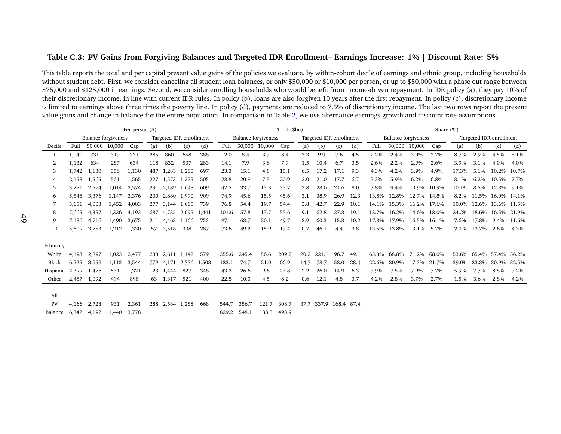#### Table C.3: PV Gains from Forgiving Balances and Targeted IDR Enrollment- Earnings Increase: 1% | Discount Rate: 5%

|           |       |                            |        | Per person (\$) |     |                 |                         |       |       |        |                     | Total (\$bn) |               |                         |      |      |       |                     |             | Share (%) |       |                         |             |       |
|-----------|-------|----------------------------|--------|-----------------|-----|-----------------|-------------------------|-------|-------|--------|---------------------|--------------|---------------|-------------------------|------|------|-------|---------------------|-------------|-----------|-------|-------------------------|-------------|-------|
|           |       | <b>Balance forgiveness</b> |        |                 |     |                 | Targeted IDR enrollment |       |       |        | Balance forgiveness |              |               | Targeted IDR enrollment |      |      |       | Balance forgiveness |             |           |       | Targeted IDR enrollment |             |       |
| Decile    | Full  | 50.000                     | 10,000 | Cap             | (a) | (b)             | (c)                     | (d)   | Full  | 50,000 | 10,000              | Cap          | (a)           | (b)                     | (c)  | (d)  | Full  | 50,000              | 10,000      | Cap       | (a)   | (b)                     | (c)         | (d)   |
|           | 1,040 | 731                        | 319    | 731             | 285 | 860             | 658                     | 388   | 12.0  | 8.4    | 3.7                 | 8.4          | 3.3           | 9.9                     | 7.6  | 4.5  | 2.2%  | 2.4%                | 3.0%        | 2.7%      | 8.7%  | 2.9%                    | 4.5%        | 5.1%  |
| 2         | 1,132 | 634                        | 287    | 634             | 118 | 832             | 537                     | 283   | 14.1  | 7.9    | 3.6                 | 7.9          | 1.5           | 10.4                    | 6.7  | 3.5  | 2.6%  | 2.2%                | 2.9%        | 2.6%      | 3.9%  | 3.1%                    | 4.0%        | 4.0%  |
| 3         | 1,742 | 1,130                      | 356    | 1,130           | 487 | 1,283           | 1,280                   | 697   | 23.3  | 15.1   | 4.8                 | 15.1         | 6.5           | 17.2                    | 17.1 | 9.3  | 4.3%  | 4.2%                | 3.9%        | 4.9%      | 17.3% | 5.1%                    | 10.2%       | 10.7% |
| 4         | 2,158 | 1,565                      | 561    | 1,565           | 227 | 1.573           | 1,325                   | 505   | 28.8  | 20.9   | 7.5                 | 20.9         | 3.0           | 21.0                    | 17.7 | 6.7  | 5.3%  | 5.9%                | 6.2%        | 6.8%      | 8.1%  | 6.2%                    | 10.5%       | 7.7%  |
| 5         | 3.251 | 2,574                      | 1,014  | 2,574           | 291 | 2,189           | 1,648                   | 609   | 42.5  | 33.7   | 13.3                | 33.7         | 3.8           | 28.6                    | 21.6 | 8.0  | 7.8%  | 9.4%                | 10.9%       | 10.9%     | 10.1% | 8.5%                    | 12.8%       | 9.1%  |
| 6         | 5,548 | 3,376                      | 1,147  | 3,376           | 230 | 2,880           | 1,990                   | 909   | 74.9  | 45.6   | 15.5                | 45.6         | 3.1           | 38.9                    | 26.9 | 12.3 | 13.8% | 12.8%               | 12.7%       | 14.8%     | 8.2%  | 11.5%                   | 16.0% 14.1% |       |
|           | 5.651 | 4.003                      | 1,452  | 4,003           | 277 | 3,144 1,685     |                         | 739   | 76.8  | 54.4   | 19.7                | 54.4         | 3.8           | 42.7                    | 22.9 | 10.1 | 14.1% | 15.3%               | 16.2% 17.6% |           | 10.0% | 12.6% 13.6% 11.5%       |             |       |
| 8         | 7,665 | 4,357                      | 1,336  | 4,193           | 687 | 4,735 2,095     |                         | 1,441 | 101.6 | 57.8   | 17.7                | 55.6         | 9.1           | 62.8                    | 27.8 | 19.1 | 18.7% | 16.2%               | 14.6% 18.0% |           | 24.2% | 18.6% 16.5% 21.9%       |             |       |
| 9         | 7.186 | 4.716                      | 1,490  | 3,675           | 211 | 4,463           | 1,166                   | 753   | 97.1  | 63.7   | 20.1                | 49.7         | 2.9           | 60.3                    | 15.8 | 10.2 | 17.8% | 17.9%               | 16.5% 16.1% |           | 7.6%  | 17.8%                   | 9.4%        | 11.6% |
| 10        | 5.609 | 3.753                      | 1.212  | 1,330           | 57  | 3,518           | 338                     | 287   | 73.6  | 49.2   | 15.9                | 17.4         | 0.7           | 46.1                    | 4.4  | 3.8  | 13.5% | 13.8%               | 13.1%       | 5.7%      | 2.0%  | 13.7%                   | 2.6%        | 4.3%  |
| Ethnicity |       |                            |        |                 |     |                 |                         |       |       |        |                     |              |               |                         |      |      |       |                     |             |           |       |                         |             |       |
| White     | 4,198 | 2,897                      | 1,023  | 2,477           | 238 |                 | 2,611 1,142             | 579   | 355.6 | 245.4  | 86.6                | 209.7        | 20.2          | 221.1                   | 96.7 | 49.1 | 65.3% | 68.8%               | 71.2%       | 68.0%     |       | 53.6% 65.4% 57.4%       |             | 56.2% |
| Black     | 6.525 | 3.959                      | 1,113  | 3,544           | 779 | 4,171           | 2,756                   | 1,503 | 123.1 | 74.7   | 21.0                | 66.9         | 14.7          | 78.7                    | 52.0 | 28.4 | 22.6% | 20.9%               | 17.3%       | 21.7%     | 39.0% | 23.3%                   | 30.9%       | 32.5% |
| Hispanic  | 2,399 | 1,476                      | 531    | 1,321           | 123 | 1,444           | 827                     | 348   | 43.2  | 26.6   | 9.6                 | 23.8         | $2.2^{\circ}$ | 26.0                    | 14.9 | 6.3  | 7.9%  | 7.5%                | 7.9%        | 7.7%      | 5.9%  | 7.7%                    | 8.8%        | 7.2%  |
| Other     | 2.487 | 1,092                      | 494    | 898             | 63  | 1,317           | 521                     | 400   | 22.8  | 10.0   | 4.5                 | 8.2          | 0.6           | 12.1                    | 4.8  | 3.7  | 4.2%  | 2.8%                | 3.7%        | 2.7%      | 1.5%  | 3.6%                    | 2.8%        | 4.2%  |
| All       |       |                            |        |                 |     |                 |                         |       |       |        |                     |              |               |                         |      |      |       |                     |             |           |       |                         |             |       |
| PV        | 4,166 | 2,728                      | 931    | 2,361           |     | 288 2,584 1,288 |                         | 668   | 544.7 | 356.7  | 121.7               | 308.7        | 37.7          | 337.9 168.4 87.4        |      |      |       |                     |             |           |       |                         |             |       |
| Balance   | 6.342 | 4,192                      | 1.440  | 3.778           |     |                 |                         |       | 829.2 | 548.1  | 188.3               | 493.9        |               |                         |      |      |       |                     |             |           |       |                         |             |       |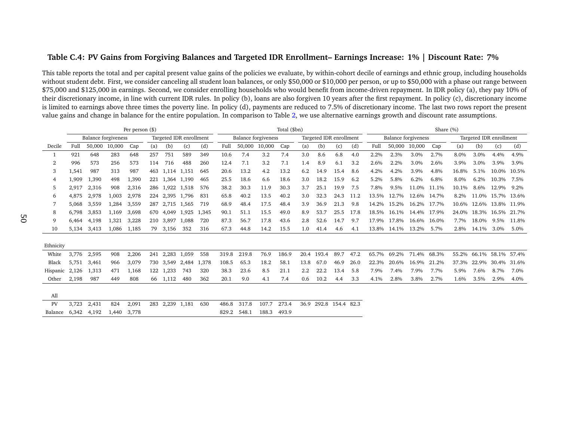#### Table C.4: PV Gains from Forgiving Balances and Targeted IDR Enrollment- Earnings Increase: 1% | Discount Rate: 7%

|           |       |                            |        | Per person (\$) |     |                         |       |       |       |        |                            | Total (\$bn) |         |                         |      |      |       |                            |             | Share (%) |       |                         |       |       |
|-----------|-------|----------------------------|--------|-----------------|-----|-------------------------|-------|-------|-------|--------|----------------------------|--------------|---------|-------------------------|------|------|-------|----------------------------|-------------|-----------|-------|-------------------------|-------|-------|
|           |       | <b>Balance forgiveness</b> |        |                 |     | Targeted IDR enrollment |       |       |       |        | <b>Balance forgiveness</b> |              |         | Targeted IDR enrollment |      |      |       | <b>Balance</b> forgiveness |             |           |       | Targeted IDR enrollment |       |       |
| Decile    | Full  | 50,000                     | 10,000 | Cap             | (a) | (b)                     | (c)   | (d)   | Full  | 50,000 | 10,000                     | Cap          | (a)     | (b)                     | (c)  | (d)  | Full  | 50,000                     | 10,000      | Cap       | (a)   | (b)                     | (c)   | (d)   |
|           | 921   | 648                        | 283    | 648             | 257 | 751                     | 589   | 349   | 10.6  | 7.4    | 3.2                        | 7.4          | 3.0     | 8.6                     | 6.8  | 4.0  | 2.2%  | 2.3%                       | 3.0%        | 2.7%      | 8.0%  | 3.0%                    | 4.4%  | 4.9%  |
| 2         | 996   | 573                        | 256    | 573             | 114 | 716                     | 488   | 260   | 12.4  | 7.1    | 3.2                        | 7.1          | 1.4     | 8.9                     | 6.1  | 3.2  | 2.6%  | 2.2%                       | 3.0%        | 2.6%      | 3.9%  | 3.0%                    | 3.9%  | 3.9%  |
| 3         | 1,541 | 987                        | 313    | 987             | 463 | 1,114 1,151             |       | 645   | 20.6  | 13.2   | 4.2                        | 13.2         | 6.2     | 14.9                    | 15.4 | 8.6  | 4.2%  | 4.2%                       | 3.9%        | 4.8%      | 16.8% | 5.1%                    | 10.0% | 10.5% |
| 4         | 1,909 | 1,390                      | 498    | 1,390           | 221 | 1,364 1,190             |       | 465   | 25.5  | 18.6   | 6.6                        | 18.6         | 3.0     | 18.2                    | 15.9 | 6.2  | 5.2%  | 5.8%                       | 6.2%        | 6.8%      | 8.0%  | 6.2%                    | 10.3% | 7.5%  |
| 5         | 2.917 | 2,316                      | 908    | 2,316           | 286 | 1,922 1,518             |       | 576   | 38.2  | 30.3   | 11.9                       | 30.3         | 3.7     | 25.1                    | 19.9 | 7.5  | 7.8%  | 9.5%                       | 11.0%       | 11.1%     | 10.1% | 8.6%                    | 12.9% | 9.2%  |
| 6         | 4.875 | 2,978                      | 1,003  | 2,978           | 224 | 2,395 1,796             |       | 831   | 65.8  | 40.2   | 13.5                       | 40.2         | 3.0     | 32.3                    | 24.3 | 11.2 | 13.5% | 12.7%                      | 12.6% 14.7% |           | 8.2%  | 11.0%                   | 15.7% | 13.6% |
|           | 5.068 | 3.559                      | 1,284  | 3,559           | 287 | 2,715 1,565             |       | 719   | 68.9  | 48.4   | 17.5                       | 48.4         | 3.9     | 36.9                    | 21.3 | 9.8  | 14.2% | 15.2%                      | 16.2% 17.7% |           |       | 10.6% 12.6% 13.8% 11.9% |       |       |
| 8         | 6,798 | 3,853                      | 1,169  | 3,698           | 670 | 4,049                   | 1,925 | 1,345 | 90.1  | 51.1   | 15.5                       | 49.0         | 8.9     | 53.7                    | 25.5 | 17.8 | 18.5% | 16.1%                      | 14.4% 17.9% |           | 24.0% | 18.3% 16.5%             |       | 21.7% |
| 9         | 6.464 | 4,198                      | 1,321  | 3,228           | 210 | 3.897                   | 1,088 | 720   | 87.3  | 56.7   | 17.8                       | 43.6         | 2.8     | 52.6                    | 14.7 | 9.7  | 17.9% | 17.8%                      | 16.6% 16.0% |           | 7.7%  | 18.0%                   | 9.5%  | 11.8% |
| 10        | 5.134 | 3,413                      | 1.086  | 1,185           | 79  | 3,156                   | 352   | 316   | 67.3  | 44.8   | 14.2                       | 15.5         | 1.0     | 41.4                    | 4.6  | 4.1  | 13.8% | 14.1%                      | 13.2%       | 5.7%      | 2.8%  | 14.1%                   | 3.0%  | 5.0%  |
| Ethnicity |       |                            |        |                 |     |                         |       |       |       |        |                            |              |         |                         |      |      |       |                            |             |           |       |                         |       |       |
| White     | 3,776 | 2,595                      | 908    | 2,206           | 241 | 2,283 1,059             |       | 558   | 319.8 | 219.8  | 76.9                       | 186.9        | 20.4    | 193.4                   | 89.7 | 47.2 | 65.7% | 69.2%                      | 71.4% 68.3% |           | 55.2% | 66.1%                   | 58.1% | 57.4% |
| Black     | 5.751 | 3,461                      | 966    | 3,079           |     | 730 3,549               | 2,484 | 1,378 | 108.5 | 65.3   | 18.2                       | 58.1         | 13.8    | 67.0                    | 46.9 | 26.0 | 22.3% | 20.6%                      | 16.9%       | 21.2%     | 37.3% | 22.9%                   | 30.4% | 31.6% |
| Hispanic  | 2,126 | 1,313                      | 471    | 1,168           | 122 | 1,233                   | 743   | 320   | 38.3  | 23.6   | 8.5                        | 21.1         | $2.2\,$ | 22.2                    | 13.4 | 5.8  | 7.9%  | 7.4%                       | 7.9%        | 7.7%      | 5.9%  | 7.6%                    | 8.7%  | 7.0%  |
| Other     | 2,198 | 987                        | 449    | 808             | 66  | 1,112                   | 480   | 362   | 20.1  | 9.0    | 4.1                        | 7.4          | 0.6     | 10.2                    | 4.4  | 3.3  | 4.1%  | 2.8%                       | 3.8%        | 2.7%      | 1.6%  | 3.5%                    | 2.9%  | 4.0%  |
| All       |       |                            |        |                 |     |                         |       |       |       |        |                            |              |         |                         |      |      |       |                            |             |           |       |                         |       |       |
| PV        | 3,723 | 2,431                      | 824    | 2,091           |     | 283 2,239 1,181         |       | 630   | 486.8 | 317.8  | 107.7                      | 273.4        | 36.9    | 292.8 154.4 82.3        |      |      |       |                            |             |           |       |                         |       |       |
| Balance   | 6.342 | 4,192                      | 1.440  | 3.778           |     |                         |       |       | 829.2 | 548.1  | 188.3                      | 493.9        |         |                         |      |      |       |                            |             |           |       |                         |       |       |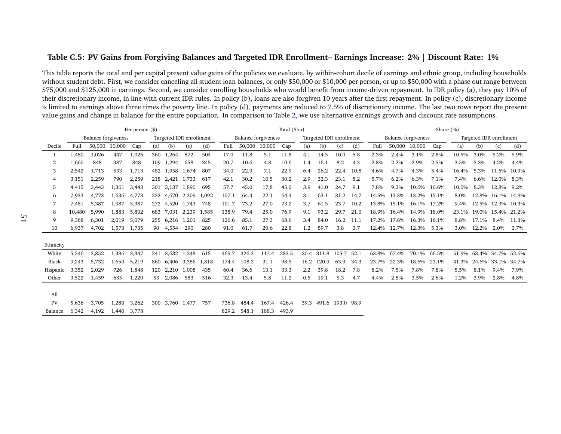#### Table C.5: PV Gains from Forgiving Balances and Targeted IDR Enrollment- Earnings Increase: 2% | Discount Rate: 1%

|           |        |                            |        | Per person $(\$)$ |     |             |                         |       |       |                     |        | Total (\$bn) |      |       |                         |      |       |                            |             | Share (%) |       |                         |             |       |
|-----------|--------|----------------------------|--------|-------------------|-----|-------------|-------------------------|-------|-------|---------------------|--------|--------------|------|-------|-------------------------|------|-------|----------------------------|-------------|-----------|-------|-------------------------|-------------|-------|
|           |        | <b>Balance forgiveness</b> |        |                   |     |             | Targeted IDR enrollment |       |       | Balance forgiveness |        |              |      |       | Targeted IDR enrollment |      |       | <b>Balance forgiveness</b> |             |           |       | Targeted IDR enrollment |             |       |
| Decile    | Full   | 50,000                     | 10,000 | Cap               | (a) | (b)         | (c)                     | (d)   | Full  | 50,000              | 10,000 | Cap          | (a)  | (b)   | (c)                     | (d)  | Full  | 50,000                     | 10,000      | Cap       | (a)   | (b)                     | (c)         | (d)   |
|           | 1,480  | 1,026                      | 447    | 1,026             | 360 | 1,264       | 872                     | 504   | 17.0  | 11.8                | 5.1    | 11.8         | 4.1  | 14.5  | 10.0                    | 5.8  | 2.3%  | 2.4%                       | 3.1%        | 2.8%      | 10.5% | 3.0%                    | 5.2%        | 5.9%  |
| 2         | 1,660  | 848                        | 387    | 848               | 109 | 1.294       | 658                     | 345   | 20.7  | 10.6                | 4.8    | 10.6         | 1.4  | 16.1  | 8.2                     | 4.3  | 2.8%  | 2.2%                       | 2.9%        | 2.5%      | 3.5%  | 3.3%                    | 4.2%        | 4.4%  |
| 3         | 2,542  | 1,713                      | 533    | 1,713             | 482 | 1.958       | 1,674                   | 807   | 34.0  | 22.9                | 7.1    | 22.9         | 6.4  | 26.2  | 22.4                    | 10.8 | 4.6%  | 4.7%                       | 4.3%        | 5.4%      | 16.4% | 5.3%                    | 11.6%       | 10.9% |
| 4         | 3,151  | 2,259                      | 790    | 2,259             | 218 | 2,421       | 1,733                   | 617   | 42.1  | 30.2                | 10.5   | 30.2         | 2.9  | 32.3  | 23.1                    | 8.2  | 5.7%  | 6.2%                       | 6.3%        | 7.1%      | 7.4%  | 6.6%                    | 12.0%       | 8.3%  |
| 5         | 4,415  | 3,443                      | 1,361  | 3,443             | 301 | 3,137 1,890 |                         | 695   | 57.7  | 45.0                | 17.8   | 45.0         | 3.9  | 41.0  | 24.7                    | 9.1  | 7.8%  | 9.3%                       | 10.6%       | 10.6%     | 10.0% | 8.3%                    | 12.8%       | 9.2%  |
| 6         | 7,933  | 4,773                      | 1.636  | 4,773             | 232 |             | 4,670 2,309             | 1,092 | 107.1 | 64.4                | 22.1   | 64.4         | 3.1  | 63.1  | 31.2                    | 14.7 | 14.5% | 13.3%                      | 13.2%       | 15.1%     | 8.0%  | 12.8%                   | 16.1%       | 14.9% |
|           | 7,481  | 5,387                      | 1,987  | 5,387             | 272 | 4,520       | 1,743                   | 748   | 101.7 | 73.2                | 27.0   | 73.2         | 3.7  | 61.5  | 23.7                    | 10.2 | 13.8% | 15.1%                      | 16.1%       | 17.2%     | 9.4%  | 12.5%                   | 12.3%       | 10.3% |
| 8         | 10,480 | 5,990                      | 1.883  | 5,802             | 683 | 7.031       | 2,239                   | 1,585 | 138.9 | 79.4                | 25.0   | 76.9         | 9.1  | 93.2  | 29.7                    | 21.0 | 18.9% | 16.4%                      | 14.9% 18.0% |           | 23.1% |                         | 19.0% 15.4% | 21.2% |
| 9         | 9,368  | 6,301                      | 2.019  | 5,079             | 255 | 6,216 1,201 |                         | 825   | 126.6 | 85.1                | 27.3   | 68.6         | 3.4  | 84.0  | 16.2                    | 11.1 | 17.2% | 17.6%                      | 16.3% 16.1% |           | 8.8%  | 17.1%                   | 8.4%        | 11.3% |
| 10        | 6.937  | 4,702                      | 1,573  | 1,735             | 90  | 4,554       | 290                     | 280   | 91.0  | 61.7                | 20.6   | 22.8         | 1.2  | 59.7  | 3.8                     | 3.7  | 12.4% | 12.7%                      | 12.3%       | 5.3%      | 3.0%  | 12.2%                   | 2.0%        | 3.7%  |
|           |        |                            |        |                   |     |             |                         |       |       |                     |        |              |      |       |                         |      |       |                            |             |           |       |                         |             |       |
| Ethnicity |        |                            |        |                   |     |             |                         |       |       |                     |        |              |      |       |                         |      |       |                            |             |           |       |                         |             |       |
| White     | 5,546  | 3,852                      | 1,386  | 3,347             | 241 | 3,682 1,248 |                         | 615   | 469.7 | 326.3               | 117.4  | 283.5        | 20.4 | 311.8 | 105.7                   | 52.1 | 63.8% | 67.4%                      | 70.1%       | 66.5%     | 51.9% | 63.4%                   | 54.7%       | 52.6% |
| Black     | 9,243  | 5,732                      | 1.650  | 5,219             | 860 |             | 6,406 3,386             | 1,818 | 174.4 | 108.2               | 31.1   | 98.5         | 16.2 | 120.9 | 63.9                    | 34.3 | 23.7% | 22.3%                      | 18.6%       | 23.1%     | 41.3% | 24.6%                   | 33.1%       | 34.7% |
| Hispanic  | 3,352  | 2,029                      | 726    | 1,848             | 120 | 2,210 1,008 |                         | 435   | 60.4  | 36.6                | 13.1   | 33.3         | 2.2  | 39.8  | 18.2                    | 7.8  | 8.2%  | 7.5%                       | 7.8%        | 7.8%      | 5.5%  | 8.1%                    | 9.4%        | 7.9%  |
| Other     | 3.522  | 1,459                      | 635    | 1,220             | 53  | 2.086       | 583                     | 516   | 32.3  | 13.4                | 5.8    | 11.2         | 0.5  | 19.1  | 5.3                     | 4.7  | 4.4%  | 2.8%                       | 3.5%        | 2.6%      | 1.2%  | 3.9%                    | 2.8%        | 4.8%  |
|           |        |                            |        |                   |     |             |                         |       |       |                     |        |              |      |       |                         |      |       |                            |             |           |       |                         |             |       |
| All       |        |                            |        |                   |     |             |                         |       |       |                     |        |              |      |       |                         |      |       |                            |             |           |       |                         |             |       |
| PV        | 5.636  | 3,705                      | 1.280  | 3,262             | 300 | 3,760 1,477 |                         | 757   | 736.8 | 484.4               | 167.4  | 426.4        | 39.3 |       | 491.6 193.0 98.9        |      |       |                            |             |           |       |                         |             |       |
| Balance   | 6.342  | 4.192                      | 1.440  | 3.778             |     |             |                         |       | 829.2 | 548.1               | 188.3  | 493.9        |      |       |                         |      |       |                            |             |           |       |                         |             |       |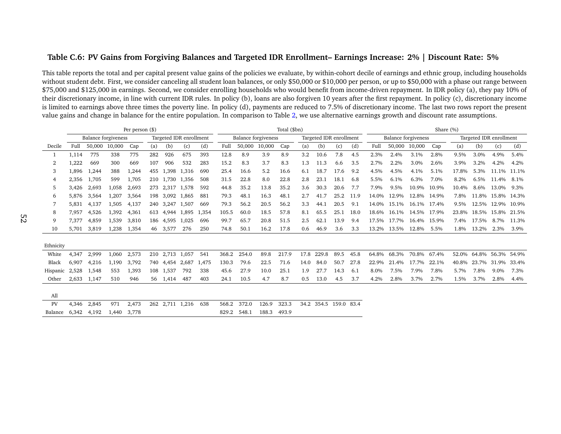#### Table C.6: PV Gains from Forgiving Balances and Targeted IDR Enrollment- Earnings Increase: 2% | Discount Rate: 5%

<span id="page-52-0"></span>

|           |       |                            |        | Per person $(\$)$ |     |                 |                         |       |       |                            |        | Total (\$bn) |      |                         |      |      |       |                     |             | Share (%) |       |                         |             |       |
|-----------|-------|----------------------------|--------|-------------------|-----|-----------------|-------------------------|-------|-------|----------------------------|--------|--------------|------|-------------------------|------|------|-------|---------------------|-------------|-----------|-------|-------------------------|-------------|-------|
|           |       | <b>Balance forgiveness</b> |        |                   |     |                 | Targeted IDR enrollment |       |       | <b>Balance forgiveness</b> |        |              |      | Targeted IDR enrollment |      |      |       | Balance forgiveness |             |           |       | Targeted IDR enrollment |             |       |
| Decile    | Full  | 50,000                     | 10,000 | Cap               | (a) | (b)             | (c)                     | (d)   | Full  | 50,000                     | 10,000 | Cap          | (a)  | (b)                     | (c)  | (d)  | Full  | 50,000              | 10,000      | Cap       | (a)   | (b)                     | (c)         | (d)   |
|           | 1,114 | 775                        | 338    | 775               | 282 | 926             | 675                     | 393   | 12.8  | 8.9                        | 3.9    | 8.9          | 3.2  | 10.6                    | 7.8  | 4.5  | 2.3%  | 2.4%                | 3.1%        | 2.8%      | 9.5%  | 3.0%                    | 4.9%        | 5.4%  |
| 2         | 1,222 | 669                        | 300    | 669               | 107 | 906             | 532                     | 283   | 15.2  | 8.3                        | 3.7    | 8.3          | 1.3  | 11.3                    | 6.6  | 3.5  | 2.7%  | 2.2%                | 3.0%        | 2.6%      | 3.9%  | 3.2%                    | 4.2%        | 4.2%  |
| 3         | 1,896 | 1,244                      | 388    | 1,244             | 455 | 1.398           | 1,316                   | 690   | 25.4  | 16.6                       | 5.2    | 16.6         | 6.1  | 18.7                    | 17.6 | 9.2  | 4.5%  | 4.5%                | 4.1%        | 5.1%      | 17.8% | 5.3%                    | 11.1%       | 11.1% |
| 4         | 2,356 | 1,705                      | 599    | 1,705             | 210 | 1,730 1,356     |                         | 508   | 31.5  | 22.8                       | 8.0    | 22.8         | 2.8  | 23.1                    | 18.1 | 6.8  | 5.5%  | 6.1%                | 6.3%        | 7.0%      | 8.2%  | 6.5%                    | 11.4%       | 8.1%  |
| 5         | 3,426 | 2,693                      | 1,058  | 2,693             | 273 | 2,317 1,578     |                         | 592   | 44.8  | 35.2                       | 13.8   | 35.2         | 3.6  | 30.3                    | 20.6 | 7.7  | 7.9%  | 9.5%                | 10.9%       | 10.9%     | 10.4% | 8.6%                    | 13.0%       | 9.3%  |
| 6         | 5.876 | 3,564                      | 1.207  | 3,564             | 198 | 3,092 1,865     |                         | 881   | 79.3  | 48.1                       | 16.3   | 48.1         | 2.7  | 41.7                    | 25.2 | 11.9 | 14.0% | 12.9%               | 12.8% 14.9% |           | 7.8%  | 11.8%                   | 15.8% 14.3% |       |
|           | 5.831 | 4,137                      | 1.505  | 4,137             |     | 240 3.247 1.507 |                         | 669   | 79.3  | 56.2                       | 20.5   | 56.2         | 3.3  | 44.1                    | 20.5 | 9.1  | 14.0% | 15.1%               | 16.1% 17.4% |           | 9.5%  | 12.5% 12.9% 10.9%       |             |       |
| 8         | 7,957 | 4,526                      | 1,392  | 4,361             | 613 | 4,944 1,895     |                         | 1,354 | 105.5 | 60.0                       | 18.5   | 57.8         | 8.1  | 65.5                    | 25.1 | 18.0 | 18.6% | 16.1%               | 14.5% 17.9% |           | 23.8% | 18.5% 15.8%             |             | 21.5% |
| 9         | 7,377 | 4,859                      | 1,539  | 3,810             | 186 | 4,595           | 1,025                   | 696   | 99.7  | 65.7                       | 20.8   | 51.5         | 2.5  | 62.1                    | 13.9 | 9.4  | 17.5% | 17.7%               | 16.4% 15.9% |           | 7.4%  | 17.5%                   | 8.7%        | 11.3% |
| 10        | 5.701 | 3.819                      | 1,238  | 1,354             | 46  | 3,577           | 276                     | 250   | 74.8  | 50.1                       | 16.2   | 17.8         | 0.6  | 46.9                    | 3.6  | 3.3  | 13.2% | 13.5%               | 12.8%       | 5.5%      | 1.8%  | 13.2%                   | 2.3%        | 3.9%  |
| Ethnicity |       |                            |        |                   |     |                 |                         |       |       |                            |        |              |      |                         |      |      |       |                     |             |           |       |                         |             |       |
| White     | 4,347 | 2,999                      | 1,060  | 2,573             |     | 210 2,713 1,057 |                         | 541   | 368.2 | 254.0                      | 89.8   | 217.9        | 17.8 | 229.8                   | 89.5 | 45.8 | 64.8% | 68.3%               | 70.8%       | 67.4%     | 52.0% | 64.8%                   | 56.3%       | 54.9% |
| Black     | 6.907 | 4,216                      | 1,190  | 3,792             |     | 740 4,454       | 2,687                   | 1,475 | 130.3 | 79.6                       | 22.5   | 71.6         | 14.0 | 84.0                    | 50.7 | 27.8 | 22.9% | 21.4%               | 17.7%       | 22.1%     | 40.8% | 23.7%                   | 31.9%       | 33.4% |
| Hispanic  | 2,528 | 1,548                      | 553    | 1,393             |     | 108 1,537       | 792                     | 338   | 45.6  | 27.9                       | 10.0   | 25.1         | 1.9  | 27.7                    | 14.3 | 6.1  | 8.0%  | 7.5%                | 7.9%        | 7.8%      | 5.7%  | 7.8%                    | 9.0%        | 7.3%  |
| Other     | 2.633 | 1,147                      | 510    | 946               | 56  | 1,414           | 487                     | 403   | 24.1  | 10.5                       | 4.7    | 8.7          | 0.5  | 13.0                    | 4.5  | 3.7  | 4.2%  | 2.8%                | 3.7%        | 2.7%      | 1.5%  | 3.7%                    | 2.8%        | 4.4%  |
| All       |       |                            |        |                   |     |                 |                         |       |       |                            |        |              |      |                         |      |      |       |                     |             |           |       |                         |             |       |
| PV        | 4,346 | 2,845                      | 971    | 2,473             |     |                 | 262 2,711 1,216         | 638   | 568.2 | 372.0                      | 126.9  | 323.3        | 34.2 | 354.5 159.0 83.4        |      |      |       |                     |             |           |       |                         |             |       |
| Balance   | 6.342 | 4,192                      | 1.440  | 3.778             |     |                 |                         |       | 829.2 | 548.1                      | 188.3  | 493.9        |      |                         |      |      |       |                     |             |           |       |                         |             |       |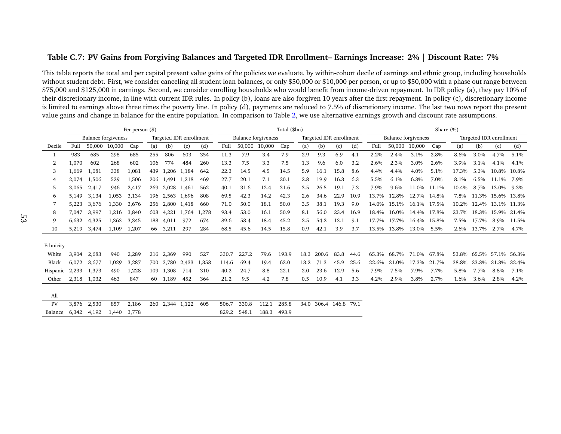#### Table C.7: PV Gains from Forgiving Balances and Targeted IDR Enrollment- Earnings Increase: 2% | Discount Rate: 7%

|           |       |                            |        | Per person (\$) |     |                         |       |       |       |        |                            | Total (\$bn) |         |                         |      |      |       |                            |             | Share (%) |       |                         |       |       |
|-----------|-------|----------------------------|--------|-----------------|-----|-------------------------|-------|-------|-------|--------|----------------------------|--------------|---------|-------------------------|------|------|-------|----------------------------|-------------|-----------|-------|-------------------------|-------|-------|
|           |       | <b>Balance forgiveness</b> |        |                 |     | Targeted IDR enrollment |       |       |       |        | <b>Balance forgiveness</b> |              |         | Targeted IDR enrollment |      |      |       | <b>Balance</b> forgiveness |             |           |       | Targeted IDR enrollment |       |       |
| Decile    | Full  | 50,000                     | 10,000 | Cap             | (a) | (b)                     | (c)   | (d)   | Full  | 50,000 | 10,000                     | Cap          | (a)     | (b)                     | (c)  | (d)  | Full  | 50,000                     | 10,000      | Cap       | (a)   | (b)                     | (c)   | (d)   |
|           | 983   | 685                        | 298    | 685             | 255 | 806                     | 603   | 354   | 11.3  | 7.9    | 3.4                        | 7.9          | 2.9     | 9.3                     | 6.9  | 4.1  | 2.2%  | 2.4%                       | 3.1%        | 2.8%      | 8.6%  | 3.0%                    | 4.7%  | 5.1%  |
| 2         | 1,070 | 602                        | 268    | 602             | 106 | 774                     | 484   | 260   | 13.3  | 7.5    | 3.3                        | 7.5          | 1.3     | 9.6                     | 6.0  | 3.2  | 2.6%  | 2.3%                       | 3.0%        | 2.6%      | 3.9%  | 3.1%                    | 4.1%  | 4.1%  |
| 3         | 1,669 | 1,081                      | 338    | 1,081           | 439 | 1,206                   | 1,184 | 642   | 22.3  | 14.5   | 4.5                        | 14.5         | 5.9     | 16.1                    | 15.8 | 8.6  | 4.4%  | 4.4%                       | 4.0%        | 5.1%      | 17.3% | 5.3%                    | 10.8% | 10.8% |
| 4         | 2,074 | 1,506                      | 529    | 1,506           | 206 | 1,491 1,218             |       | 469   | 27.7  | 20.1   | 7.1                        | 20.1         | 2.8     | 19.9                    | 16.3 | 6.3  | 5.5%  | 6.1%                       | 6.3%        | 7.0%      | 8.1%  | 6.5%                    | 11.1% | 7.9%  |
| 5         | 3.065 | 2,417                      | 946    | 2,417           | 269 | 2,028 1,461             |       | 562   | 40.1  | 31.6   | 12.4                       | 31.6         | 3.5     | 26.5                    | 19.1 | 7.3  | 7.9%  | 9.6%                       | 11.0%       | 11.1%     | 10.4% | 8.7%                    | 13.0% | 9.3%  |
| 6         | 5.149 | 3,134                      | 1,053  | 3,134           | 196 | 2,563                   | 1,696 | 808   | 69.5  | 42.3   | 14.2                       | 42.3         | 2.6     | 34.6                    | 22.9 | 10.9 | 13.7% | 12.8%                      | 12.7% 14.8% |           | 7.8%  | 11.3%                   | 15.6% | 13.8% |
|           | 5,223 | 3.676                      | 1,330  | 3,676           | 256 | 2.800 1.418             |       | 660   | 71.0  | 50.0   | 18.1                       | 50.0         | 3.5     | 38.1                    | 19.3 | 9.0  | 14.0% | 15.1%                      | 16.1% 17.5% |           |       | 10.2% 12.4% 13.1% 11.3% |       |       |
| 8         | 7,047 | 3,997                      | 1,216  | 3,840           | 608 | 4,221                   | 1,764 | 1,278 | 93.4  | 53.0   | 16.1                       | 50.9         | 8.1     | 56.0                    | 23.4 | 16.9 | 18.4% | 16.0%                      | 14.4% 17.8% |           | 23.7% | 18.3% 15.9%             |       | 21.4% |
| 9         | 6.632 | 4,325                      | 1,363  | 3,345           | 188 | 4,011                   | 972   | 674   | 89.6  | 58.4   | 18.4                       | 45.2         | 2.5     | 54.2                    | 13.1 | 9.1  | 17.7% | 17.7%                      | 16.4% 15.8% |           | 7.5%  | 17.7%                   | 8.9%  | 11.5% |
| 10        | 5.219 | 3,474                      | 1.109  | 1,207           | 66  | 3,211                   | 297   | 284   | 68.5  | 45.6   | 14.5                       | 15.8         | 0.9     | 42.1                    | 3.9  | 3.7  | 13.5% | 13.8%                      | 13.0%       | 5.5%      | 2.6%  | 13.7%                   | 2.7%  | 4.7%  |
| Ethnicity |       |                            |        |                 |     |                         |       |       |       |        |                            |              |         |                         |      |      |       |                            |             |           |       |                         |       |       |
| White     | 3,904 | 2,683                      | 940    | 2,289           | 216 | 2,369                   | 990   | 527   | 330.7 | 227.2  | 79.6                       | 193.9        | 18.3    | 200.6                   | 83.8 | 44.6 | 65.3% | 68.7%                      | 71.0%       | 67.8%     | 53.8% | 65.5%                   | 57.1% | 56.3% |
| Black     | 6.072 | 3.677                      | 1,029  | 3,287           | 700 | 3.780                   | 2,433 | 1,358 | 114.6 | 69.4   | 19.4                       | 62.0         | 13.2    | 71.3                    | 45.9 | 25.6 | 22.6% | 21.0%                      | 17.3%       | 21.7%     | 38.8% | 23.3%                   | 31.3% | 32.4% |
| Hispanic  | 2,233 | 1,373                      | 490    | 1,228           | 109 | 1,308                   | 714   | 310   | 40.2  | 24.7   | 8.8                        | 22.1         | $2.0\,$ | 23.6                    | 12.9 | 5.6  | 7.9%  | 7.5%                       | 7.9%        | 7.7%      | 5.8%  | 7.7%                    | 8.8%  | 7.1%  |
| Other     | 2,318 | 1,032                      | 463    | 847             | 60  | 1,189                   | 452   | 364   | 21.2  | 9.5    | 4.2                        | 7.8          | 0.5     | 10.9                    | 4.1  | 3.3  | 4.2%  | 2.9%                       | 3.8%        | 2.7%      | 1.6%  | 3.6%                    | 2.8%  | 4.2%  |
| All       |       |                            |        |                 |     |                         |       |       |       |        |                            |              |         |                         |      |      |       |                            |             |           |       |                         |       |       |
| PV        | 3,876 | 2,530                      | 857    | 2,186           |     | 260 2,344 1,122         |       | 605   | 506.7 | 330.8  | 112.1                      | 285.8        | 34.0    | 306.4 146.8             |      | 79.1 |       |                            |             |           |       |                         |       |       |
| Balance   | 6.342 | 4,192                      | 1.440  | 3.778           |     |                         |       |       | 829.2 | 548.1  | 188.3                      | 493.9        |         |                         |      |      |       |                            |             |           |       |                         |       |       |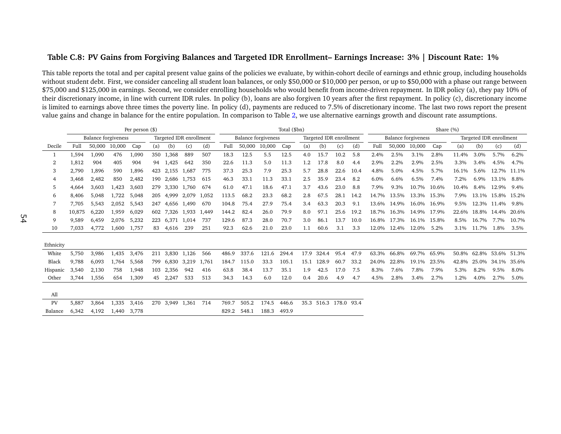#### Table C.8: PV Gains from Forgiving Balances and Targeted IDR Enrollment- Earnings Increase: 3% | Discount Rate: 1%

|           |        |                            |        | Per person $(\$)$ |     |             |                         |       |       |                            |        | Total (\$bn) |      |                         |      |      |       |                            |             | Share (%) |       |                         |             |       |
|-----------|--------|----------------------------|--------|-------------------|-----|-------------|-------------------------|-------|-------|----------------------------|--------|--------------|------|-------------------------|------|------|-------|----------------------------|-------------|-----------|-------|-------------------------|-------------|-------|
|           |        | <b>Balance forgiveness</b> |        |                   |     |             | Targeted IDR enrollment |       |       | <b>Balance forgiveness</b> |        |              |      | Targeted IDR enrollment |      |      |       | <b>Balance forgiveness</b> |             |           |       | Targeted IDR enrollment |             |       |
| Decile    | Full   | 50.000                     | 10,000 | Cap               | (a) | (b)         | (c)                     | (d)   | Full  | 50,000                     | 10,000 | Cap          | (a)  | (b)                     | (c)  | (d)  | Full  | 50,000                     | 10,000      | Cap       | (a)   | (b)                     | (c)         | (d)   |
|           | 1,594  | 1,090                      | 476    | 1,090             | 350 | 1.368       | 889                     | 507   | 18.3  | 12.5                       | 5.5    | 12.5         | 4.0  | 15.7                    | 10.2 | 5.8  | 2.4%  | 2.5%                       | 3.1%        | 2.8%      | 11.4% | 3.0%                    | 5.7%        | 6.2%  |
| 2         | 1,812  | 904                        | 405    | 904               | 94  | 1,425       | 642                     | 350   | 22.6  | 11.3                       | 5.0    | 11.3         | 1.2  | 17.8                    | 8.0  | 4.4  | 2.9%  | 2.2%                       | 2.9%        | 2.5%      | 3.3%  | $3.4\%$                 | 4.5%        | 4.7%  |
| 3         | 2.790  | 1,896                      | 590    | 1,896             | 423 | 2,155 1,687 |                         | 775   | 37.3  | 25.3                       | 7.9    | 25.3         | 5.7  | 28.8                    | 22.6 | 10.4 | 4.8%  | 5.0%                       | 4.5%        | 5.7%      | 16.1% | 5.6%                    | 12.7%       | 11.1% |
| 4         | 3,468  | 2,482                      | 850    | 2,482             | 190 | 2,686       | 1,753                   | 615   | 46.3  | 33.1                       | 11.3   | 33.1         | 2.5  | 35.9                    | 23.4 | 8.2  | 6.0%  | 6.6%                       | 6.5%        | 7.4%      | 7.2%  | 6.9%                    | 13.1%       | 8.8%  |
| 5         | 4,664  | 3,603                      | 1,423  | 3,603             | 279 | 3.330 1.760 |                         | 674   | 61.0  | 47.1                       | 18.6   | 47.1         | 3.7  | 43.6                    | 23.0 | 8.8  | 7.9%  | 9.3%                       | 10.7%       | 10.6%     | 10.4% | 8.4%                    | 12.9%       | 9.4%  |
| 6         | 8,406  | 5,048                      | 1.722  | 5,048             | 205 | 4.999       | 2,079                   | 1,052 | 113.5 | 68.2                       | 23.3   | 68.2         | 2.8  | 67.5                    | 28.1 | 14.2 | 14.7% | 13.5%                      | 13.3% 15.3% |           | 7.9%  |                         | 13.1% 15.8% | 15.2% |
|           | 7.705  | 5,543                      | 2,052  | 5,543             | 247 | 4.656       | 1,490                   | 670   | 104.8 | 75.4                       | 27.9   | 75.4         | 3.4  | 63.3                    | 20.3 | 9.1  | 13.6% | 14.9%                      | 16.0%       | 16.9%     | 9.5%  | 12.3%                   | 11.4%       | 9.8%  |
| 8         | 10,875 | 6,220                      | 1,959  | 6,029             | 602 | 7.326       | 1.933                   | 1.449 | 144.2 | 82.4                       | 26.0   | 79.9         | 8.0  | 97.1                    | 25.6 | 19.2 | 18.7% | 16.3%                      | 14.9% 17.9% |           | 22.6% |                         | 18.8% 14.4% | 20.6% |
| 9         | 9.589  | 6,459                      | 2,076  | 5,232             | 223 |             | 6,371 1,014             | 737   | 129.6 | 87.3                       | 28.0   | 70.7         | 3.0  | 86.1                    | 13.7 | 10.0 | 16.8% | 17.3%                      | 16.1% 15.8% |           | 8.5%  | 16.7%                   | 7.7%        | 10.7% |
| 10        | 7,033  | 4,772                      | 1,600  | 1,757             | 83  | 4,616       | 239                     | 251   | 92.3  | 62.6                       | 21.0   | 23.0         | 1.1  | 60.6                    | 3.1  | 3.3  | 12.0% | 12.4%                      | 12.0%       | 5.2%      | 3.1%  | 11.7%                   | 1.8%        | 3.5%  |
|           |        |                            |        |                   |     |             |                         |       |       |                            |        |              |      |                         |      |      |       |                            |             |           |       |                         |             |       |
| Ethnicity |        |                            |        |                   |     |             |                         |       |       |                            |        |              |      |                         |      |      |       |                            |             |           |       |                         |             |       |
| White     | 5,750  | 3,986                      | 1,435  | 3,476             | 211 |             | 3,830 1,126             | 566   | 486.9 | 337.6                      | 121.6  | 294.4        | 17.9 | 324.4                   | 95.4 | 47.9 | 63.3% | 66.8%                      | 69.7%       | 65.9%     | 50.8% | 62.8%                   | 53.6%       | 51.3% |
| Black     | 9,788  | 6,093                      | 1.764  | 5,568             | 799 | 6.830       | 3,219                   | 1,761 | 184.7 | 115.0                      | 33.3   | 105.1        | 15.1 | 128.9                   | 60.7 | 33.2 | 24.0% | 22.8%                      | 19.1%       | 23.5%     | 42.8% | 25.0%                   | 34.1%       | 35.6% |
| Hispanic  | 3,540  | 2,130                      | 758    | 1,948             | 103 | 2,356       | 942                     | 416   | 63.8  | 38.4                       | 13.7   | 35.1         | 1.9  | 42.5                    | 17.0 | 7.5  | 8.3%  | 7.6%                       | 7.8%        | 7.9%      | 5.3%  | 8.2%                    | 9.5%        | 8.0%  |
| Other     | 3.744  | 1,556                      | 654    | 1,309             | 45  | 2,247       | 533                     | 513   | 34.3  | 14.3                       | 6.0    | 12.0         | 0.4  | 20.6                    | 4.9  | 4.7  | 4.5%  | 2.8%                       | 3.4%        | 2.7%      | 1.2%  | 4.0%                    | 2.7%        | 5.0%  |
|           |        |                            |        |                   |     |             |                         |       |       |                            |        |              |      |                         |      |      |       |                            |             |           |       |                         |             |       |
| All       |        |                            |        |                   |     |             |                         |       |       |                            |        |              |      |                         |      |      |       |                            |             |           |       |                         |             |       |
| PV        | 5.887  | 3,864                      | 1.335  | 3,416             | 270 | 3,949 1,361 |                         | 714   | 769.7 | 505.2                      | 174.5  | 446.6        | 35.3 | 516.3 178.0 93.4        |      |      |       |                            |             |           |       |                         |             |       |
| Balance   | 6.342  | 4.192                      | 1.440  | 3.778             |     |             |                         |       | 829.2 | 548.1                      | 188.3  | 493.9        |      |                         |      |      |       |                            |             |           |       |                         |             |       |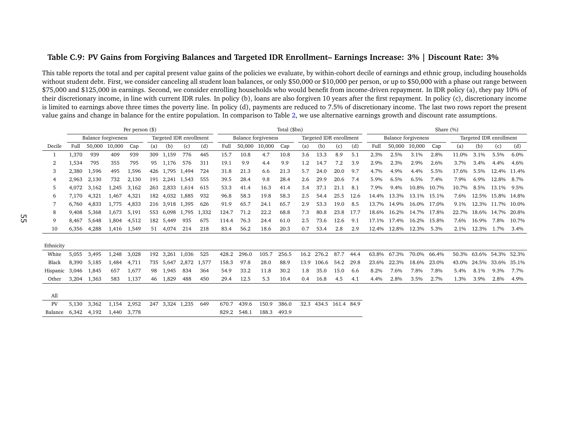#### Table C.9: PV Gains from Forgiving Balances and Targeted IDR Enrollment- Earnings Increase: 3% | Discount Rate: 3%

|           |       |                            |        | Per person (\$) |     |                         |       |       |       |        |                            | Total (\$bn) |      |                         |      |      |       |                            |             | Share (%) |       |                         |             |         |
|-----------|-------|----------------------------|--------|-----------------|-----|-------------------------|-------|-------|-------|--------|----------------------------|--------------|------|-------------------------|------|------|-------|----------------------------|-------------|-----------|-------|-------------------------|-------------|---------|
|           |       | <b>Balance forgiveness</b> |        |                 |     | Targeted IDR enrollment |       |       |       |        | <b>Balance forgiveness</b> |              |      | Targeted IDR enrollment |      |      |       | <b>Balance</b> forgiveness |             |           |       | Targeted IDR enrollment |             |         |
| Decile    | Full  | 50,000                     | 10,000 | Cap             | (a) | (b)                     | (c)   | (d)   | Full  | 50,000 | 10,000                     | Cap          | (a)  | (b)                     | (c)  | (d)  | Full  | 50,000                     | 10,000      | Cap       | (a)   | (b)                     | (c)         | (d)     |
|           | 1,370 | 939                        | 409    | 939             | 309 | 1,159                   | 776   | 445   | 15.7  | 10.8   | 4.7                        | 10.8         | 3.6  | 13.3                    | 8.9  | 5.1  | 2.3%  | 2.5%                       | 3.1%        | 2.8%      | 11.0% | 3.1%                    | 5.5%        | 6.0%    |
| 2         | 1,534 | 795                        | 355    | 795             | 95  | 1.176                   | 576   | 311   | 19.1  | 9.9    | 4.4                        | 9.9          | 1.2  | 14.7                    | 7.2  | 3.9  | 2.9%  | 2.3%                       | 2.9%        | 2.6%      | 3.7%  | 3.4%                    | 4.4%        | 4.6%    |
| 3         | 2,380 | 1,596                      | 495    | 1,596           | 426 | 1,795                   | 1,494 | 724   | 31.8  | 21.3   | 6.6                        | 21.3         | 5.7  | 24.0                    | 20.0 | 9.7  | 4.7%  | 4.9%                       | 4.4%        | 5.5%      | 17.6% | 5.5%                    | 12.4%       | 11.4%   |
| 4         | 2,963 | 2,130                      | 732    | 2,130           | 191 | 2,241 1,543             |       | 555   | 39.5  | 28.4   | 9.8                        | 28.4         | 2.6  | 29.9                    | 20.6 | 7.4  | 5.9%  | 6.5%                       | 6.5%        | 7.4%      | 7.9%  | $6.9\%$                 | 12.8%       | 8.7%    |
| 5         | 4,072 | 3.162                      | 1,245  | 3,162           | 263 | 2,833 1,614             |       | 615   | 53.3  | 41.4   | 16.3                       | 41.4         | 3.4  | 37.1                    | 21.1 | 8.1  | 7.9%  | 9.4%                       | 10.8%       | 10.7%     | 10.7% | 8.5%                    | 13.1%       | 9.5%    |
| 6         | 7.170 | 4,321                      | 1.467  | 4,321           | 182 | 4,032                   | 1,885 | 932   | 96.8  | 58.3   | 19.8                       | 58.3         | 2.5  | 54.4                    | 25.5 | 12.6 | 14.4% | 13.3%                      | 13.1% 15.1% |           | 7.6%  | 12.5%                   | 15.8%       | 14.8%   |
|           | 6.760 | 4.833                      | 1,775  | 4,833           |     | 216 3.918 1.395         |       | 626   | 91.9  | 65.7   | 24.1                       | 65.7         | 2.9  | 53.3                    | 19.0 | 8.5  | 13.7% | 14.9%                      | 16.0% 17.0% |           | 9.1%  |                         | 12.3% 11.7% | 10.0%   |
| 8         | 9,408 | 5,368                      | 1,673  | 5,191           |     | 553 6,098 1,795         |       | 1,332 | 124.7 | 71.2   | 22.2                       | 68.8         | 7.3  | 80.8                    | 23.8 | 17.7 | 18.6% | 16.2%                      | 14.7% 17.8% |           | 22.7% | 18.6% 14.7%             |             | 20.8%   |
| 9         | 8.467 | 5.648                      | 1,804  | 4,512           |     | 182 5,449               | 935   | 675   | 114.4 | 76.3   | 24.4                       | 61.0         | 2.5  | 73.6                    | 12.6 | 9.1  | 17.1% | 17.4%                      | 16.2% 15.8% |           | 7.6%  | 16.9%                   | 7.8%        | 10.7%   |
| 10        | 6.356 | 4.288                      | 1.416  | 1,549           | 51  | 4,074                   | 214   | 218   | 83.4  | 56.2   | 18.6                       | 20.3         | 0.7  | 53.4                    | 2.8  | 2.9  | 12.4% | 12.8%                      | 12.3%       | 5.3%      | 2.1%  | 12.3%                   | 1.7%        | $3.4\%$ |
| Ethnicity |       |                            |        |                 |     |                         |       |       |       |        |                            |              |      |                         |      |      |       |                            |             |           |       |                         |             |         |
|           |       |                            |        |                 |     |                         |       |       |       |        |                            |              |      |                         |      |      |       |                            |             |           |       |                         |             |         |
| White     | 5,055 | 3,495                      | 1,248  | 3,028           | 192 | 3,261 1,036             |       | 525   | 428.2 | 296.0  | 105.7                      | 256.5        | 16.2 | 276.2                   | 87.7 | 44.4 | 63.8% | 67.3%                      | 70.0%       | 66.4%     | 50.3% | 63.6%                   | 54.3%       | 52.3%   |
| Black     | 8.390 | 5.185                      | 1,484  | 4,711           |     | 735 5.647               | 2,872 | 1,577 | 158.3 | 97.8   | 28.0                       | 88.9         | 13.9 | 106.6                   | 54.2 | 29.8 | 23.6% | 22.3%                      | 18.6%       | 23.0%     | 43.0% | 24.5%                   | 33.6%       | 35.1%   |
| Hispanic  | 3,046 | 1,845                      | 657    | 1,677           | 98  | 1,945                   | 834   | 364   | 54.9  | 33.2   | 11.8                       | 30.2         | 1.8  | 35.0                    | 15.0 | 6.6  | 8.2%  | 7.6%                       | 7.8%        | 7.8%      | 5.4%  | 8.1%                    | 9.3%        | 7.7%    |
| Other     | 3.204 | 1,363                      | 583    | 1,137           | 46  | 1,829                   | 488   | 450   | 29.4  | 12.5   | 5.3                        | 10.4         | 0.4  | 16.8                    | 4.5  | 4.1  | 4.4%  | 2.8%                       | 3.5%        | 2.7%      | 1.3%  | 3.9%                    | 2.8%        | 4.9%    |
| All       |       |                            |        |                 |     |                         |       |       |       |        |                            |              |      |                         |      |      |       |                            |             |           |       |                         |             |         |
| PV        | 5,130 | 3,362                      | 1,154  | 2,952           |     | 247 3,324 1,235         |       | 649   | 670.7 | 439.6  | 150.9                      | 386.0        | 32.3 | 434.5 161.4 84.9        |      |      |       |                            |             |           |       |                         |             |         |
| Balance   | 6.342 | 4,192                      | 1.440  | 3.778           |     |                         |       |       | 829.2 | 548.1  | 188.3                      | 493.9        |      |                         |      |      |       |                            |             |           |       |                         |             |         |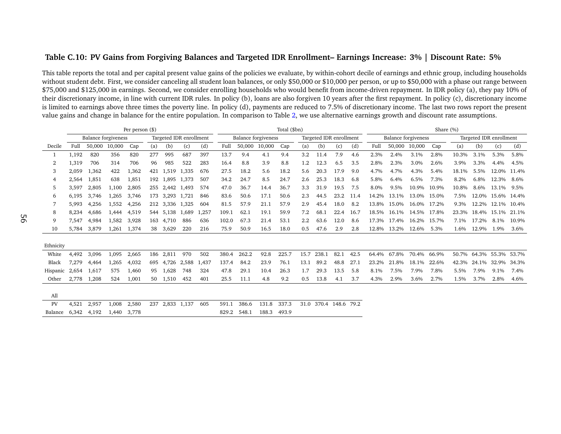#### Table C.10: PV Gains from Forgiving Balances and Targeted IDR Enrollment- Earnings Increase: 3% | Discount Rate: 5%

|           |       |                            |        | Per person $(\$)$ |     |                 |                         |       |       |        |                            | Total (\$bn) |         |                         |      |      |       |                            |             | Share (%) |       |                         |                   |       |
|-----------|-------|----------------------------|--------|-------------------|-----|-----------------|-------------------------|-------|-------|--------|----------------------------|--------------|---------|-------------------------|------|------|-------|----------------------------|-------------|-----------|-------|-------------------------|-------------------|-------|
|           |       | <b>Balance forgiveness</b> |        |                   |     |                 | Targeted IDR enrollment |       |       |        | <b>Balance forgiveness</b> |              |         | Targeted IDR enrollment |      |      |       | <b>Balance forgiveness</b> |             |           |       | Targeted IDR enrollment |                   |       |
| Decile    | Full  | 50,000                     | 10,000 | Cap               | (a) | (b)             | (c)                     | (d)   | Full  | 50,000 | 10,000                     | Cap          | (a)     | (b)                     | (c)  | (d)  | Full  | 50,000                     | 10,000      | Cap       | (a)   | (b)                     | (c)               | (d)   |
|           | 1,192 | 820                        | 356    | 820               | 277 | 995             | 687                     | 397   | 13.7  | 9.4    | 4.1                        | 9.4          | 3.2     | 11.4                    | 7.9  | 4.6  | 2.3%  | 2.4%                       | 3.1%        | 2.8%      | 10.3% | 3.1%                    | 5.3%              | 5.8%  |
| 2         | 1,319 | 706                        | 314    | 706               | 96  | 985             | 522                     | 283   | 16.4  | 8.8    | 3.9                        | 8.8          | 1.2     | 12.3                    | 6.5  | 3.5  | 2.8%  | 2.3%                       | 3.0%        | 2.6%      | 3.9%  | 3.3%                    | 4.4%              | 4.5%  |
| 3         | 2,059 | 1,362                      | 422    | 1,362             | 421 | 1,519           | 1,335                   | 676   | 27.5  | 18.2   | 5.6                        | 18.2         | 5.6     | 20.3                    | 17.9 | 9.0  | 4.7%  | 4.7%                       | 4.3%        | 5.4%      | 18.1% | 5.5%                    | 12.0% 11.4%       |       |
| 4         | 2,564 | 1,851                      | 638    | 1,851             | 192 | 1.895           | 1,373                   | 507   | 34.2  | 24.7   | 8.5                        | 24.7         | 2.6     | 25.3                    | 18.3 | 6.8  | 5.8%  | 6.4%                       | 6.5%        | 7.3%      | 8.2%  | 6.8%                    | 12.3%             | 8.6%  |
| 5         | 3.597 | 2,805                      | 1,100  | 2,805             | 255 | 2,442 1,493     |                         | 574   | 47.0  | 36.7   | 14.4                       | 36.7         | 3.3     | 31.9                    | 19.5 | 7.5  | 8.0%  | 9.5%                       | 10.9%       | 10.9%     | 10.8% | 8.6%                    | 13.1%             | 9.5%  |
| 6         | 6,195 | 3.746                      | 1,265  | 3,746             | 173 | 3,293 1,721     |                         | 846   | 83.6  | 50.6   | 17.1                       | 50.6         | 2.3     | 44.5                    | 23.2 | 11.4 | 14.2% | 13.1%                      | 13.0%       | 15.0%     | 7.5%  | 12.0%                   | 15.6%             | 14.4% |
|           | 5.993 | 4,256                      | 1,552  | 4,256             | 212 | 3.336 1.325     |                         | 604   | 81.5  | 57.9   | 21.1                       | 57.9         | 2.9     | 45.4                    | 18.0 | 8.2  | 13.8% | 15.0%                      | 16.0% 17.2% |           | 9.3%  |                         | 12.2% 12.1% 10.4% |       |
| 8         | 8,234 | 4,686                      | 1,444  | 4,519             |     | 544 5,138 1,689 |                         | 1,257 | 109.1 | 62.1   | 19.1                       | 59.9         | 7.2     | 68.1                    | 22.4 | 16.7 | 18.5% | 16.1%                      | 14.5% 17.8% |           | 23.3% | 18.4% 15.1%             |                   | 21.1% |
| 9         | 7,547 | 4,984                      | 1,582  | 3,928             | 163 | 4,710           | 886                     | 636   | 102.0 | 67.3   | 21.4                       | 53.1         | $2.2\,$ | 63.6                    | 12.0 | 8.6  | 17.3% | 17.4%                      | 16.2% 15.7% |           | 7.1%  | 17.2%                   | 8.1%              | 10.9% |
| 10        | 5.784 | 3,879                      | 1,261  | 1,374             | 38  | 3,629           | 220                     | 216   | 75.9  | 50.9   | 16.5                       | 18.0         | 0.5     | 47.6                    | 2.9  | 2.8  | 12.8% | 13.2%                      | 12.6%       | 5.3%      | 1.6%  | 12.9%                   | 1.9%              | 3.6%  |
| Ethnicity |       |                            |        |                   |     |                 |                         |       |       |        |                            |              |         |                         |      |      |       |                            |             |           |       |                         |                   |       |
| White     | 4,492 | 3,096                      | 1,095  | 2,665             | 186 | 2,811           | 970                     | 502   | 380.4 | 262.2  | 92.8                       | 225.7        | 15.7    | 238.1                   | 82.1 | 42.5 | 64.4% | 67.8%                      | 70.4% 66.9% |           | 50.7% | 64.3%                   | 55.3%             | 53.7% |
| Black     | 7,279 | 4,464                      | 1,265  | 4,032             | 695 | 4,726           | 2,588                   | 1,437 | 137.4 | 84.2   | 23.9                       | 76.1         | 13.1    | 89.2                    | 48.8 | 27.1 | 23.2% | 21.8%                      | 18.1%       | 22.6%     | 42.3% | 24.1%                   | 32.9%             | 34.3% |
| Hispanic  | 2,654 | 1,617                      | 575    | 1,460             | 95  | 1.628           | 748                     | 324   | 47.8  | 29.1   | 10.4                       | 26.3         | 1.7     | 29.3                    | 13.5 | 5.8  | 8.1%  | 7.5%                       | 7.9%        | 7.8%      | 5.5%  | 7.9%                    | 9.1%              | 7.4%  |
| Other     | 2,778 | 1,208                      | 524    | 1,001             | 50  | 1,510           | 452                     | 401   | 25.5  | 11.1   | 4.8                        | 9.2          | 0.5     | 13.8                    | 4.1  | 3.7  | 4.3%  | 2.9%                       | 3.6%        | 2.7%      | 1.5%  | 3.7%                    | 2.8%              | 4.6%  |
|           |       |                            |        |                   |     |                 |                         |       |       |        |                            |              |         |                         |      |      |       |                            |             |           |       |                         |                   |       |
| All       |       |                            |        |                   |     |                 |                         |       |       |        |                            |              |         |                         |      |      |       |                            |             |           |       |                         |                   |       |
| PV        | 4,521 | 2,957                      | 1,008  | 2,580             | 237 | 2,833 1,137     |                         | 605   | 591.1 | 386.6  | 131.8                      | 337.3        |         | 31.0 370.4 148.6 79.2   |      |      |       |                            |             |           |       |                         |                   |       |
| Balance   | 6.342 | 4.192                      | 1.440  | 3.778             |     |                 |                         |       | 829.2 | 548.1  | 188.3                      | 493.9        |         |                         |      |      |       |                            |             |           |       |                         |                   |       |